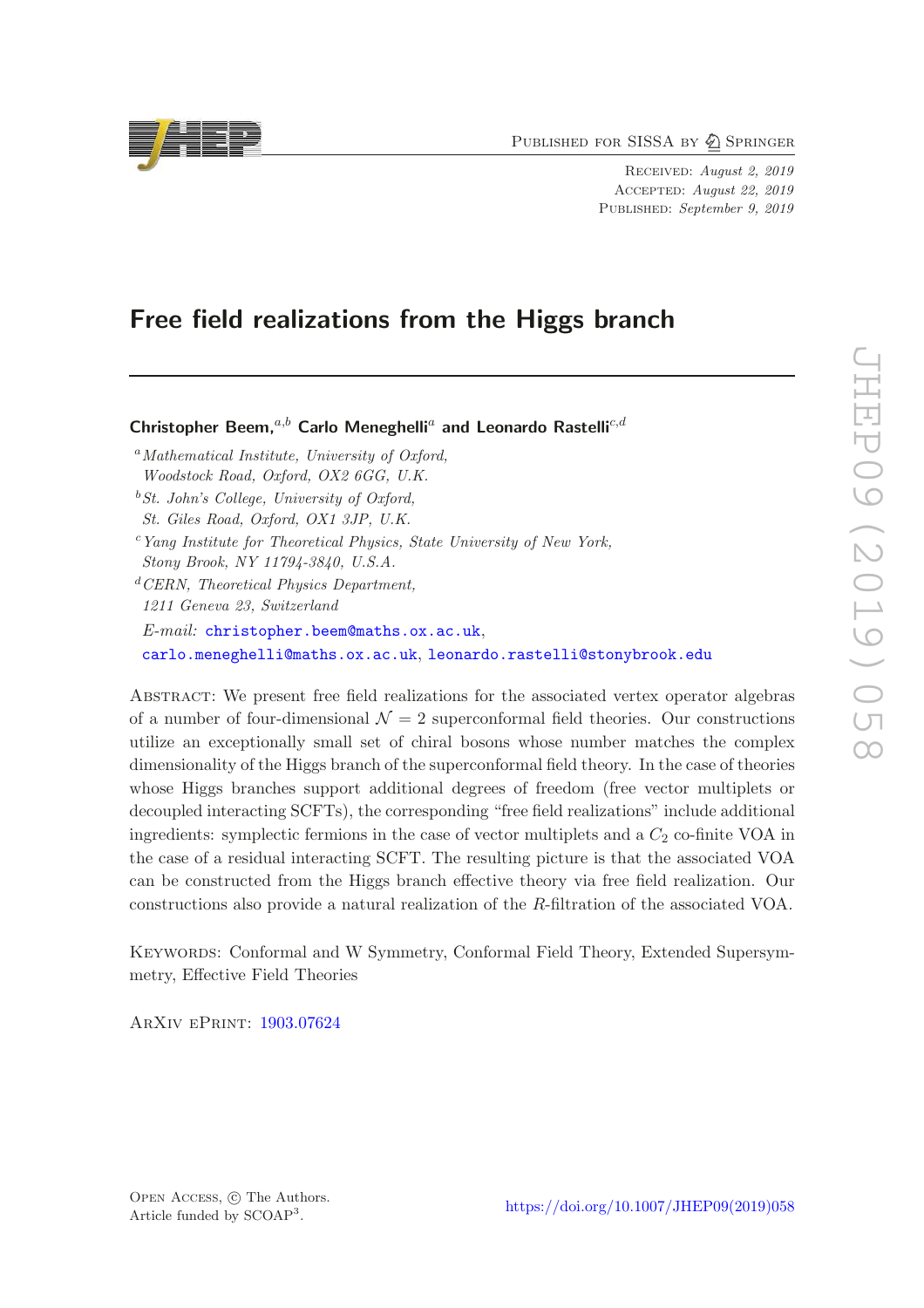PUBLISHED FOR SISSA BY 2 SPRINGER

Received: August 2, 2019 Accepted: August 22, 2019 PUBLISHED: September 9, 2019

# Free field realizations from the Higgs branch

Christopher Beem.<sup>a,b</sup> Carlo Meneghelli<sup>a</sup> and Leonardo Rastelli<sup>c,d</sup>

- $a<sup>a</sup> Mathematical Institute, University of Oxford,$ Woodstock Road, Oxford, OX2 6GG, U.K.
- $b$  St. John's College, University of Oxford, St. Giles Road, Oxford, OX1 3JP, U.K.
- <sup>c</sup>Yang Institute for Theoretical Physics, State University of New York, Stony Brook, NY 11794-3840, U.S.A.
- ${}^{d}CERN$ , Theoretical Physics Department, 1211 Geneva 23, Switzerland E-mail: [christopher.beem@maths.ox.ac.uk](mailto:christopher.beem@maths.ox.ac.uk), [carlo.meneghelli@maths.ox.ac.uk](mailto:carlo.meneghelli@maths.ox.ac.uk), [leonardo.rastelli@stonybrook.edu](mailto:leonardo.rastelli@stonybrook.edu)

Abstract: We present free field realizations for the associated vertex operator algebras of a number of four-dimensional  $\mathcal{N} = 2$  superconformal field theories. Our constructions utilize an exceptionally small set of chiral bosons whose number matches the complex dimensionality of the Higgs branch of the superconformal field theory. In the case of theories whose Higgs branches support additional degrees of freedom (free vector multiplets or decoupled interacting SCFTs), the corresponding "free field realizations" include additional ingredients: symplectic fermions in the case of vector multiplets and a  $C_2$  co-finite VOA in the case of a residual interacting SCFT. The resulting picture is that the associated VOA can be constructed from the Higgs branch effective theory via free field realization. Our constructions also provide a natural realization of the R-filtration of the associated VOA.

Keywords: Conformal and W Symmetry, Conformal Field Theory, Extended Supersymmetry, Effective Field Theories

ArXiv ePrint: [1903.07624](https://arxiv.org/abs/1903.07624)

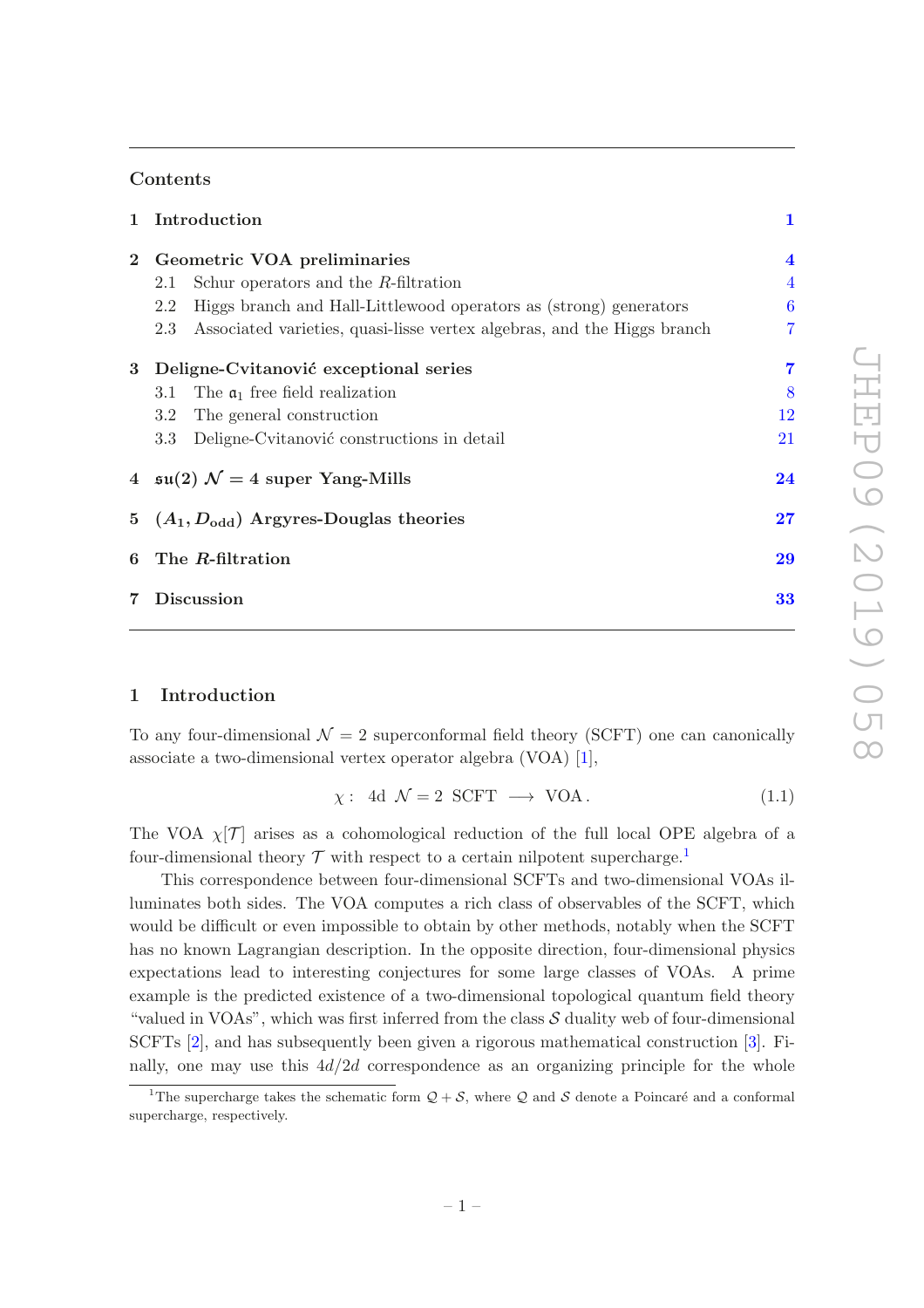### Contents

|                        | 1 Introduction                                                                 |                  |  |  |  |
|------------------------|--------------------------------------------------------------------------------|------------------|--|--|--|
| $\mathbf{2}$           | Geometric VOA preliminaries                                                    |                  |  |  |  |
|                        | Schur operators and the $R$ -filtration<br>2.1                                 | $\overline{4}$   |  |  |  |
|                        | Higgs branch and Hall-Littlewood operators as (strong) generators<br>2.2       | $\boldsymbol{6}$ |  |  |  |
|                        | Associated varieties, quasi-lisse vertex algebras, and the Higgs branch<br>2.3 | 7                |  |  |  |
| 3                      | Deligne-Cvitanović exceptional series                                          | 7                |  |  |  |
|                        | The $\mathfrak{a}_1$ free field realization<br>3.1                             | 8                |  |  |  |
|                        | The general construction<br>3.2                                                | 12               |  |  |  |
|                        | Deligne-Cvitanović constructions in detail<br>3.3 <sub>1</sub>                 | 21               |  |  |  |
|                        | 4 $\mathfrak{su}(2)$ $\mathcal{N}=4$ super Yang-Mills                          | 24               |  |  |  |
|                        | 5 $(A_1, D_{odd})$ Argyres-Douglas theories                                    | 27               |  |  |  |
| 6                      | The R-filtration                                                               | 29               |  |  |  |
| <b>Discussion</b><br>7 |                                                                                |                  |  |  |  |

# <span id="page-1-0"></span>1 Introduction

To any four-dimensional  $\mathcal{N} = 2$  superconformal field theory (SCFT) one can canonically associate a two-dimensional vertex operator algebra (VOA) [\[1](#page-35-0)],

<span id="page-1-2"></span>
$$
\chi: \text{ 4d } \mathcal{N} = 2 \text{ SCFT } \longrightarrow \text{ VOA.} \tag{1.1}
$$

The VOA  $\chi$ [T] arises as a cohomological reduction of the full local OPE algebra of a four-dimensional theory  $\mathcal T$  with respect to a certain nilpotent supercharge.<sup>[1](#page-1-1)</sup>

This correspondence between four-dimensional SCFTs and two-dimensional VOAs illuminates both sides. The VOA computes a rich class of observables of the SCFT, which would be difficult or even impossible to obtain by other methods, notably when the SCFT has no known Lagrangian description. In the opposite direction, four-dimensional physics expectations lead to interesting conjectures for some large classes of VOAs. A prime example is the predicted existence of a two-dimensional topological quantum field theory "valued in VOAs", which was first inferred from the class  $S$  duality web of four-dimensional SCFTs [\[2\]](#page-35-1), and has subsequently been given a rigorous mathematical construction [\[3](#page-35-2)]. Finally, one may use this  $4d/2d$  correspondence as an organizing principle for the whole

<span id="page-1-1"></span><sup>&</sup>lt;sup>1</sup>The supercharge takes the schematic form  $Q + S$ , where Q and S denote a Poincaré and a conformal supercharge, respectively.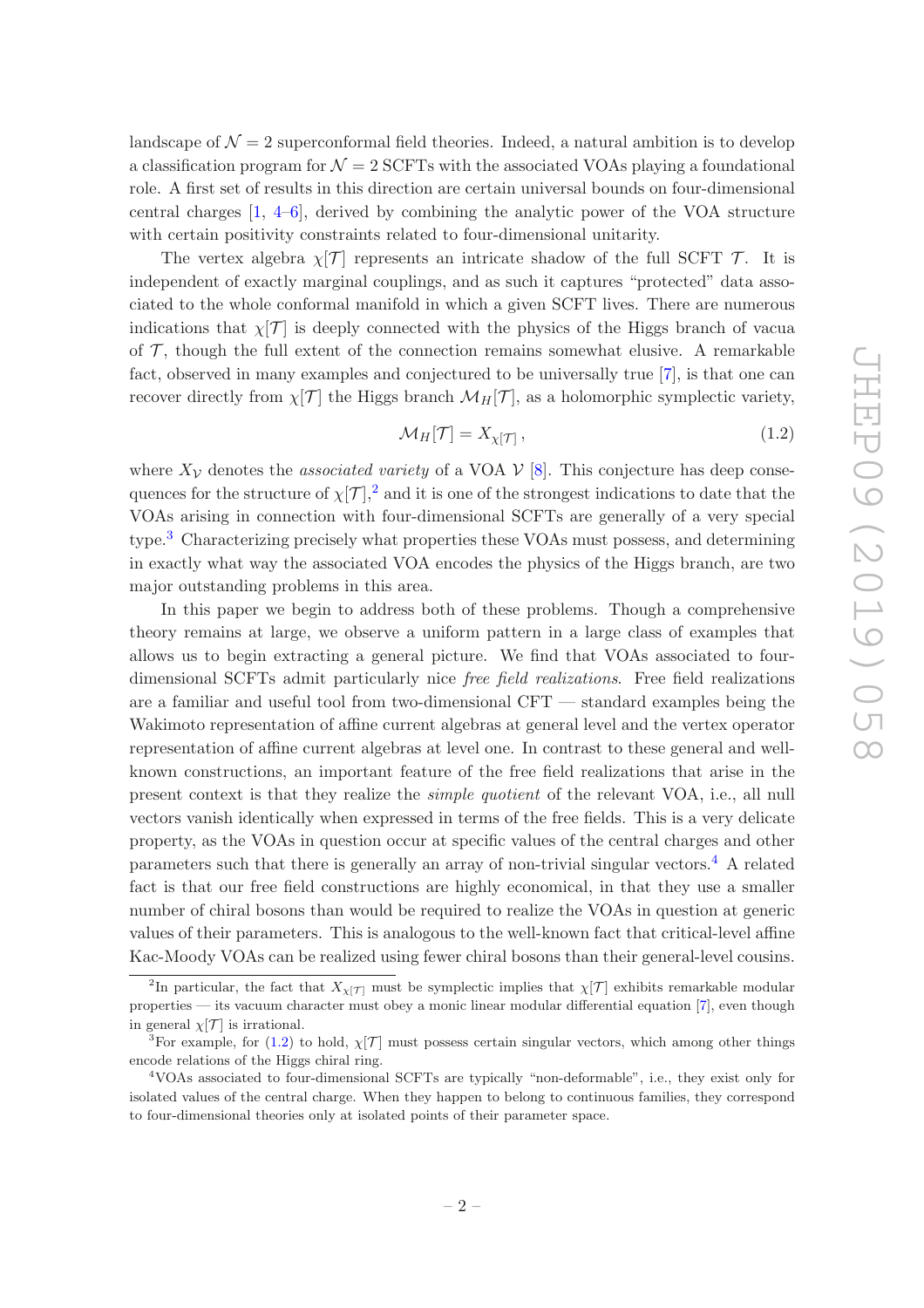landscape of  $\mathcal{N}=2$  superconformal field theories. Indeed, a natural ambition is to develop a classification program for  $\mathcal{N} = 2$  SCFTs with the associated VOAs playing a foundational role. A first set of results in this direction are certain universal bounds on four-dimensional central charges [\[1](#page-35-0), [4](#page-35-3)[–6](#page-35-4)], derived by combining the analytic power of the VOA structure with certain positivity constraints related to four-dimensional unitarity.

The vertex algebra  $\chi$ [T] represents an intricate shadow of the full SCFT T. It is independent of exactly marginal couplings, and as such it captures "protected" data associated to the whole conformal manifold in which a given SCFT lives. There are numerous indications that  $\chi$ [T] is deeply connected with the physics of the Higgs branch of vacua of  $\mathcal{T}$ , though the full extent of the connection remains somewhat elusive. A remarkable fact, observed in many examples and conjectured to be universally true [\[7\]](#page-35-5), is that one can recover directly from  $\chi[\mathcal{T}]$  the Higgs branch  $\mathcal{M}_H[\mathcal{T}]$ , as a holomorphic symplectic variety,

<span id="page-2-3"></span>
$$
\mathcal{M}_H[\mathcal{T}] = X_{\chi[\mathcal{T}]}\,,\tag{1.2}
$$

where  $X_{\mathcal{V}}$  denotes the *associated variety* of a VOA  $\mathcal{V}$  [\[8\]](#page-35-6). This conjecture has deep consequences for the structure of  $\chi[\mathcal{T}],^2$  $\chi[\mathcal{T}],^2$  and it is one of the strongest indications to date that the VOAs arising in connection with four-dimensional SCFTs are generally of a very special type.[3](#page-2-1) Characterizing precisely what properties these VOAs must possess, and determining in exactly what way the associated VOA encodes the physics of the Higgs branch, are two major outstanding problems in this area.

In this paper we begin to address both of these problems. Though a comprehensive theory remains at large, we observe a uniform pattern in a large class of examples that allows us to begin extracting a general picture. We find that VOAs associated to fourdimensional SCFTs admit particularly nice free field realizations. Free field realizations are a familiar and useful tool from two-dimensional CFT — standard examples being the Wakimoto representation of affine current algebras at general level and the vertex operator representation of affine current algebras at level one. In contrast to these general and wellknown constructions, an important feature of the free field realizations that arise in the present context is that they realize the simple quotient of the relevant VOA, i.e., all null vectors vanish identically when expressed in terms of the free fields. This is a very delicate property, as the VOAs in question occur at specific values of the central charges and other parameters such that there is generally an array of non-trivial singular vectors.[4](#page-2-2) A related fact is that our free field constructions are highly economical, in that they use a smaller number of chiral bosons than would be required to realize the VOAs in question at generic values of their parameters. This is analogous to the well-known fact that critical-level affine Kac-Moody VOAs can be realized using fewer chiral bosons than their general-level cousins.

<span id="page-2-0"></span><sup>&</sup>lt;sup>2</sup>In particular, the fact that  $X_{\chi[\mathcal{T}]}$  must be symplectic implies that  $\chi[\mathcal{T}]$  exhibits remarkable modular properties — its vacuum character must obey a monic linear modular differential equation [\[7](#page-35-5)], even though in general  $\chi$ [T] is irrational.

<span id="page-2-1"></span><sup>&</sup>lt;sup>3</sup>For example, for [\(1.2\)](#page-2-3) to hold,  $\chi$ [T] must possess certain singular vectors, which among other things encode relations of the Higgs chiral ring.

<span id="page-2-2"></span><sup>4</sup>VOAs associated to four-dimensional SCFTs are typically "non-deformable", i.e., they exist only for isolated values of the central charge. When they happen to belong to continuous families, they correspond to four-dimensional theories only at isolated points of their parameter space.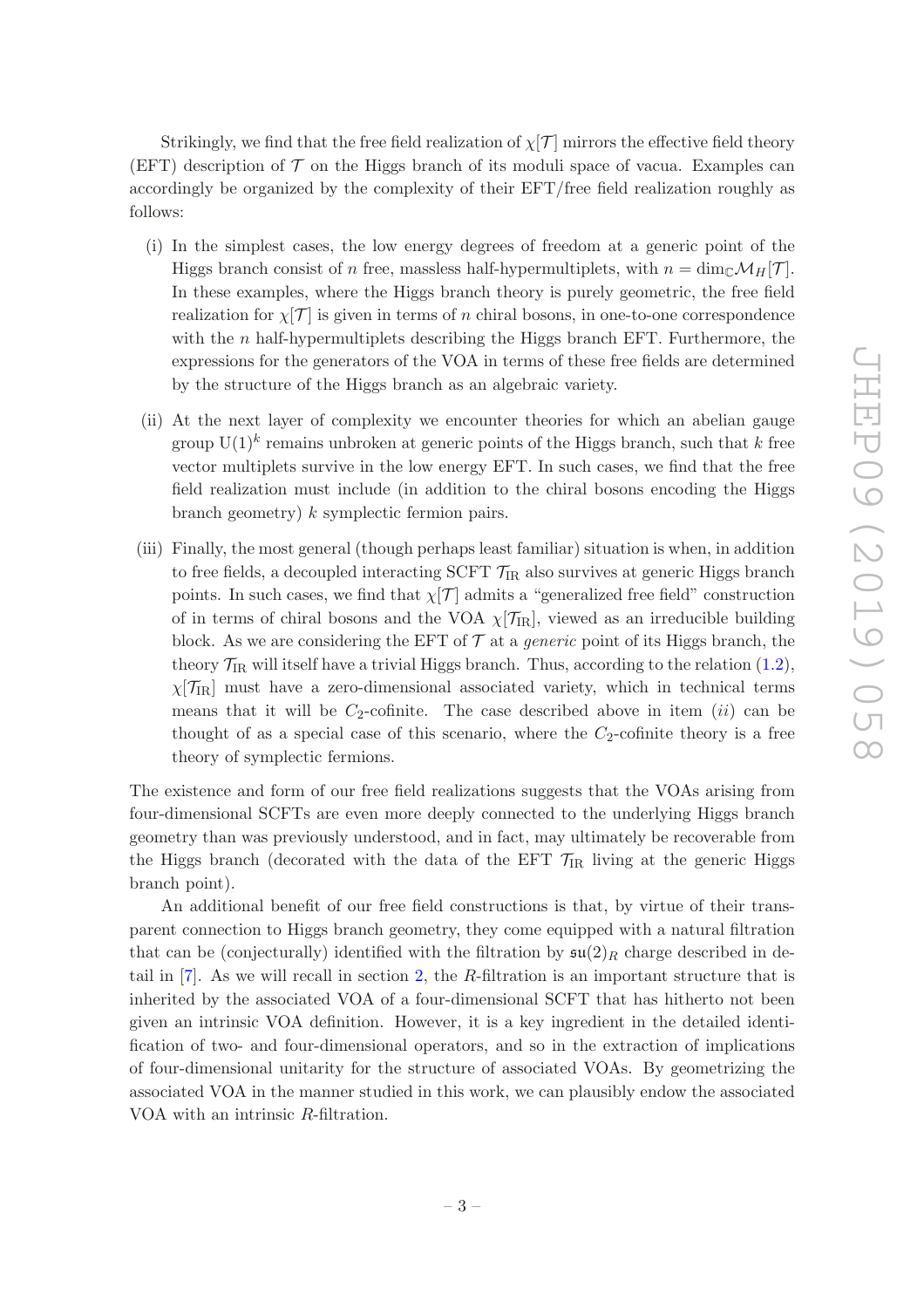Strikingly, we find that the free field realization of  $\chi$ [T] mirrors the effective field theory (EFT) description of  $\mathcal T$  on the Higgs branch of its moduli space of vacua. Examples can accordingly be organized by the complexity of their EFT/free field realization roughly as follows:

- (i) In the simplest cases, the low energy degrees of freedom at a generic point of the Higgs branch consist of n free, massless half-hypermultiplets, with  $n = \dim_{\mathbb{C}} \mathcal{M}_H[\mathcal{T}]$ . In these examples, where the Higgs branch theory is purely geometric, the free field realization for  $\chi$ [T] is given in terms of n chiral bosons, in one-to-one correspondence with the  $n$  half-hypermultiplets describing the Higgs branch EFT. Furthermore, the expressions for the generators of the VOA in terms of these free fields are determined by the structure of the Higgs branch as an algebraic variety.
- (ii) At the next layer of complexity we encounter theories for which an abelian gauge group  $\mathrm{U}(1)^k$  remains unbroken at generic points of the Higgs branch, such that k free vector multiplets survive in the low energy EFT. In such cases, we find that the free field realization must include (in addition to the chiral bosons encoding the Higgs branch geometry) k symplectic fermion pairs.
- (iii) Finally, the most general (though perhaps least familiar) situation is when, in addition to free fields, a decoupled interacting SCFT  $\mathcal{T}_{IR}$  also survives at generic Higgs branch points. In such cases, we find that  $\chi[\mathcal{T}]$  admits a "generalized free field" construction of in terms of chiral bosons and the VOA  $\chi$ [ $\mathcal{T}_{IR}$ ], viewed as an irreducible building block. As we are considering the EFT of  $\mathcal T$  at a *generic* point of its Higgs branch, the theory  $\mathcal{T}_{IR}$  will itself have a trivial Higgs branch. Thus, according to the relation [\(1.2\)](#page-2-3),  $\chi$ [ $\mathcal{T}_{IR}$ ] must have a zero-dimensional associated variety, which in technical terms means that it will be  $C_2$ -cofinite. The case described above in item (ii) can be thought of as a special case of this scenario, where the  $C_2$ -cofinite theory is a free theory of symplectic fermions.

The existence and form of our free field realizations suggests that the VOAs arising from four-dimensional SCFTs are even more deeply connected to the underlying Higgs branch geometry than was previously understood, and in fact, may ultimately be recoverable from the Higgs branch (decorated with the data of the EFT  $\mathcal{T}_{IR}$  living at the generic Higgs branch point).

An additional benefit of our free field constructions is that, by virtue of their transparent connection to Higgs branch geometry, they come equipped with a natural filtration that can be (conjecturally) identified with the filtration by  $\mathfrak{su}(2)_R$  charge described in detail in [\[7](#page-35-5)]. As we will recall in section [2,](#page-4-0) the R-filtration is an important structure that is inherited by the associated VOA of a four-dimensional SCFT that has hitherto not been given an intrinsic VOA definition. However, it is a key ingredient in the detailed identification of two- and four-dimensional operators, and so in the extraction of implications of four-dimensional unitarity for the structure of associated VOAs. By geometrizing the associated VOA in the manner studied in this work, we can plausibly endow the associated VOA with an intrinsic R-filtration.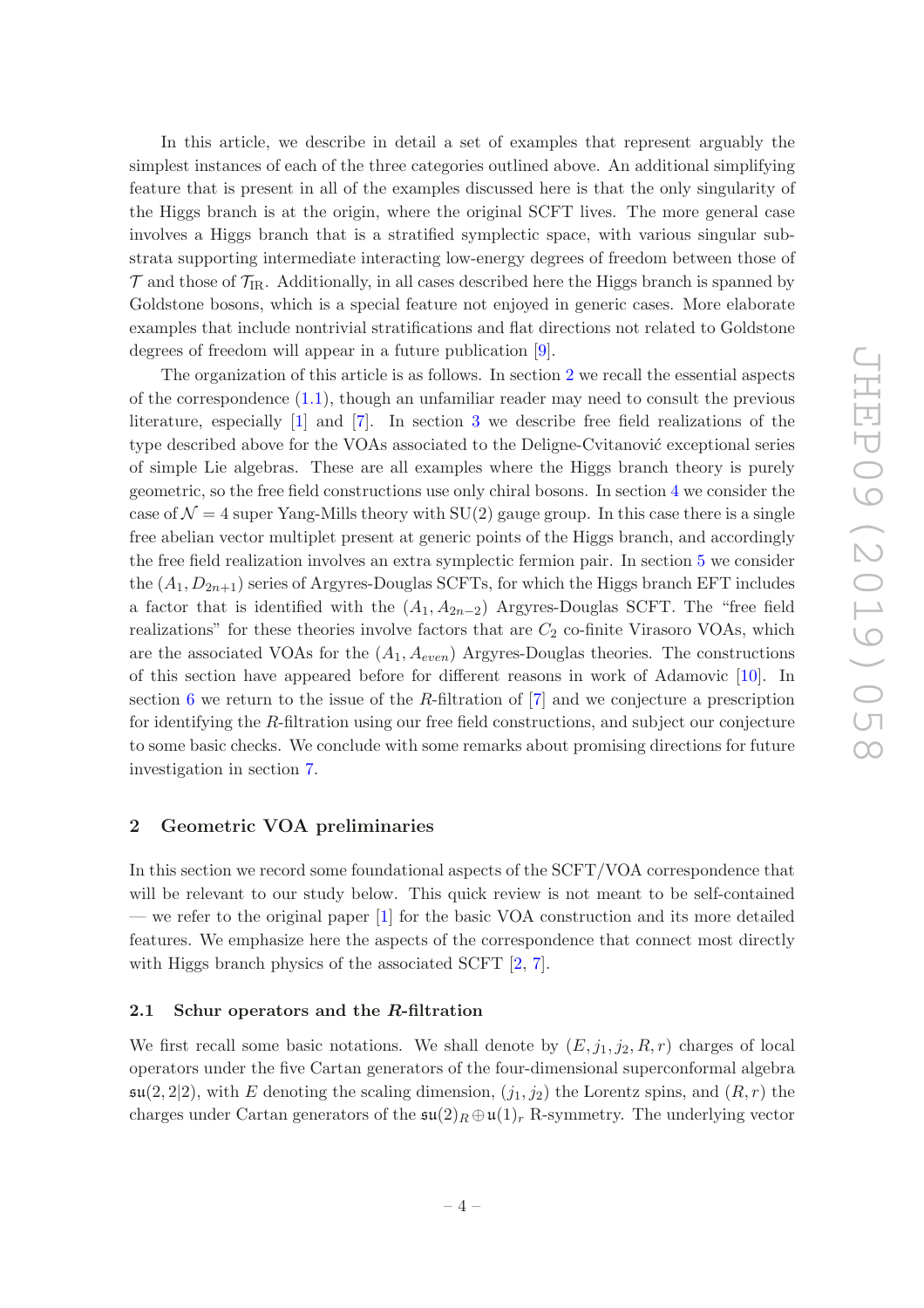In this article, we describe in detail a set of examples that represent arguably the simplest instances of each of the three categories outlined above. An additional simplifying feature that is present in all of the examples discussed here is that the only singularity of the Higgs branch is at the origin, where the original SCFT lives. The more general case involves a Higgs branch that is a stratified symplectic space, with various singular substrata supporting intermediate interacting low-energy degrees of freedom between those of  $\mathcal T$  and those of  $\mathcal T_{\text{IR}}$ . Additionally, in all cases described here the Higgs branch is spanned by Goldstone bosons, which is a special feature not enjoyed in generic cases. More elaborate examples that include nontrivial stratifications and flat directions not related to Goldstone degrees of freedom will appear in a future publication [\[9](#page-35-7)].

The organization of this article is as follows. In section [2](#page-4-0) we recall the essential aspects of the correspondence [\(1.1\)](#page-1-2), though an unfamiliar reader may need to consult the previous literature, especially [\[1](#page-35-0)] and [\[7\]](#page-35-5). In section [3](#page-7-1) we describe free field realizations of the type described above for the VOAs associated to the Deligne-Cvitanović exceptional series of simple Lie algebras. These are all examples where the Higgs branch theory is purely geometric, so the free field constructions use only chiral bosons. In section [4](#page-24-0) we consider the case of  $\mathcal{N} = 4$  super Yang-Mills theory with SU(2) gauge group. In this case there is a single free abelian vector multiplet present at generic points of the Higgs branch, and accordingly the free field realization involves an extra symplectic fermion pair. In section [5](#page-27-0) we consider the  $(A_1, D_{2n+1})$  series of Argyres-Douglas SCFTs, for which the Higgs branch EFT includes a factor that is identified with the  $(A_1, A_{2n-2})$  Argyres-Douglas SCFT. The "free field realizations" for these theories involve factors that are  $C_2$  co-finite Virasoro VOAs, which are the associated VOAs for the  $(A_1, A_{even})$  Argyres-Douglas theories. The constructions of this section have appeared before for different reasons in work of Adamovic [\[10\]](#page-35-8). In section [6](#page-29-0) we return to the issue of the R-filtration of  $[7]$  and we conjecture a prescription for identifying the R-filtration using our free field constructions, and subject our conjecture to some basic checks. We conclude with some remarks about promising directions for future investigation in section [7.](#page-33-0)

#### <span id="page-4-0"></span>2 Geometric VOA preliminaries

In this section we record some foundational aspects of the SCFT/VOA correspondence that will be relevant to our study below. This quick review is not meant to be self-contained — we refer to the original paper [\[1](#page-35-0)] for the basic VOA construction and its more detailed features. We emphasize here the aspects of the correspondence that connect most directly with Higgs branch physics of the associated SCFT  $[2, 7]$  $[2, 7]$  $[2, 7]$ .

#### <span id="page-4-1"></span>2.1 Schur operators and the R-filtration

We first recall some basic notations. We shall denote by  $(E, j_1, j_2, R, r)$  charges of local operators under the five Cartan generators of the four-dimensional superconformal algebra  $\mathfrak{su}(2,2|2)$ , with E denoting the scaling dimension,  $(j_1, j_2)$  the Lorentz spins, and  $(R, r)$  the charges under Cartan generators of the  $\mathfrak{su}(2)_R \oplus \mathfrak{u}(1)_r$  R-symmetry. The underlying vector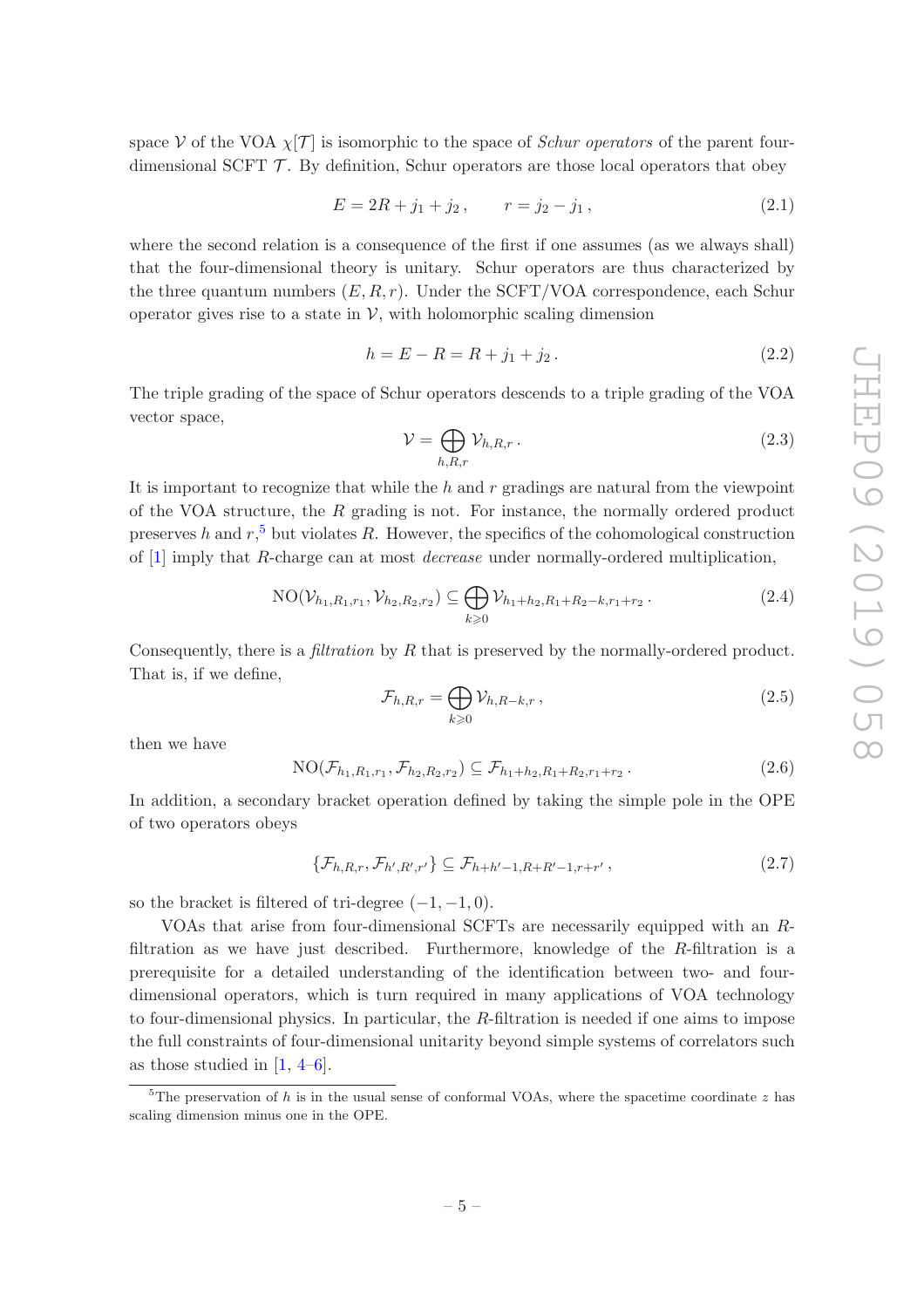space V of the VOA  $\chi$ [T] is isomorphic to the space of Schur operators of the parent fourdimensional SCFT  $\mathcal T$ . By definition, Schur operators are those local operators that obey

$$
E = 2R + j_1 + j_2, \qquad r = j_2 - j_1, \tag{2.1}
$$

where the second relation is a consequence of the first if one assumes (as we always shall) that the four-dimensional theory is unitary. Schur operators are thus characterized by the three quantum numbers  $(E, R, r)$ . Under the SCFT/VOA correspondence, each Schur operator gives rise to a state in  $V$ , with holomorphic scaling dimension

$$
h = E - R = R + j_1 + j_2.
$$
\n(2.2)

The triple grading of the space of Schur operators descends to a triple grading of the VOA vector space,

$$
\mathcal{V} = \bigoplus_{h,R,r} \mathcal{V}_{h,R,r} \,. \tag{2.3}
$$

It is important to recognize that while the h and r gradings are natural from the viewpoint of the VOA structure, the  $R$  grading is not. For instance, the normally ordered product preserves h and  $r<sup>5</sup>$  $r<sup>5</sup>$  $r<sup>5</sup>$  but violates R. However, the specifics of the cohomological construction of [\[1](#page-35-0)] imply that R-charge can at most decrease under normally-ordered multiplication,

NO
$$
(\mathcal{V}_{h_1,R_1,r_1}, \mathcal{V}_{h_2,R_2,r_2}) \subseteq \bigoplus_{k \geq 0} \mathcal{V}_{h_1+h_2,R_1+R_2-k,r_1+r_2}
$$
 (2.4)

Consequently, there is a *filtration* by R that is preserved by the normally-ordered product. That is, if we define,

$$
\mathcal{F}_{h,R,r} = \bigoplus_{k \geqslant 0} \mathcal{V}_{h,R-k,r} \,, \tag{2.5}
$$

then we have

<span id="page-5-1"></span>
$$
NO(\mathcal{F}_{h_1,R_1,r_1}, \mathcal{F}_{h_2,R_2,r_2}) \subseteq \mathcal{F}_{h_1+h_2,R_1+R_2,r_1+r_2}.
$$
 (2.6)

In addition, a secondary bracket operation defined by taking the simple pole in the OPE of two operators obeys

<span id="page-5-2"></span>
$$
\{\mathcal{F}_{h,R,r}, \mathcal{F}_{h',R',r'}\} \subseteq \mathcal{F}_{h+h'-1,R+R'-1,r+r'},
$$
\n(2.7)

so the bracket is filtered of tri-degree  $(-1, -1, 0)$ .

VOAs that arise from four-dimensional SCFTs are necessarily equipped with an Rfiltration as we have just described. Furthermore, knowledge of the R-filtration is a prerequisite for a detailed understanding of the identification between two- and fourdimensional operators, which is turn required in many applications of VOA technology to four-dimensional physics. In particular, the R-filtration is needed if one aims to impose the full constraints of four-dimensional unitarity beyond simple systems of correlators such as those studied in  $[1, 4-6]$  $[1, 4-6]$  $[1, 4-6]$ .

<span id="page-5-0"></span><sup>&</sup>lt;sup>5</sup>The preservation of h is in the usual sense of conformal VOAs, where the spacetime coordinate z has scaling dimension minus one in the OPE.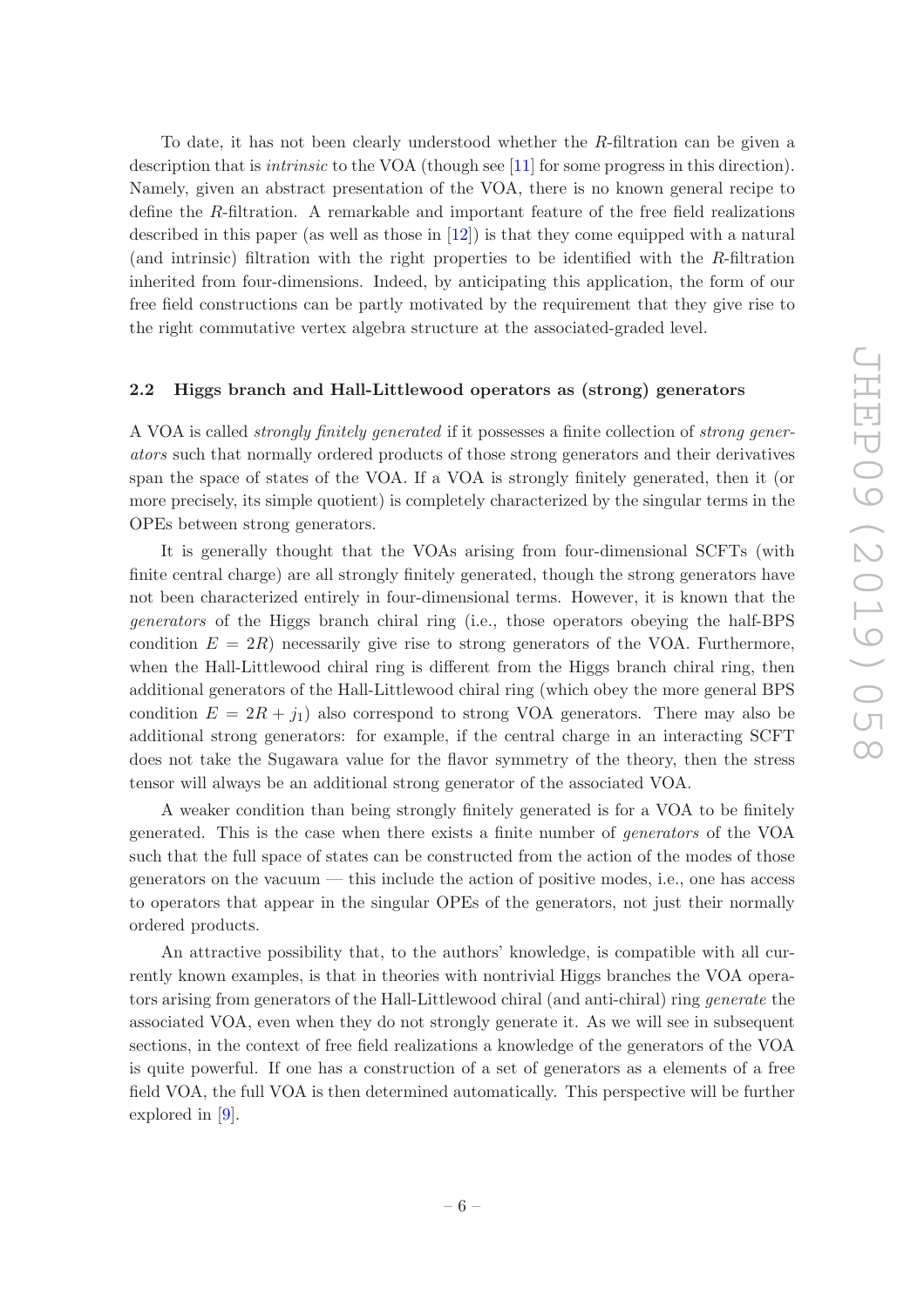To date, it has not been clearly understood whether the R-filtration can be given a description that is *intrinsic* to the VOA (though see [\[11\]](#page-35-9) for some progress in this direction). Namely, given an abstract presentation of the VOA, there is no known general recipe to define the R-filtration. A remarkable and important feature of the free field realizations described in this paper (as well as those in [\[12\]](#page-35-10)) is that they come equipped with a natural (and intrinsic) filtration with the right properties to be identified with the R-filtration inherited from four-dimensions. Indeed, by anticipating this application, the form of our free field constructions can be partly motivated by the requirement that they give rise to the right commutative vertex algebra structure at the associated-graded level.

#### <span id="page-6-0"></span>2.2 Higgs branch and Hall-Littlewood operators as (strong) generators

A VOA is called strongly finitely generated if it possesses a finite collection of strong generators such that normally ordered products of those strong generators and their derivatives span the space of states of the VOA. If a VOA is strongly finitely generated, then it (or more precisely, its simple quotient) is completely characterized by the singular terms in the OPEs between strong generators.

It is generally thought that the VOAs arising from four-dimensional SCFTs (with finite central charge) are all strongly finitely generated, though the strong generators have not been characterized entirely in four-dimensional terms. However, it is known that the generators of the Higgs branch chiral ring (i.e., those operators obeying the half-BPS condition  $E = 2R$ ) necessarily give rise to strong generators of the VOA. Furthermore, when the Hall-Littlewood chiral ring is different from the Higgs branch chiral ring, then additional generators of the Hall-Littlewood chiral ring (which obey the more general BPS condition  $E = 2R + j_1$ ) also correspond to strong VOA generators. There may also be additional strong generators: for example, if the central charge in an interacting SCFT does not take the Sugawara value for the flavor symmetry of the theory, then the stress tensor will always be an additional strong generator of the associated VOA.

A weaker condition than being strongly finitely generated is for a VOA to be finitely generated. This is the case when there exists a finite number of generators of the VOA such that the full space of states can be constructed from the action of the modes of those generators on the vacuum — this include the action of positive modes, i.e., one has access to operators that appear in the singular OPEs of the generators, not just their normally ordered products.

An attractive possibility that, to the authors' knowledge, is compatible with all currently known examples, is that in theories with nontrivial Higgs branches the VOA operators arising from generators of the Hall-Littlewood chiral (and anti-chiral) ring generate the associated VOA, even when they do not strongly generate it. As we will see in subsequent sections, in the context of free field realizations a knowledge of the generators of the VOA is quite powerful. If one has a construction of a set of generators as a elements of a free field VOA, the full VOA is then determined automatically. This perspective will be further explored in [\[9\]](#page-35-7).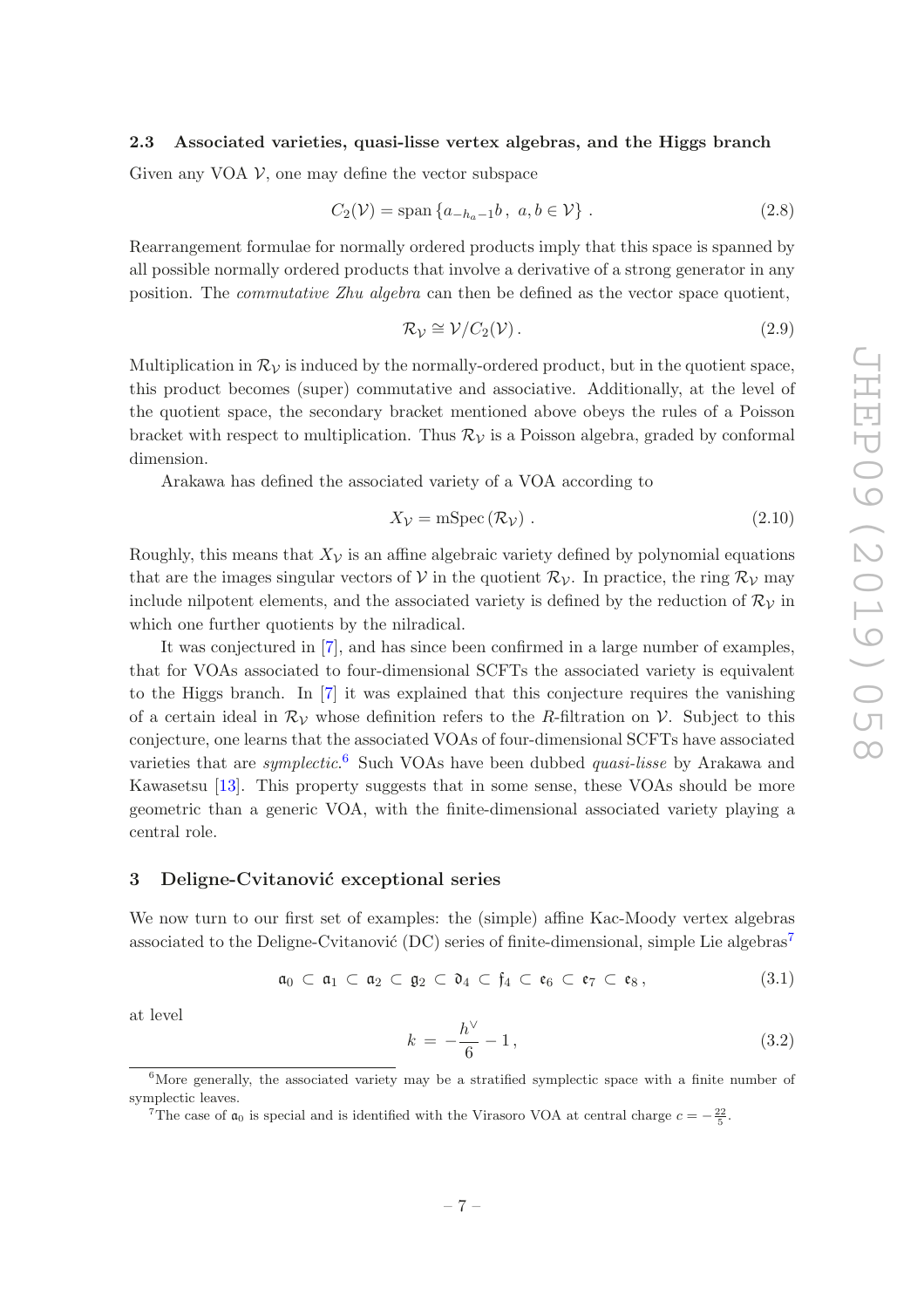#### <span id="page-7-0"></span>2.3 Associated varieties, quasi-lisse vertex algebras, and the Higgs branch

Given any VOA  $\mathcal{V}$ , one may define the vector subspace

$$
C_2(\mathcal{V}) = \text{span}\{a_{-h_a - 1}b, \ a, b \in \mathcal{V}\}\ .
$$
 (2.8)

Rearrangement formulae for normally ordered products imply that this space is spanned by all possible normally ordered products that involve a derivative of a strong generator in any position. The commutative Zhu algebra can then be defined as the vector space quotient,

$$
\mathcal{R}_{\mathcal{V}} \cong \mathcal{V}/C_2(\mathcal{V}). \tag{2.9}
$$

Multiplication in  $\mathcal{R}_{\mathcal{V}}$  is induced by the normally-ordered product, but in the quotient space, this product becomes (super) commutative and associative. Additionally, at the level of the quotient space, the secondary bracket mentioned above obeys the rules of a Poisson bracket with respect to multiplication. Thus  $\mathcal{R}_{\mathcal{V}}$  is a Poisson algebra, graded by conformal dimension.

Arakawa has defined the associated variety of a VOA according to

$$
X_{\mathcal{V}} = \text{mSpec} \, (\mathcal{R}_{\mathcal{V}}) \, . \tag{2.10}
$$

Roughly, this means that  $X_{\mathcal{V}}$  is an affine algebraic variety defined by polynomial equations that are the images singular vectors of V in the quotient  $\mathcal{R}_{\mathcal{V}}$ . In practice, the ring  $\mathcal{R}_{\mathcal{V}}$  may include nilpotent elements, and the associated variety is defined by the reduction of  $\mathcal{R}_{\mathcal{V}}$  in which one further quotients by the nilradical.

It was conjectured in [\[7\]](#page-35-5), and has since been confirmed in a large number of examples, that for VOAs associated to four-dimensional SCFTs the associated variety is equivalent to the Higgs branch. In [\[7](#page-35-5)] it was explained that this conjecture requires the vanishing of a certain ideal in  $\mathcal{R}_{\mathcal{V}}$  whose definition refers to the R-filtration on V. Subject to this conjecture, one learns that the associated VOAs of four-dimensional SCFTs have associated varieties that are *symplectic*.<sup>[6](#page-7-2)</sup> Such VOAs have been dubbed *quasi-lisse* by Arakawa and Kawasetsu [\[13\]](#page-35-11). This property suggests that in some sense, these VOAs should be more geometric than a generic VOA, with the finite-dimensional associated variety playing a central role.

#### <span id="page-7-1"></span>3 Deligne-Cvitanović exceptional series

We now turn to our first set of examples: the (simple) affine Kac-Moody vertex algebras associated to the Deligne-Cvitanović (DC) series of finite-dimensional, simple Lie algebras<sup>[7](#page-7-3)</sup>

$$
\mathfrak{a}_0 \subset \mathfrak{a}_1 \subset \mathfrak{a}_2 \subset \mathfrak{g}_2 \subset \mathfrak{d}_4 \subset \mathfrak{f}_4 \subset \mathfrak{e}_6 \subset \mathfrak{e}_7 \subset \mathfrak{e}_8, \tag{3.1}
$$

at level

$$
k = -\frac{h^{\vee}}{6} - 1, \tag{3.2}
$$

 ${}^{6}$ More generally, the associated variety may be a stratified symplectic space with a finite number of symplectic leaves.

<span id="page-7-3"></span><span id="page-7-2"></span><sup>&</sup>lt;sup>7</sup>The case of  $\mathfrak{a}_0$  is special and is identified with the Virasoro VOA at central charge  $c = -\frac{22}{5}$ .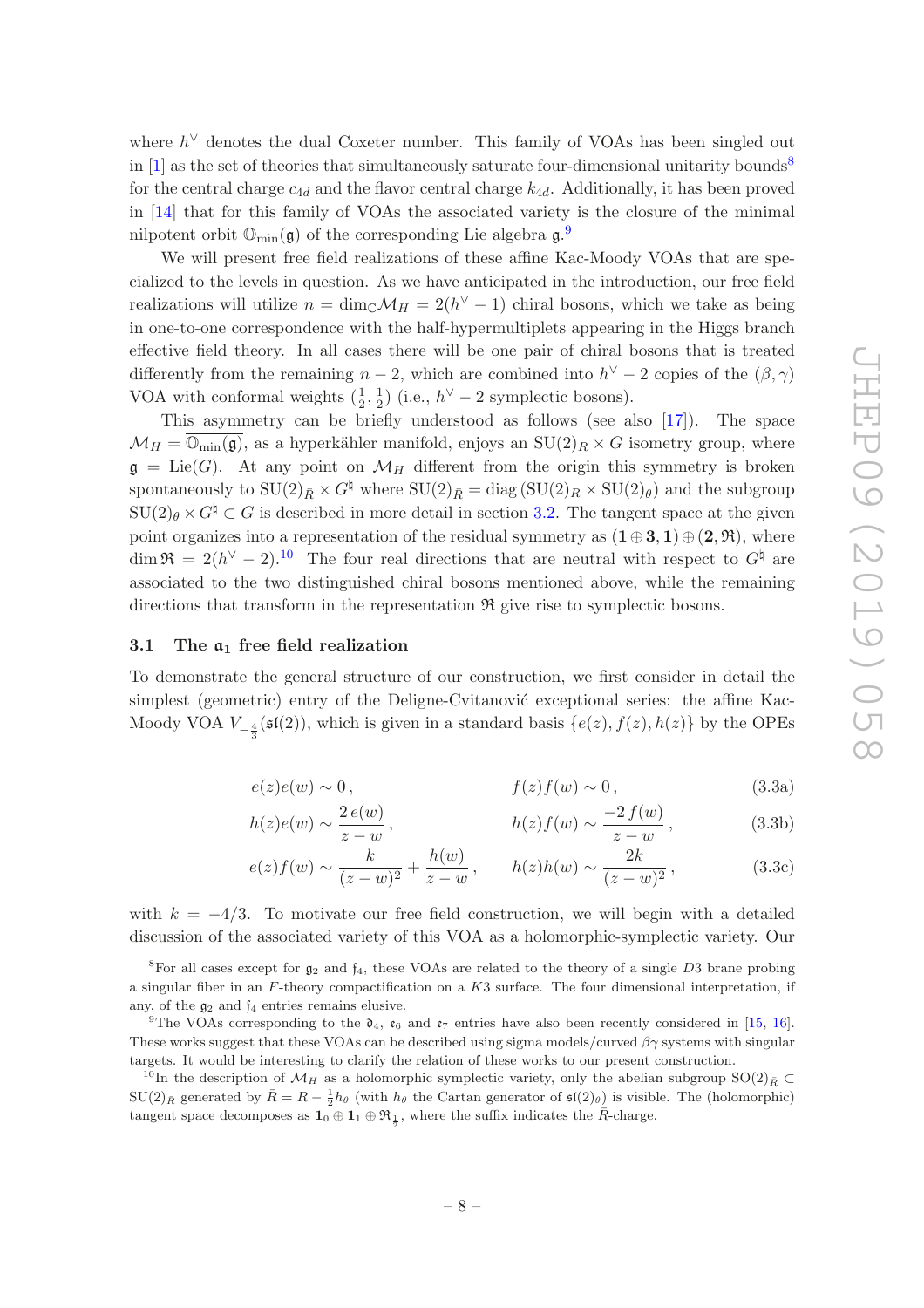where  $h^{\vee}$  denotes the dual Coxeter number. This family of VOAs has been singled out in  $[1]$  as the set of theories that simultaneously saturate four-dimensional unitarity bounds<sup>[8](#page-8-1)</sup> for the central charge  $c_{4d}$  and the flavor central charge  $k_{4d}$ . Additionally, it has been proved in [\[14\]](#page-35-12) that for this family of VOAs the associated variety is the closure of the minimal nilpotent orbit  $\mathbb{O}_{\text{min}}(\mathfrak{g})$  of the corresponding Lie algebra  $\mathfrak{g}$ .

We will present free field realizations of these affine Kac-Moody VOAs that are specialized to the levels in question. As we have anticipated in the introduction, our free field realizations will utilize  $n = \dim_{\mathbb{C}} \mathcal{M}_H = 2(h^{\vee} - 1)$  chiral bosons, which we take as being in one-to-one correspondence with the half-hypermultiplets appearing in the Higgs branch effective field theory. In all cases there will be one pair of chiral bosons that is treated differently from the remaining  $n-2$ , which are combined into  $h^{\vee} - 2$  copies of the  $(\beta, \gamma)$ VOA with conformal weights  $(\frac{1}{2}, \frac{1}{2})$  $\frac{1}{2}$ ) (i.e.,  $h^{\vee} - 2$  symplectic bosons).

This asymmetry can be briefly understood as follows (see also [\[17\]](#page-36-0)). The space  $\mathcal{M}_H = \overline{\mathbb{O}_{\min}(\mathfrak{g})}$ , as a hyperkähler manifold, enjoys an  $SU(2)_R \times G$  isometry group, where  $\mathfrak{g} = \mathrm{Lie}(G)$ . At any point on  $\mathcal{M}_H$  different from the origin this symmetry is broken spontaneously to  $SU(2)_{\bar{R}} \times G^{\sharp}$  where  $SU(2)_{\bar{R}} = \text{diag} (SU(2)_R \times SU(2)_{\theta})$  and the subgroup  $\text{SU}(2)_{\theta} \times G^{\sharp} \subset G$  is described in more detail in section [3.2.](#page-13-0) The tangent space at the given point organizes into a representation of the residual symmetry as  $(1\oplus 3, 1)\oplus (2, \mathfrak{R})$ , where  $\dim \mathfrak{R} = 2(h^{\vee} - 2).^{10}$  $\dim \mathfrak{R} = 2(h^{\vee} - 2).^{10}$  $\dim \mathfrak{R} = 2(h^{\vee} - 2).^{10}$  The four real directions that are neutral with respect to  $G^{\natural}$  are associated to the two distinguished chiral bosons mentioned above, while the remaining directions that transform in the representation  $\Re$  give rise to symplectic bosons.

#### <span id="page-8-0"></span>3.1 The  $a_1$  free field realization

<span id="page-8-4"></span>To demonstrate the general structure of our construction, we first consider in detail the simplest (geometric) entry of the Deligne-Cvitanović exceptional series: the affine Kac-Moody VOA  $V_{-\frac{4}{3}}(\mathfrak{sl}(2))$ , which is given in a standard basis  $\{e(z), f(z), h(z)\}$  by the OPEs

$$
e(z)e(w) \sim 0, \qquad f(z)f(w) \sim 0, \qquad (3.3a)
$$

$$
h(z)e(w) \sim \frac{2e(w)}{z-w}, \qquad h(z)f(w) \sim \frac{-2f(w)}{z-w}, \qquad (3.3b)
$$

$$
e(z)f(w) \sim \frac{k}{(z-w)^2} + \frac{h(w)}{z-w}, \qquad h(z)h(w) \sim \frac{2k}{(z-w)^2},
$$
 (3.3c)

with  $k = -4/3$ . To motivate our free field construction, we will begin with a detailed discussion of the associated variety of this VOA as a holomorphic-symplectic variety. Our

<span id="page-8-1"></span><sup>&</sup>lt;sup>8</sup>For all cases except for  $g_2$  and  $f_4$ , these VOAs are related to the theory of a single D3 brane probing a singular fiber in an  $F$ -theory compactification on a  $K3$  surface. The four dimensional interpretation, if any, of the  $g_2$  and  $f_4$  entries remains elusive.

<span id="page-8-2"></span><sup>&</sup>lt;sup>9</sup>The VOAs corresponding to the  $\mathfrak{d}_4$ ,  $\mathfrak{e}_6$  and  $\mathfrak{e}_7$  entries have also been recently considered in [\[15](#page-35-13), [16\]](#page-36-1). These works suggest that these VOAs can be described using sigma models/curved  $\beta\gamma$  systems with singular targets. It would be interesting to clarify the relation of these works to our present construction.

<span id="page-8-3"></span><sup>&</sup>lt;sup>10</sup>In the description of  $\mathcal{M}_H$  as a holomorphic symplectic variety, only the abelian subgroup SO(2)<sub>R</sub> ⊂  $SU(2)_{\bar{R}}$  generated by  $\bar{R}=R-\frac{1}{2}h_{\theta}$  (with  $h_{\theta}$  the Cartan generator of  $\mathfrak{sl}(2)_{\theta}$ ) is visible. The (holomorphic) tangent space decomposes as  $1_0 \oplus 1_1 \oplus \mathfrak{R}_{\frac{1}{2}}$ , where the suffix indicates the  $\overline{R}$ -charge.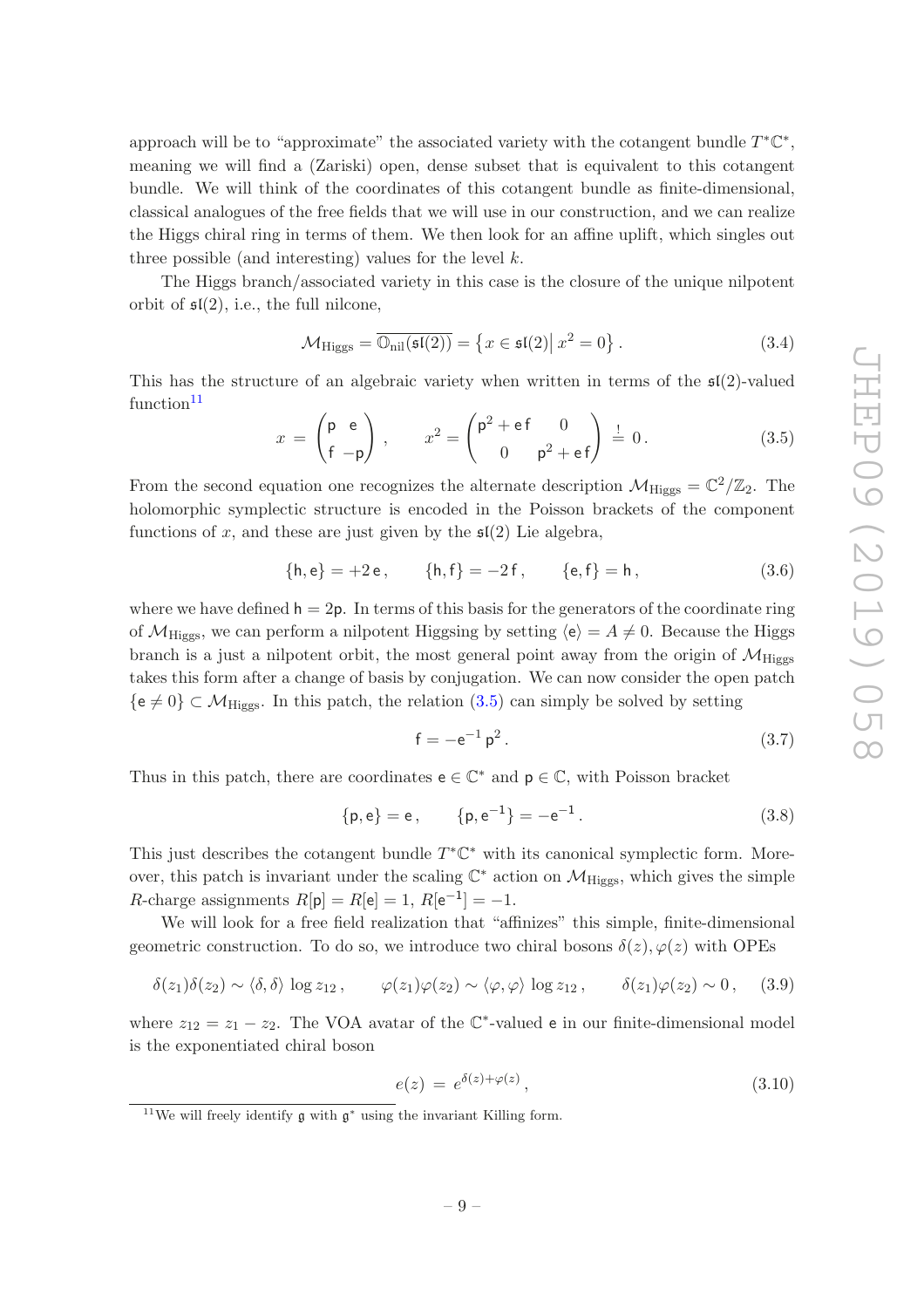approach will be to "approximate" the associated variety with the cotangent bundle  $T^* \mathbb{C}^*$ , meaning we will find a (Zariski) open, dense subset that is equivalent to this cotangent bundle. We will think of the coordinates of this cotangent bundle as finite-dimensional, classical analogues of the free fields that we will use in our construction, and we can realize the Higgs chiral ring in terms of them. We then look for an affine uplift, which singles out three possible (and interesting) values for the level  $k$ .

The Higgs branch/associated variety in this case is the closure of the unique nilpotent orbit of  $\mathfrak{sl}(2)$ , i.e., the full nilcone,

$$
\mathcal{M}_{\text{Higgs}} = \overline{\mathbb{O}_{\text{nil}}(\mathfrak{sl}(2))} = \left\{ x \in \mathfrak{sl}(2) \middle| \ x^2 = 0 \right\}. \tag{3.4}
$$

This has the structure of an algebraic variety when written in terms of the  $\mathfrak{sl}(2)$ -valued  $function<sup>11</sup>$  $function<sup>11</sup>$  $function<sup>11</sup>$ 

<span id="page-9-1"></span>
$$
x = \begin{pmatrix} \mathsf{p} & \mathsf{e} \\ \mathsf{f} & -\mathsf{p} \end{pmatrix}, \qquad x^2 = \begin{pmatrix} \mathsf{p}^2 + \mathsf{e}\,\mathsf{f} & 0 \\ 0 & \mathsf{p}^2 + \mathsf{e}\,\mathsf{f} \end{pmatrix} \stackrel{!}{=} 0.
$$
 (3.5)

From the second equation one recognizes the alternate description  $\mathcal{M}_{\text{Higgs}} = \mathbb{C}^2/\mathbb{Z}_2$ . The holomorphic symplectic structure is encoded in the Poisson brackets of the component functions of x, and these are just given by the  $\mathfrak{sl}(2)$  Lie algebra,

$$
\{\mathsf{h},\mathsf{e}\} = +2\,\mathsf{e}\,,\qquad \{\mathsf{h},\mathsf{f}\} = -2\,\mathsf{f}\,,\qquad \{\mathsf{e},\mathsf{f}\} = \mathsf{h}\,,\tag{3.6}
$$

where we have defined  $h = 2p$ . In terms of this basis for the generators of the coordinate ring of  $\mathcal{M}_{\text{Higgs}}$ , we can perform a nilpotent Higgsing by setting  $\langle e \rangle = A \neq 0$ . Because the Higgs branch is a just a nilpotent orbit, the most general point away from the origin of  $\mathcal{M}_{\text{Higgs}}$ takes this form after a change of basis by conjugation. We can now consider the open patch  $\{e \neq 0\} \subset \mathcal{M}_{\text{Higgs}}$ . In this patch, the relation  $(3.5)$  can simply be solved by setting

<span id="page-9-4"></span>
$$
f = -e^{-1} p^2.
$$
 (3.7)

Thus in this patch, there are coordinates  $\mathsf{e}\in\mathbb{C}^*$  and  $\mathsf{p}\in\mathbb{C},$  with Poisson bracket

<span id="page-9-2"></span>
$$
\{p, e\} = e, \qquad \{p, e^{-1}\} = -e^{-1}.
$$
 (3.8)

This just describes the cotangent bundle  $T^*\mathbb{C}^*$  with its canonical symplectic form. Moreover, this patch is invariant under the scaling  $\mathbb{C}^*$  action on  $\mathcal{M}_{\text{Higgs}}$ , which gives the simple *R*-charge assignments  $R[\mathbf{p}] = R[\mathbf{e}] = 1, R[\mathbf{e}^{-1}] = -1.$ 

We will look for a free field realization that "affinizes" this simple, finite-dimensional geometric construction. To do so, we introduce two chiral bosons  $\delta(z)$ ,  $\varphi(z)$  with OPEs

<span id="page-9-5"></span>
$$
\delta(z_1)\delta(z_2) \sim \langle \delta, \delta \rangle \log z_{12}, \qquad \varphi(z_1)\varphi(z_2) \sim \langle \varphi, \varphi \rangle \log z_{12}, \qquad \delta(z_1)\varphi(z_2) \sim 0, \quad (3.9)
$$

where  $z_{12} = z_1 - z_2$ . The VOA avatar of the C<sup>\*</sup>-valued e in our finite-dimensional model is the exponentiated chiral boson

<span id="page-9-3"></span>
$$
e(z) = e^{\delta(z) + \varphi(z)},\tag{3.10}
$$

<span id="page-9-0"></span><sup>&</sup>lt;sup>11</sup>We will freely identify  $\mathfrak g$  with  $\mathfrak g^*$  using the invariant Killing form.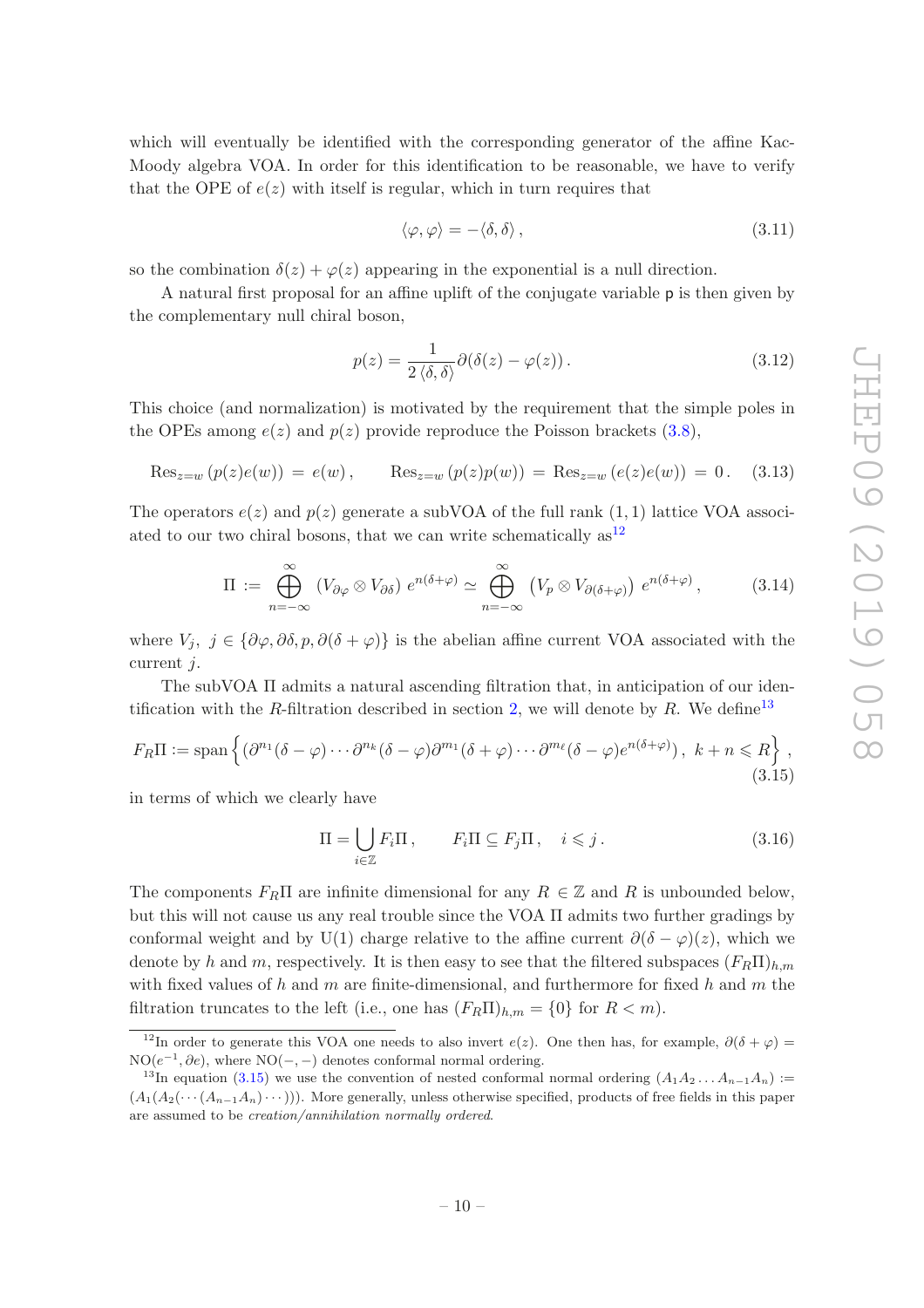which will eventually be identified with the corresponding generator of the affine Kac-Moody algebra VOA. In order for this identification to be reasonable, we have to verify that the OPE of  $e(z)$  with itself is regular, which in turn requires that

$$
\langle \varphi, \varphi \rangle = -\langle \delta, \delta \rangle \,, \tag{3.11}
$$

so the combination  $\delta(z) + \varphi(z)$  appearing in the exponential is a null direction.

A natural first proposal for an affine uplift of the conjugate variable p is then given by the complementary null chiral boson,

$$
p(z) = \frac{1}{2 \langle \delta, \delta \rangle} \partial(\delta(z) - \varphi(z)). \tag{3.12}
$$

This choice (and normalization) is motivated by the requirement that the simple poles in the OPEs among  $e(z)$  and  $p(z)$  provide reproduce the Poisson brackets [\(3.8\)](#page-9-2),

$$
\text{Res}_{z=w} (p(z)e(w)) = e(w), \quad \text{Res}_{z=w} (p(z)p(w)) = \text{Res}_{z=w} (e(z)e(w)) = 0. \quad (3.13)
$$

The operators  $e(z)$  and  $p(z)$  generate a subVOA of the full rank  $(1, 1)$  lattice VOA associated to our two chiral bosons, that we can write schematically  $as<sup>12</sup>$  $as<sup>12</sup>$  $as<sup>12</sup>$ 

<span id="page-10-3"></span>
$$
\Pi := \bigoplus_{n=-\infty}^{\infty} (V_{\partial \varphi} \otimes V_{\partial \delta}) e^{n(\delta + \varphi)} \simeq \bigoplus_{n=-\infty}^{\infty} (V_p \otimes V_{\partial (\delta + \varphi)}) e^{n(\delta + \varphi)}, \tag{3.14}
$$

where  $V_j, j \in {\partial \varphi, \partial \delta, p, \partial (\delta + \varphi)}$  is the abelian affine current VOA associated with the current j.

The subVOA Π admits a natural ascending filtration that, in anticipation of our iden-tification with the R-filtration described in section [2,](#page-4-0) we will denote by R. We define<sup>[13](#page-10-1)</sup>

<span id="page-10-2"></span>
$$
F_R \Pi := \text{span}\left\{ (\partial^{n_1} (\delta - \varphi) \cdots \partial^{n_k} (\delta - \varphi) \partial^{m_1} (\delta + \varphi) \cdots \partial^{m_\ell} (\delta - \varphi) e^{n(\delta + \varphi)}), k + n \leq R \right\},\tag{3.15}
$$

in terms of which we clearly have

$$
\Pi = \bigcup_{i \in \mathbb{Z}} F_i \Pi, \qquad F_i \Pi \subseteq F_j \Pi, \quad i \leq j. \tag{3.16}
$$

The components  $F_R\Pi$  are infinite dimensional for any  $R \in \mathbb{Z}$  and R is unbounded below, but this will not cause us any real trouble since the VOA Π admits two further gradings by conformal weight and by U(1) charge relative to the affine current  $\partial(\delta - \varphi)(z)$ , which we denote by h and m, respectively. It is then easy to see that the filtered subspaces  $(F_R \Pi)_h$  m with fixed values of h and m are finite-dimensional, and furthermore for fixed h and m the filtration truncates to the left (i.e., one has  $(F_R \Pi)_{h,m} = \{0\}$  for  $R < m$ ).

<span id="page-10-0"></span><sup>&</sup>lt;sup>12</sup>In order to generate this VOA one needs to also invert  $e(z)$ . One then has, for example,  $\partial(\delta + \varphi) =$  $NO(e^{-1}, \partial e)$ , where  $NO(-, -)$  denotes conformal normal ordering.

<span id="page-10-1"></span><sup>&</sup>lt;sup>13</sup>In equation [\(3.15\)](#page-10-2) we use the convention of nested conformal normal ordering  $(A_1A_2 \ldots A_{n-1}A_n)$  :=  $(A_1(A_2(\cdots(A_{n-1}A_n)\cdots)))$ . More generally, unless otherwise specified, products of free fields in this paper are assumed to be creation/annihilation normally ordered.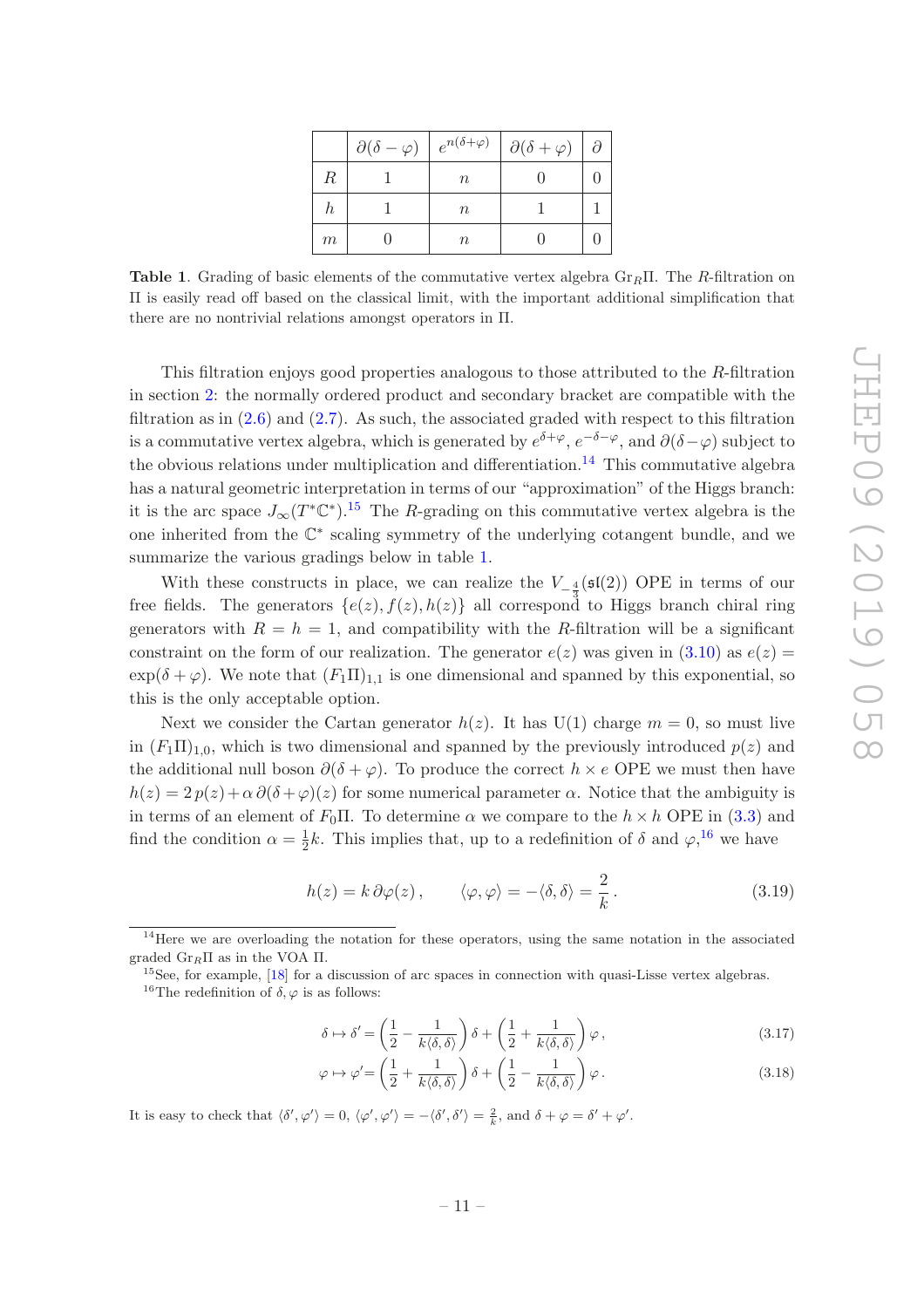|   | $\partial(\delta-\varphi)$ |        | $e^{n(\delta+\varphi)}\mid \partial(\delta+\varphi)$ | $\partial$ |
|---|----------------------------|--------|------------------------------------------------------|------------|
| R |                            | $\, n$ |                                                      |            |
| n |                            | $\, n$ |                                                      |            |
| m |                            | $\, n$ |                                                      |            |

<span id="page-11-2"></span>Table 1. Grading of basic elements of the commutative vertex algebra  $\text{Gr}_{R}\Pi$ . The R-filtration on Π is easily read off based on the classical limit, with the important additional simplification that there are no nontrivial relations amongst operators in Π.

This filtration enjoys good properties analogous to those attributed to the R-filtration in section [2:](#page-4-0) the normally ordered product and secondary bracket are compatible with the filtration as in  $(2.6)$  and  $(2.7)$ . As such, the associated graded with respect to this filtration is a commutative vertex algebra, which is generated by  $e^{\delta+\varphi}$ ,  $e^{-\delta-\varphi}$ , and  $\partial(\delta-\varphi)$  subject to the obvious relations under multiplication and differentiation.<sup>[14](#page-11-0)</sup> This commutative algebra has a natural geometric interpretation in terms of our "approximation" of the Higgs branch: it is the arc space  $J_{\infty}(T^*\mathbb{C}^*)$ .<sup>[15](#page-11-1)</sup> The R-grading on this commutative vertex algebra is the one inherited from the  $\mathbb{C}^*$  scaling symmetry of the underlying cotangent bundle, and we summarize the various gradings below in table [1.](#page-11-2)

With these constructs in place, we can realize the  $V_{-\frac{4}{3}}(\mathfrak{sl}(2))$  OPE in terms of our free fields. The generators  $\{e(z), f(z), h(z)\}\$  all correspond to Higgs branch chiral ring generators with  $R = h = 1$ , and compatibility with the R-filtration will be a significant constraint on the form of our realization. The generator  $e(z)$  was given in [\(3.10\)](#page-9-3) as  $e(z)$  =  $\exp(\delta + \varphi)$ . We note that  $(F_1\Pi)_{1,1}$  is one dimensional and spanned by this exponential, so this is the only acceptable option.

Next we consider the Cartan generator  $h(z)$ . It has U(1) charge  $m = 0$ , so must live in  $(F_1\Pi)_{1,0}$ , which is two dimensional and spanned by the previously introduced  $p(z)$  and the additional null boson  $\partial(\delta + \varphi)$ . To produce the correct  $h \times e$  OPE we must then have  $h(z) = 2 p(z) + \alpha \partial(\delta + \varphi)(z)$  for some numerical parameter  $\alpha$ . Notice that the ambiguity is in terms of an element of  $F_0$ Π. To determine  $\alpha$  we compare to the  $h \times h$  OPE in [\(3.3\)](#page-8-4) and find the condition  $\alpha = \frac{1}{2}$  $\frac{1}{2}k$ . This implies that, up to a redefinition of  $\delta$  and  $\varphi$ , <sup>[16](#page-11-3)</sup> we have

<span id="page-11-4"></span>
$$
h(z) = k \partial \varphi(z), \qquad \langle \varphi, \varphi \rangle = -\langle \delta, \delta \rangle = \frac{2}{k}.
$$
 (3.19)

$$
\delta \mapsto \delta' = \left(\frac{1}{2} - \frac{1}{k\langle \delta, \delta \rangle}\right) \delta + \left(\frac{1}{2} + \frac{1}{k\langle \delta, \delta \rangle}\right) \varphi ,\qquad (3.17)
$$

$$
\varphi \mapsto \varphi' = \left(\frac{1}{2} + \frac{1}{k\langle \delta, \delta \rangle}\right)\delta + \left(\frac{1}{2} - \frac{1}{k\langle \delta, \delta \rangle}\right)\varphi.
$$
\n(3.18)

It is easy to check that  $\langle \delta', \varphi' \rangle = 0$ ,  $\langle \varphi', \varphi' \rangle = -\langle \delta', \delta' \rangle = \frac{2}{k}$ , and  $\delta + \varphi = \delta' + \varphi'$ .

 $14$ Here we are overloading the notation for these operators, using the same notation in the associated graded  $Gr_R\Pi$  as in the VOA  $\Pi$ .

<span id="page-11-0"></span> $15$ See, for example, [\[18](#page-36-2)] for a discussion of arc spaces in connection with quasi-Lisse vertex algebras.

<span id="page-11-3"></span><span id="page-11-1"></span><sup>&</sup>lt;sup>16</sup>The redefinition of  $\delta$ ,  $\varphi$  is as follows: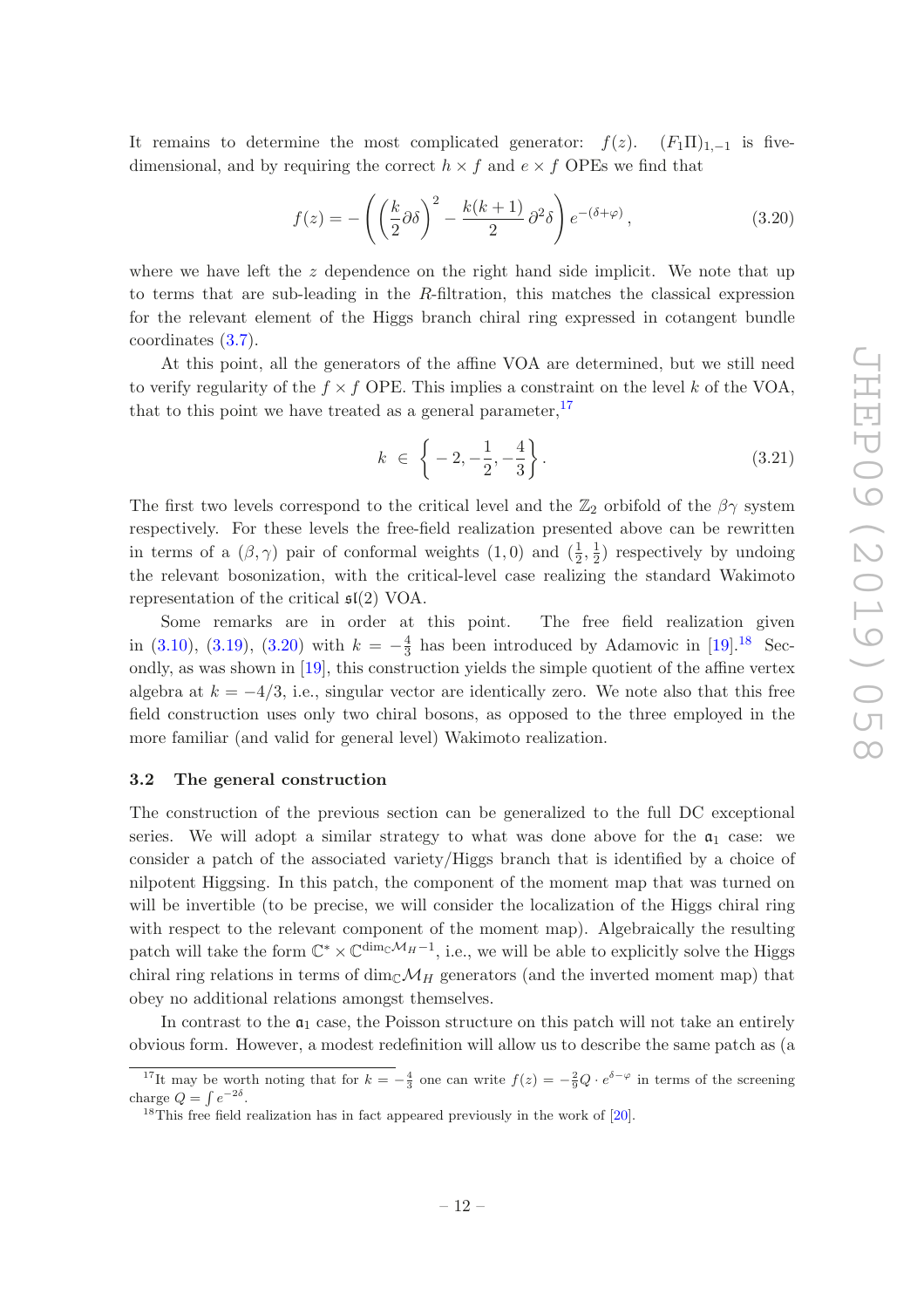It remains to determine the most complicated generator:  $f(z)$ .  $(F_1\Pi)_{1,-1}$  is fivedimensional, and by requiring the correct  $h \times f$  and  $e \times f$  OPEs we find that

<span id="page-12-2"></span>
$$
f(z) = -\left(\left(\frac{k}{2}\partial\delta\right)^2 - \frac{k(k+1)}{2}\partial^2\delta\right)e^{-(\delta+\varphi)},\tag{3.20}
$$

where we have left the  $z$  dependence on the right hand side implicit. We note that up to terms that are sub-leading in the  $R$ -filtration, this matches the classical expression for the relevant element of the Higgs branch chiral ring expressed in cotangent bundle coordinates [\(3.7\)](#page-9-4).

At this point, all the generators of the affine VOA are determined, but we still need to verify regularity of the  $f \times f$  OPE. This implies a constraint on the level k of the VOA. that to this point we have treated as a general parameter,  $17$ 

<span id="page-12-4"></span>
$$
k \in \left\{-2, -\frac{1}{2}, -\frac{4}{3}\right\}.
$$
\n(3.21)

The first two levels correspond to the critical level and the  $\mathbb{Z}_2$  orbifold of the  $\beta\gamma$  system respectively. For these levels the free-field realization presented above can be rewritten in terms of a  $(\beta, \gamma)$  pair of conformal weights  $(1,0)$  and  $(\frac{1}{2}, \frac{1}{2})$  $(\frac{1}{2})$  respectively by undoing the relevant bosonization, with the critical-level case realizing the standard Wakimoto representation of the critical  $\mathfrak{sl}(2)$  VOA.

Some remarks are in order at this point. The free field realization given in [\(3.10\)](#page-9-3), [\(3.19\)](#page-11-4), [\(3.20\)](#page-12-2) with  $k = -\frac{4}{3}$  $\frac{4}{3}$  has been introduced by Adamovic in [\[19\]](#page-36-3).<sup>[18](#page-12-3)</sup> Secondly, as was shown in [\[19](#page-36-3)], this construction yields the simple quotient of the affine vertex algebra at  $k = -4/3$ , i.e., singular vector are identically zero. We note also that this free field construction uses only two chiral bosons, as opposed to the three employed in the more familiar (and valid for general level) Wakimoto realization.

#### <span id="page-12-0"></span>3.2 The general construction

The construction of the previous section can be generalized to the full DC exceptional series. We will adopt a similar strategy to what was done above for the  $a_1$  case: we consider a patch of the associated variety/Higgs branch that is identified by a choice of nilpotent Higgsing. In this patch, the component of the moment map that was turned on will be invertible (to be precise, we will consider the localization of the Higgs chiral ring with respect to the relevant component of the moment map). Algebraically the resulting patch will take the form  $\mathbb{C}^* \times \mathbb{C}^{\dim_{\mathbb{C}}\mathcal{M}_H-1}$ , i.e., we will be able to explicitly solve the Higgs chiral ring relations in terms of dim<sub>C</sub> $\mathcal{M}_H$  generators (and the inverted moment map) that obey no additional relations amongst themselves.

In contrast to the  $a_1$  case, the Poisson structure on this patch will not take an entirely obvious form. However, a modest redefinition will allow us to describe the same patch as (a

<sup>&</sup>lt;sup>17</sup>It may be worth noting that for  $k = -\frac{4}{3}$  one can write  $f(z) = -\frac{2}{9}Q \cdot e^{\delta - \varphi}$  in terms of the screening charge  $Q = \int e^{-2\delta}$ .

<span id="page-12-3"></span><span id="page-12-1"></span><sup>&</sup>lt;sup>18</sup>This free field realization has in fact appeared previously in the work of  $[20]$ .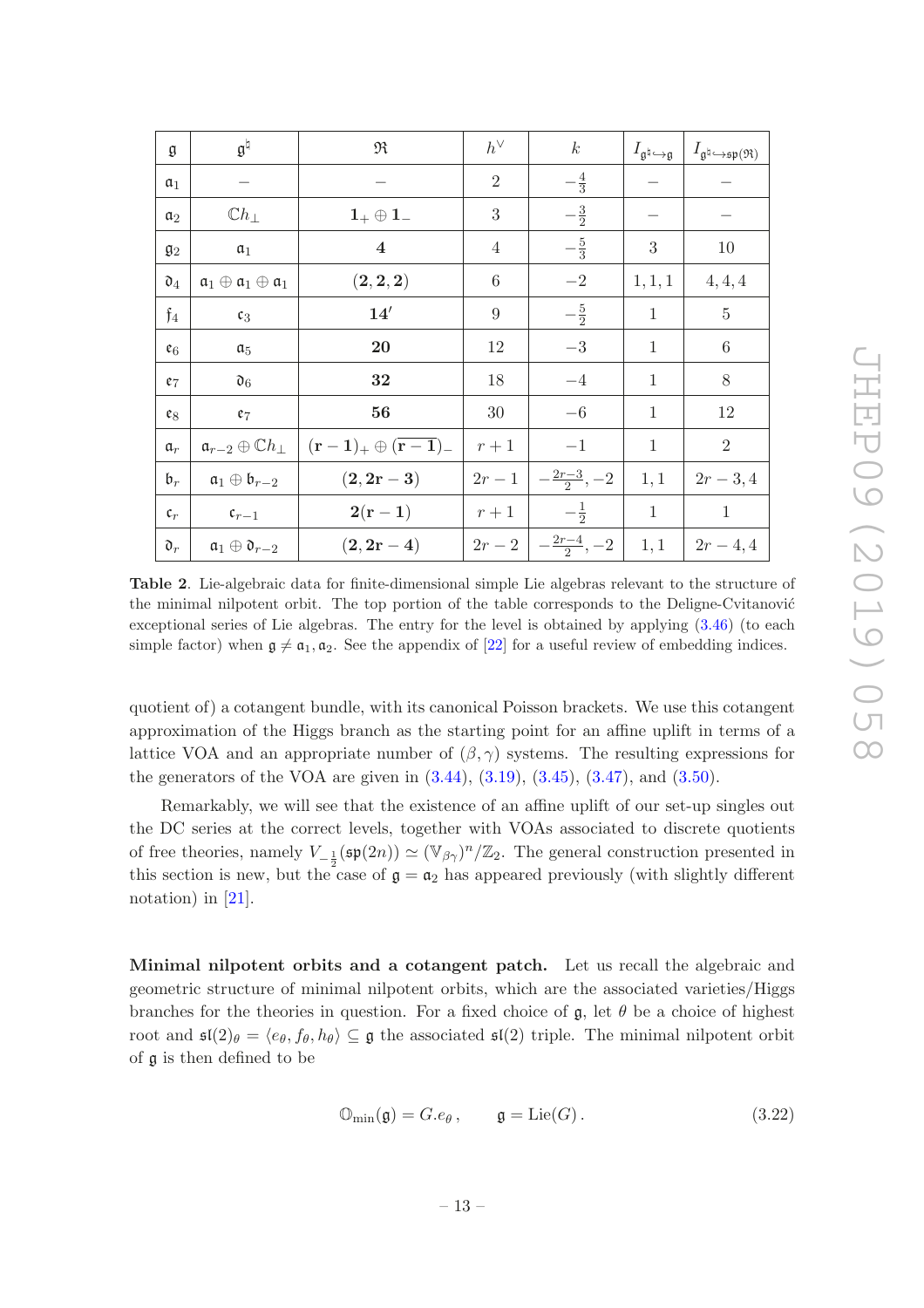| g                 | $\mathfrak{g}^{\natural}$                                | R                                                     | $h^\vee$       | $\boldsymbol{k}$      | $I_{\mathfrak{a}^\natural\hookrightarrow \mathfrak{g}}$ | $I_{\mathfrak{g}^\natural\hookrightarrow \mathfrak{sp}(\mathfrak{R})}$ |
|-------------------|----------------------------------------------------------|-------------------------------------------------------|----------------|-----------------------|---------------------------------------------------------|------------------------------------------------------------------------|
| $\mathfrak{a}_1$  |                                                          |                                                       | $\overline{2}$ | $-\frac{4}{3}$        |                                                         |                                                                        |
| a <sub>2</sub>    | $\mathbb{C}h_{\perp}$                                    | $\mathbf{1}_{+}\oplus \mathbf{1}_{-}$                 | 3              | $-\frac{3}{2}$        |                                                         |                                                                        |
| $\mathfrak{g}_2$  | $a_1$                                                    | $\overline{\mathbf{4}}$                               | 4              | $-\frac{5}{3}$        | $\boldsymbol{3}$                                        | 10                                                                     |
| $\mathfrak{d}_4$  | $\mathfrak{a}_1\oplus\mathfrak{a}_1\oplus\mathfrak{a}_1$ | $({\bf 2},{\bf 2},{\bf 2})$                           | $\,6\,$        | $-2$                  | 1, 1, 1                                                 | 4, 4, 4                                                                |
| $\mathfrak{f}_4$  | $\mathfrak{c}_3$                                         | 14'                                                   | 9              | $-\frac{5}{2}$        | 1                                                       | $\overline{5}$                                                         |
| $\mathfrak{e}_6$  | $\mathfrak{a}_5$                                         | 20                                                    | 12             | $-3\,$                | $\mathbf{1}$                                            | $\,6\,$                                                                |
| $e_7$             | $\mathfrak{d}_6$                                         | 32                                                    | 18             | $-4$                  | 1                                                       | 8                                                                      |
| ${\mathfrak e}_8$ | $e_7$                                                    | 56                                                    | 30             | $-6$                  | $\mathbf{1}$                                            | 12                                                                     |
| $\mathfrak{a}_r$  | $\mathfrak{a}_{r-2}\oplus \mathbb{C}h_{\perp}$           | $({\bf r}-{\bf 1})_+ \oplus ({\bf \overline{r-1}})_-$ | $r+1$          | $-1$                  | $\mathbf{1}$                                            | $\overline{2}$                                                         |
| $\mathfrak{b}_r$  | $\mathfrak{a}_1\oplus \mathfrak{b}_{r-2}$                | $(2, 2r - 3)$                                         | $2r-1$         | $-\frac{2r-3}{2}, -2$ | 1,1                                                     | $2r-3,4$                                                               |
| $\mathfrak{c}_r$  | $\mathfrak{c}_{r-1}$                                     | $2(r-1)$                                              | $r+1$          | $-\frac{1}{2}$        | $\mathbf{1}$                                            | $\mathbf{1}$                                                           |
| $\mathfrak{d}_r$  | $\mathfrak{a}_1\oplus \mathfrak{d}_{r-2}$                | $(2, 2r - 4)$                                         | $2r-2$         | $-\frac{2r-4}{2}, -2$ | 1,1                                                     | $2r-4,4$                                                               |

<span id="page-13-1"></span>Table 2. Lie-algebraic data for finite-dimensional simple Lie algebras relevant to the structure of the minimal nilpotent orbit. The top portion of the table corresponds to the Deligne-Cvitanović exceptional series of Lie algebras. The entry for the level is obtained by applying [\(3.46\)](#page-17-0) (to each simple factor) when  $\mathfrak{g} \neq \mathfrak{a}_1, \mathfrak{a}_2$ . See the appendix of [\[22\]](#page-36-5) for a useful review of embedding indices.

quotient of) a cotangent bundle, with its canonical Poisson brackets. We use this cotangent approximation of the Higgs branch as the starting point for an affine uplift in terms of a lattice VOA and an appropriate number of  $(\beta, \gamma)$  systems. The resulting expressions for the generators of the VOA are given in  $(3.44)$ ,  $(3.19)$ ,  $(3.45)$ ,  $(3.47)$ , and  $(3.50)$ .

Remarkably, we will see that the existence of an affine uplift of our set-up singles out the DC series at the correct levels, together with VOAs associated to discrete quotients of free theories, namely  $V_{-\frac{1}{2}}(\mathfrak{sp}(2n)) \simeq (\mathbb{V}_{\beta\gamma})^n/\mathbb{Z}_2$ . The general construction presented in this section is new, but the case of  $\mathfrak{g} = \mathfrak{a}_2$  has appeared previously (with slightly different notation) in [\[21\]](#page-36-6).

<span id="page-13-0"></span>Minimal nilpotent orbits and a cotangent patch. Let us recall the algebraic and geometric structure of minimal nilpotent orbits, which are the associated varieties/Higgs branches for the theories in question. For a fixed choice of  $\mathfrak{g}$ , let  $\theta$  be a choice of highest root and  $\mathfrak{sl}(2)_{\theta} = \langle e_{\theta}, f_{\theta}, h_{\theta} \rangle \subseteq \mathfrak{g}$  the associated  $\mathfrak{sl}(2)$  triple. The minimal nilpotent orbit of g is then defined to be

$$
\mathbb{O}_{\min}(\mathfrak{g}) = G.e_{\theta}, \qquad \mathfrak{g} = \text{Lie}(G). \tag{3.22}
$$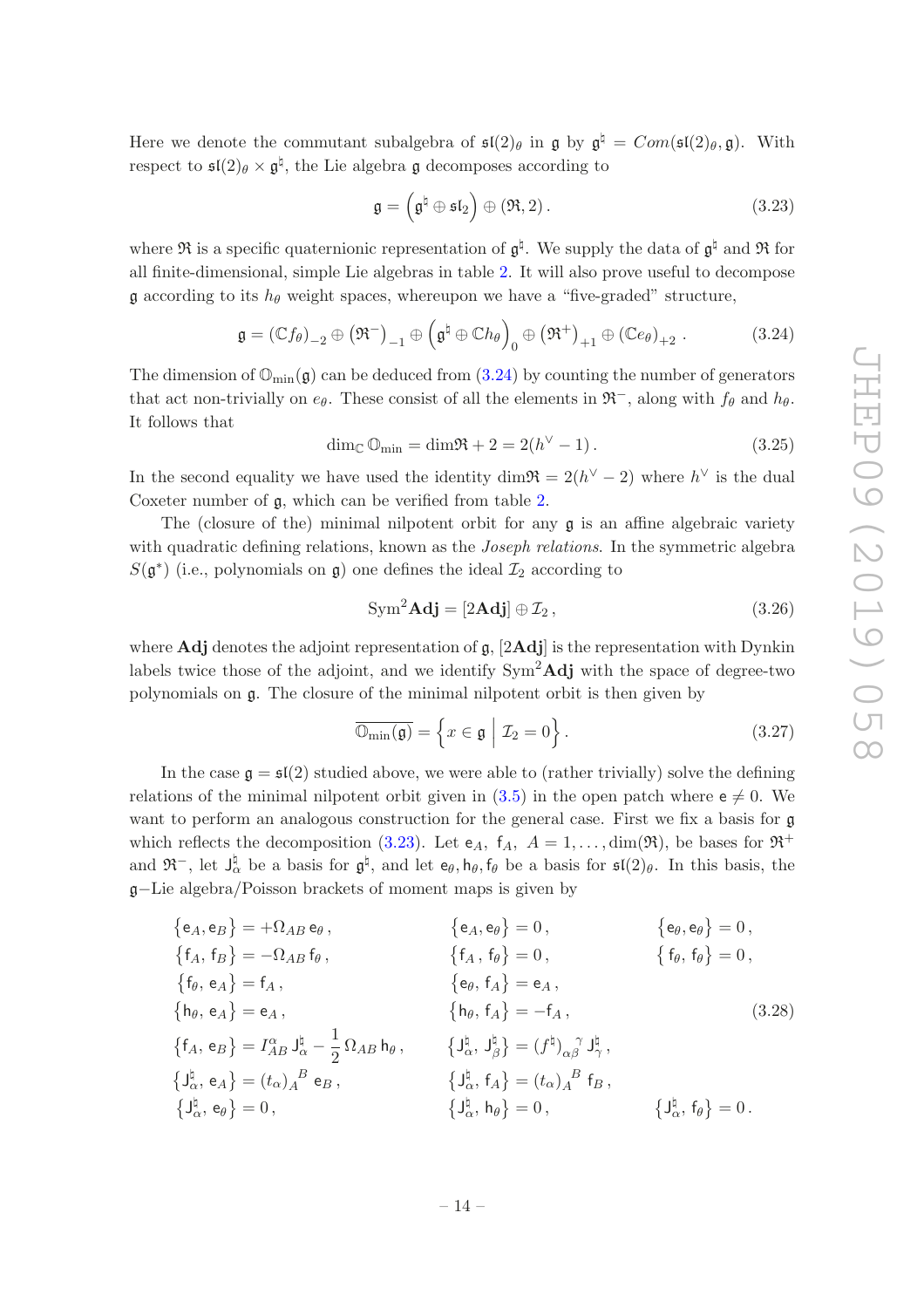Here we denote the commutant subalgebra of  $\mathfrak{sl}(2)_{\theta}$  in  $\mathfrak g$  by  $\mathfrak g^{\natural} = Com(\mathfrak{sl}(2)_{\theta}, \mathfrak g)$ . With respect to  $\mathfrak{sl}(2)_{\theta} \times \mathfrak{g}^{\natural}$ , the Lie algebra  $\mathfrak g$  decomposes according to

<span id="page-14-1"></span>
$$
\mathfrak{g} = \left(\mathfrak{g}^{\natural} \oplus \mathfrak{sl}_2\right) \oplus \left(\mathfrak{R}, 2\right). \tag{3.23}
$$

where  $\mathfrak{R}$  is a specific quaternionic representation of  $\mathfrak{g}^{\sharp}$ . We supply the data of  $\mathfrak{g}^{\sharp}$  and  $\mathfrak{R}$  for all finite-dimensional, simple Lie algebras in table [2.](#page-13-1) It will also prove useful to decompose  $\mathfrak g$  according to its  $h_\theta$  weight spaces, whereupon we have a "five-graded" structure,

<span id="page-14-0"></span>
$$
\mathfrak{g} = (\mathbb{C}f_{\theta})_{-2} \oplus (\mathfrak{R}^{-})_{-1} \oplus (\mathfrak{g}^{\natural} \oplus \mathbb{C}h_{\theta})_{0} \oplus (\mathfrak{R}^{+})_{+1} \oplus (\mathbb{C}e_{\theta})_{+2} .
$$
 (3.24)

The dimension of  $\mathbb{O}_{\text{min}}(\mathfrak{g})$  can be deduced from  $(3.24)$  by counting the number of generators that act non-trivially on  $e_{\theta}$ . These consist of all the elements in  $\mathfrak{R}^-$ , along with  $f_{\theta}$  and  $h_{\theta}$ . It follows that

$$
\dim_{\mathbb{C}} \mathbb{O}_{\min} = \dim \mathfrak{R} + 2 = 2(h^{\vee} - 1).
$$
 (3.25)

In the second equality we have used the identity dim $\Re = 2(h^{\vee} - 2)$  where  $h^{\vee}$  is the dual Coxeter number of g, which can be verified from table [2.](#page-13-1)

The (closure of the) minimal nilpotent orbit for any  $\alpha$  is an affine algebraic variety with quadratic defining relations, known as the *Joseph relations*. In the symmetric algebra  $S(\mathfrak{g}^*)$  (i.e., polynomials on  $\mathfrak{g})$  one defines the ideal  $\mathcal{I}_2$  according to

<span id="page-14-3"></span>
$$
Sym2 Adj = [2Adj] \oplus \mathcal{I}_2,
$$
\n(3.26)

where **Adj** denotes the adjoint representation of  $\mathfrak{g}$ , [2**Adj**] is the representation with Dynkin labels twice those of the adjoint, and we identify  $\text{Sym}^2\text{Adj}$  with the space of degree-two polynomials on g. The closure of the minimal nilpotent orbit is then given by

<span id="page-14-2"></span>
$$
\overline{\mathbb{O}_{\min}(\mathfrak{g})} = \left\{ x \in \mathfrak{g} \mid \mathcal{I}_2 = 0 \right\}.
$$
 (3.27)

In the case  $\mathfrak{g} = \mathfrak{sl}(2)$  studied above, we were able to (rather trivially) solve the defining relations of the minimal nilpotent orbit given in [\(3.5\)](#page-9-1) in the open patch where  $e \neq 0$ . We want to perform an analogous construction for the general case. First we fix a basis for g which reflects the decomposition [\(3.23\)](#page-14-1). Let  $e_A$ ,  $f_A$ ,  $A = 1, \ldots, \dim(\mathfrak{R})$ , be bases for  $\mathfrak{R}^+$ and  $\mathfrak{R}^-$ , let  $J_{\alpha}^{\natural}$  be a basis for  $\mathfrak{g}^{\natural}$ , and let  $e_{\theta}, h_{\theta}, f_{\theta}$  be a basis for  $\mathfrak{sl}(2)_{\theta}$ . In this basis, the g−Lie algebra/Poisson brackets of moment maps is given by

$$
\{e_A, e_B\} = +\Omega_{AB} e_\theta, \qquad \{e_A, e_\theta\} = 0, \qquad \{e_\theta, e_\theta\} = 0, \n\{f_A, f_B\} = -\Omega_{AB} f_\theta, \qquad \{f_A, f_\theta\} = 0, \qquad \{f_\theta, f_\theta\} = 0, \n\{f_\theta, e_A\} = f_A, \qquad \{e_\theta, f_A\} = e_A, \n\{h_\theta, e_A\} = e_A, \qquad \{h_\theta, f_A\} = -f_A, \n\{f_A, e_B\} = I_{AB}^{\alpha} J_{\alpha}^{\beta} - \frac{1}{2} \Omega_{AB} h_\theta, \qquad \{J_{\alpha}^{\beta}, J_{\beta}^{\beta}\} = (f^{\natural})_{\alpha\beta} J_{\gamma}^{\beta}, \n\{J_{\alpha}^{\natural}, e_A\} = (t_{\alpha})_{A}^{B} e_B, \qquad \{J_{\alpha}^{\natural}, f_A\} = (t_{\alpha})_{A}^{B} f_B, \n\{J_{\alpha}^{\natural}, e_\theta\} = 0, \qquad \{J_{\alpha}^{\natural}, h_\theta\} = 0, \qquad \{J_{\alpha}^{\natural}, f_\theta\} = 0.
$$
\n(3.28)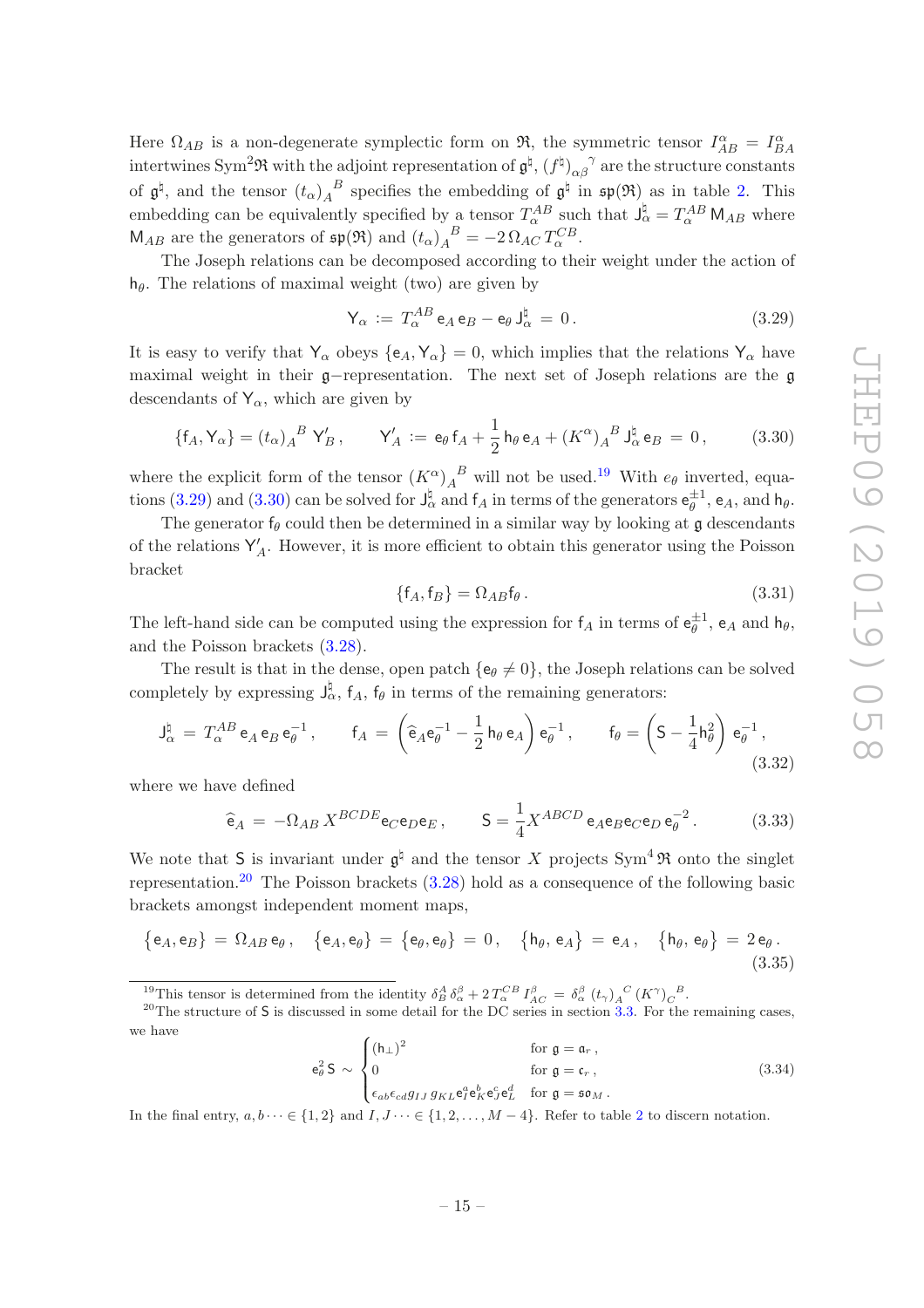Here  $\Omega_{AB}$  is a non-degenerate symplectic form on  $\Re$ , the symmetric tensor  $I_{AB}^{\alpha} = I_{BA}^{\alpha}$ intertwines Sym<sup>2</sup> $\Re$  with the adjoint representation of  $\mathfrak{g}^{\natural}$ ,  $(f^{\natural})_{\alpha\beta}^{\gamma}$  are the structure constants of  $\mathfrak{g}^{\natural}$ , and the tensor  $(t_{\alpha})_A^{\ B}$  $A^B$  specifies the embedding of  $\mathfrak{g}^{\natural}$  in  $\mathfrak{sp}(\mathfrak{R})$  as in table [2.](#page-13-1) This embedding can be equivalently specified by a tensor  $T_{\alpha}^{AB}$  such that  $J_{\alpha}^{\dagger} = T_{\alpha}^{AB} M_{AB}$  where  $\mathsf{M}_{AB}$  are the generators of  $\mathfrak{sp}(\mathfrak{R})$  and  $(t_{\alpha})_A^B = -2\Omega_{AC}T_{\alpha}^{CB}$ .

The Joseph relations can be decomposed according to their weight under the action of  $h_{\theta}$ . The relations of maximal weight (two) are given by

<span id="page-15-1"></span>
$$
\mathsf{Y}_{\alpha} := T_{\alpha}^{AB} \mathsf{e}_A \mathsf{e}_B - \mathsf{e}_{\theta} \mathsf{J}_{\alpha}^{\natural} = 0. \tag{3.29}
$$

It is easy to verify that  $Y_\alpha$  obeys  $\{e_A, Y_\alpha\} = 0$ , which implies that the relations  $Y_\alpha$  have maximal weight in their g−representation. The next set of Joseph relations are the g descendants of  $Y_\alpha$ , which are given by

<span id="page-15-2"></span>
$$
\{f_A, Y_{\alpha}\} = (t_{\alpha})_A^{B} Y'_B, \qquad Y'_A := e_{\theta} f_A + \frac{1}{2} h_{\theta} e_A + (K^{\alpha})_A^{B} J_{\alpha}^{\sharp} e_B = 0, \qquad (3.30)
$$

where the explicit form of the tensor  $(K^{\alpha})_A^B$  will not be used.<sup>[19](#page-15-0)</sup> With  $e_{\theta}$  inverted, equa-tions [\(3.29\)](#page-15-1) and [\(3.30\)](#page-15-2) can be solved for  $J_{\alpha}^{\nmid}$  and  $f_A$  in terms of the generators  $e_{\theta}^{\pm 1}$ ,  $e_A$ , and  $h_{\theta}$ .

The generator  $f_{\theta}$  could then be determined in a similar way by looking at g descendants of the relations  $Y'$  $A<sub>A</sub>$ . However, it is more efficient to obtain this generator using the Poisson bracket

$$
\{f_A, f_B\} = \Omega_{AB} f_\theta \,. \tag{3.31}
$$

The left-hand side can be computed using the expression for  $f_A$  in terms of  $e_{\theta}^{\pm 1}$ ,  $e_A$  and  $h_{\theta}$ , and the Poisson brackets [\(3.28\)](#page-14-2).

The result is that in the dense, open patch  $\{e_{\theta} \neq 0\}$ , the Joseph relations can be solved completely by expressing  $J_{\alpha}^{\natural}$ ,  $f_A$ ,  $f_{\theta}$  in terms of the remaining generators:

<span id="page-15-4"></span>
$$
\mathsf{J}_{\alpha}^{\natural} = T_{\alpha}^{AB} \mathsf{e}_{A} \mathsf{e}_{B} \mathsf{e}_{\theta}^{-1}, \qquad \mathsf{f}_{A} = \left(\widehat{\mathsf{e}}_{A} \mathsf{e}_{\theta}^{-1} - \frac{1}{2} \mathsf{h}_{\theta} \mathsf{e}_{A}\right) \mathsf{e}_{\theta}^{-1}, \qquad \mathsf{f}_{\theta} = \left(\mathsf{S} - \frac{1}{4} \mathsf{h}_{\theta}^{2}\right) \mathsf{e}_{\theta}^{-1}, \tag{3.32}
$$

where we have defined

<span id="page-15-5"></span>
$$
\hat{\mathbf{e}}_A = -\Omega_{AB} X^{BCDE} \mathbf{e}_C \mathbf{e}_D \mathbf{e}_E, \qquad \mathbf{S} = \frac{1}{4} X^{ABCD} \mathbf{e}_A \mathbf{e}_B \mathbf{e}_C \mathbf{e}_D \mathbf{e}_\theta^{-2}.
$$
 (3.33)

We note that S is invariant under  $\mathfrak{g}^{\natural}$  and the tensor X projects Sym<sup>4</sup>  $\mathfrak{R}$  onto the singlet representation.<sup>[20](#page-15-3)</sup> The Poisson brackets  $(3.28)$  hold as a consequence of the following basic brackets amongst independent moment maps,

<span id="page-15-6"></span>
$$
\{e_A, e_B\} = \Omega_{AB} e_{\theta}, \quad \{e_A, e_{\theta}\} = \{e_{\theta}, e_{\theta}\} = 0, \quad \{h_{\theta}, e_A\} = e_A, \quad \{h_{\theta}, e_{\theta}\} = 2 e_{\theta}.
$$
\n(3.35)

<span id="page-15-0"></span><sup>19</sup>This tensor is determined from the identity  $\delta_B^A \delta_\alpha^\beta + 2 T_\alpha^{CB} I_{AC}^\beta = \delta_\alpha^\beta (t_\gamma)_A^C (K^\gamma)_C^B$ .

$$
e_{\theta}^{2} S \sim \begin{cases} (h_{\perp})^{2} & \text{for } g = a_{r}, \\ 0 & \text{for } g = c_{r}, \\ \epsilon_{ab} \epsilon_{cd} g_{IJ} g_{KL} e_{I}^{a} e_{K}^{b} e_{J}^{c} e_{L}^{d} & \text{for } g = s \mathfrak{o}_{M}. \end{cases}
$$
(3.34)

In the final entry,  $a, b \cdots \in \{1, 2\}$  $a, b \cdots \in \{1, 2\}$  $a, b \cdots \in \{1, 2\}$  and  $I, J \cdots \in \{1, 2, \ldots, M-4\}$ . Refer to table 2 to discern notation.

<span id="page-15-3"></span><sup>&</sup>lt;sup>20</sup>The structure of S is discussed in some detail for the DC series in section [3.3.](#page-21-0) For the remaining cases, we have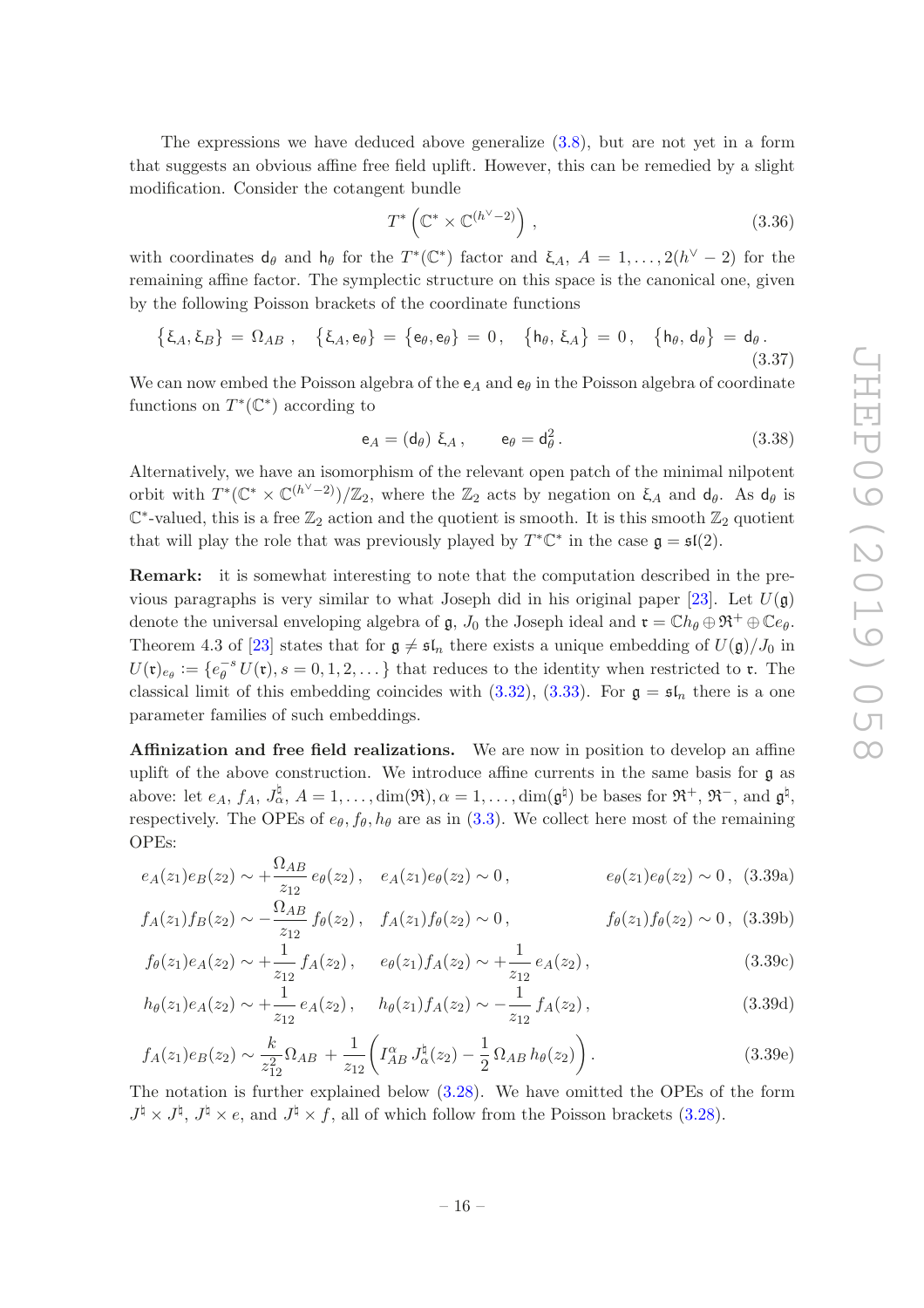The expressions we have deduced above generalize [\(3.8\)](#page-9-2), but are not yet in a form that suggests an obvious affine free field uplift. However, this can be remedied by a slight modification. Consider the cotangent bundle

<span id="page-16-0"></span>
$$
T^* \left( \mathbb{C}^* \times \mathbb{C}^{(h^\vee - 2)} \right), \tag{3.36}
$$

with coordinates  $d_{\theta}$  and  $h_{\theta}$  for the  $T^*(\mathbb{C}^*)$  factor and  $\xi_A$ ,  $A = 1, \ldots, 2(h^{\vee} - 2)$  for the remaining affine factor. The symplectic structure on this space is the canonical one, given by the following Poisson brackets of the coordinate functions

<span id="page-16-1"></span>
$$
\{\xi_A, \xi_B\} = \Omega_{AB} , \quad \{\xi_A, e_\theta\} = \{e_\theta, e_\theta\} = 0 , \quad \{h_\theta, \xi_A\} = 0 , \quad \{h_\theta, d_\theta\} = d_\theta .
$$
\n(3.37)

We can now embed the Poisson algebra of the  $e_A$  and  $e_\theta$  in the Poisson algebra of coordinate functions on  $T^*(\mathbb{C}^*)$  according to

<span id="page-16-3"></span><span id="page-16-2"></span>
$$
\mathsf{e}_A = (\mathsf{d}_\theta) \; \mathsf{E}_A \,, \qquad \mathsf{e}_\theta = \mathsf{d}_\theta^2 \,. \tag{3.38}
$$

Alternatively, we have an isomorphism of the relevant open patch of the minimal nilpotent orbit with  $T^*(\mathbb{C}^* \times \mathbb{C}^{(h^{\vee}-2)})/\mathbb{Z}_2$ , where the  $\mathbb{Z}_2$  acts by negation on  $\xi_A$  and  $d_{\theta}$ . As  $d_{\theta}$  is  $\mathbb{C}^*$ -valued, this is a free  $\mathbb{Z}_2$  action and the quotient is smooth. It is this smooth  $\mathbb{Z}_2$  quotient that will play the role that was previously played by  $T^* \mathbb{C}^*$  in the case  $\mathfrak{g} = \mathfrak{sl}(2)$ .

Remark: it is somewhat interesting to note that the computation described in the pre-vious paragraphs is very similar to what Joseph did in his original paper [\[23](#page-36-7)]. Let  $U(\mathfrak{g})$ denote the universal enveloping algebra of g,  $J_0$  the Joseph ideal and  $\mathfrak{r} = \mathbb{C} h_{\theta} \oplus \mathfrak{R}^+ \oplus \mathbb{C} e_{\theta}$ . Theorem 4.3 of [\[23\]](#page-36-7) states that for  $g \neq \mathfrak{sl}_n$  there exists a unique embedding of  $U(\mathfrak{g})/J_0$  in  $U(\mathfrak{r})_{e_{\theta}} := \{e_{\theta}^{-s} U(\mathfrak{r}), s = 0, 1, 2, \dots\}$  that reduces to the identity when restricted to r. The classical limit of this embedding coincides with  $(3.32)$ ,  $(3.33)$ . For  $\mathfrak{g} = \mathfrak{sl}_n$  there is a one parameter families of such embeddings.

<span id="page-16-5"></span>Affinization and free field realizations. We are now in position to develop an affine uplift of the above construction. We introduce affine currents in the same basis for g as above: let  $e_A$ ,  $f_A$ ,  $J_\alpha^{\natural}$ ,  $A = 1, \ldots, \dim(\mathfrak{R}), \alpha = 1, \ldots, \dim(\mathfrak{g}^{\natural})$  be bases for  $\mathfrak{R}^+$ ,  $\mathfrak{R}^-$ , and  $\mathfrak{g}^{\natural}$ , respectively. The OPEs of  $e_{\theta}$ ,  $f_{\theta}$ ,  $h_{\theta}$  are as in [\(3.3\)](#page-8-4). We collect here most of the remaining OPEs:

$$
e_A(z_1)e_B(z_2) \sim +\frac{\Omega_{AB}}{z_{12}} e_\theta(z_2), \quad e_A(z_1)e_\theta(z_2) \sim 0, \quad e_\theta(z_1)e_\theta(z_2) \sim 0, \quad (3.39a)
$$

$$
f_A(z_1)f_B(z_2) \sim -\frac{\Omega_{AB}}{z_{12}} f_\theta(z_2), \quad f_A(z_1)f_\theta(z_2) \sim 0, \quad f_\theta(z_1)f_\theta(z_2) \sim 0, \quad (3.39b)
$$

<span id="page-16-4"></span>
$$
f_{\theta}(z_1)e_A(z_2) \sim +\frac{1}{z_{12}}f_A(z_2), \quad e_{\theta}(z_1)f_A(z_2) \sim +\frac{1}{z_{12}}e_A(z_2), \tag{3.39c}
$$

$$
h_{\theta}(z_1)e_A(z_2) \sim +\frac{1}{z_{12}}e_A(z_2), \quad h_{\theta}(z_1)f_A(z_2) \sim -\frac{1}{z_{12}}f_A(z_2), \tag{3.39d}
$$

$$
f_A(z_1)e_B(z_2) \sim \frac{k}{z_{12}^2} \Omega_{AB} + \frac{1}{z_{12}} \left( I_{AB}^{\alpha} J_{\alpha}^{\dagger}(z_2) - \frac{1}{2} \Omega_{AB} h_{\theta}(z_2) \right). \tag{3.39e}
$$

The notation is further explained below [\(3.28\)](#page-14-2). We have omitted the OPEs of the form  $J^{\natural} \times J^{\natural}, J^{\natural} \times e$ , and  $J^{\natural} \times f$ , all of which follow from the Poisson brackets [\(3.28\)](#page-14-2).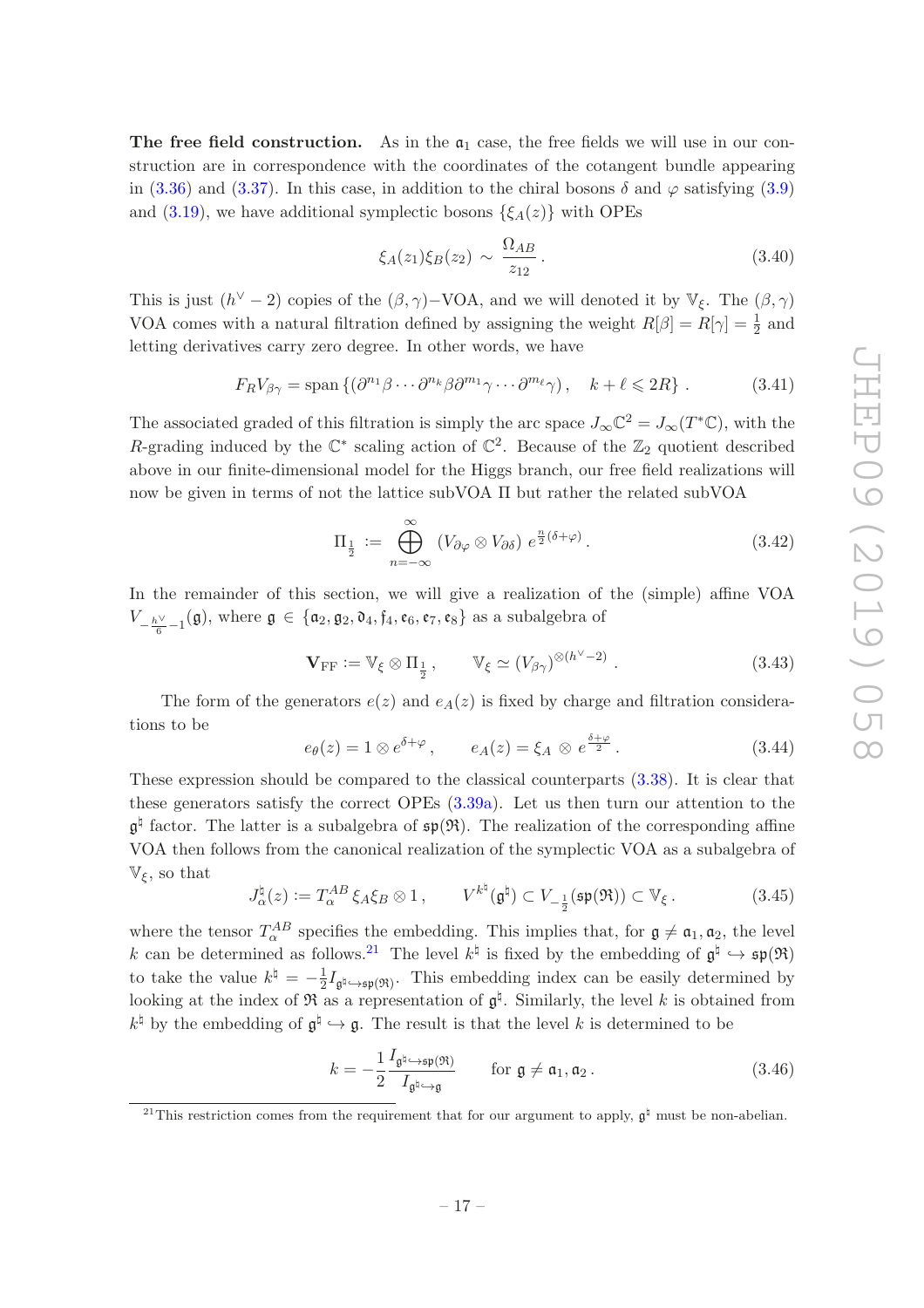The free field construction. As in the  $a_1$  case, the free fields we will use in our construction are in correspondence with the coordinates of the cotangent bundle appearing in [\(3.36\)](#page-16-0) and [\(3.37\)](#page-16-1). In this case, in addition to the chiral bosons  $\delta$  and  $\varphi$  satisfying [\(3.9\)](#page-9-5) and [\(3.19\)](#page-11-4), we have additional symplectic bosons  $\{\xi_A(z)\}\$  with OPEs

$$
\xi_A(z_1)\xi_B(z_2) \sim \frac{\Omega_{AB}}{z_{12}}.
$$
\n(3.40)

This is just  $(h^{\vee} - 2)$  copies of the  $(\beta, \gamma)$ -VOA, and we will denoted it by  $\mathbb{V}_{\xi}$ . The  $(\beta, \gamma)$ VOA comes with a natural filtration defined by assigning the weight  $R[\beta] = R[\gamma] = \frac{1}{2}$  and letting derivatives carry zero degree. In other words, we have

$$
F_R V_{\beta\gamma} = \text{span}\left\{ (\partial^{n_1}\beta \cdots \partial^{n_k}\beta \partial^{m_1}\gamma \cdots \partial^{m_\ell}\gamma) , \quad k + \ell \leqslant 2R \right\} . \tag{3.41}
$$

The associated graded of this filtration is simply the arc space  $J_{\infty}\mathbb{C}^2 = J_{\infty}(T^*\mathbb{C})$ , with the R-grading induced by the  $\mathbb{C}^*$  scaling action of  $\mathbb{C}^2$ . Because of the  $\mathbb{Z}_2$  quotient described above in our finite-dimensional model for the Higgs branch, our free field realizations will now be given in terms of not the lattice subVOA Π but rather the related subVOA

<span id="page-17-4"></span>
$$
\Pi_{\frac{1}{2}} := \bigoplus_{n=-\infty}^{\infty} (V_{\partial\varphi} \otimes V_{\partial\delta}) e^{\frac{n}{2}(\delta + \varphi)}.
$$
\n(3.42)

In the remainder of this section, we will give a realization of the (simple) affine VOA  $V_{-\frac{h\vee}{6}-1}(\mathfrak{g})$ , where  $\mathfrak{g} \in {\mathfrak{a}}_2, \mathfrak{g}_2, \mathfrak{d}_4, \mathfrak{f}_4, \mathfrak{e}_6, \mathfrak{e}_7, \mathfrak{e}_8$  as a subalgebra of

$$
\mathbf{V}_{\rm FF} := \mathbb{V}_{\xi} \otimes \Pi_{\frac{1}{2}}, \qquad \mathbb{V}_{\xi} \simeq (V_{\beta \gamma})^{\otimes (h^{\vee} - 2)}.
$$
 (3.43)

The form of the generators  $e(z)$  and  $e_A(z)$  is fixed by charge and filtration considerations to be

<span id="page-17-1"></span>
$$
e_{\theta}(z) = 1 \otimes e^{\delta + \varphi}, \qquad e_A(z) = \xi_A \otimes e^{\frac{\delta + \varphi}{2}}.
$$
 (3.44)

These expression should be compared to the classical counterparts [\(3.38\)](#page-16-2). It is clear that these generators satisfy the correct OPEs [\(3.39a\)](#page-16-3). Let us then turn our attention to the  $\mathfrak{g}^{\natural}$  factor. The latter is a subalgebra of  $\mathfrak{sp}(\mathfrak{R})$ . The realization of the corresponding affine VOA then follows from the canonical realization of the symplectic VOA as a subalgebra of  $\mathbb{V}_{\xi}$ , so that

<span id="page-17-2"></span>
$$
J_{\alpha}^{\natural}(z) := T_{\alpha}^{AB} \xi_A \xi_B \otimes 1, \qquad V^{k^{\natural}}(\mathfrak{g}^{\natural}) \subset V_{-\frac{1}{2}}(\mathfrak{sp}(\mathfrak{R})) \subset \mathbb{V}_{\xi}. \tag{3.45}
$$

where the tensor  $T_{\alpha}^{AB}$  specifies the embedding. This implies that, for  $\mathfrak{g} \neq \mathfrak{a}_1, \mathfrak{a}_2$ , the level k can be determined as follows.<sup>[21](#page-17-3)</sup> The level  $k^{\natural}$  is fixed by the embedding of  $\mathfrak{g}^{\natural} \hookrightarrow \mathfrak{sp}(\mathfrak{R})$ to take the value  $k^{\dagger} = -\frac{1}{2}$  $\frac{1}{2}I_{\mathfrak{g}^{\natural}\hookrightarrow\mathfrak{sp}(\mathfrak{R})}$ . This embedding index can be easily determined by looking at the index of  $\mathfrak{R}$  as a representation of  $\mathfrak{g}^{\natural}$ . Similarly, the level k is obtained from  $k^{\natural}$  by the embedding of  $\mathfrak{g}^{\natural} \hookrightarrow \mathfrak{g}$ . The result is that the level k is determined to be

<span id="page-17-0"></span>
$$
k = -\frac{1}{2} \frac{I_{\mathfrak{g}^{\natural} \hookrightarrow \mathfrak{sp}(\mathfrak{R})}}{I_{\mathfrak{g}^{\natural} \hookrightarrow \mathfrak{g}}} \quad \text{for } \mathfrak{g} \neq \mathfrak{a}_1, \mathfrak{a}_2. \tag{3.46}
$$

<span id="page-17-3"></span><sup>&</sup>lt;sup>21</sup>This restriction comes from the requirement that for our argument to apply,  $\mathfrak{g}^{\natural}$  must be non-abelian.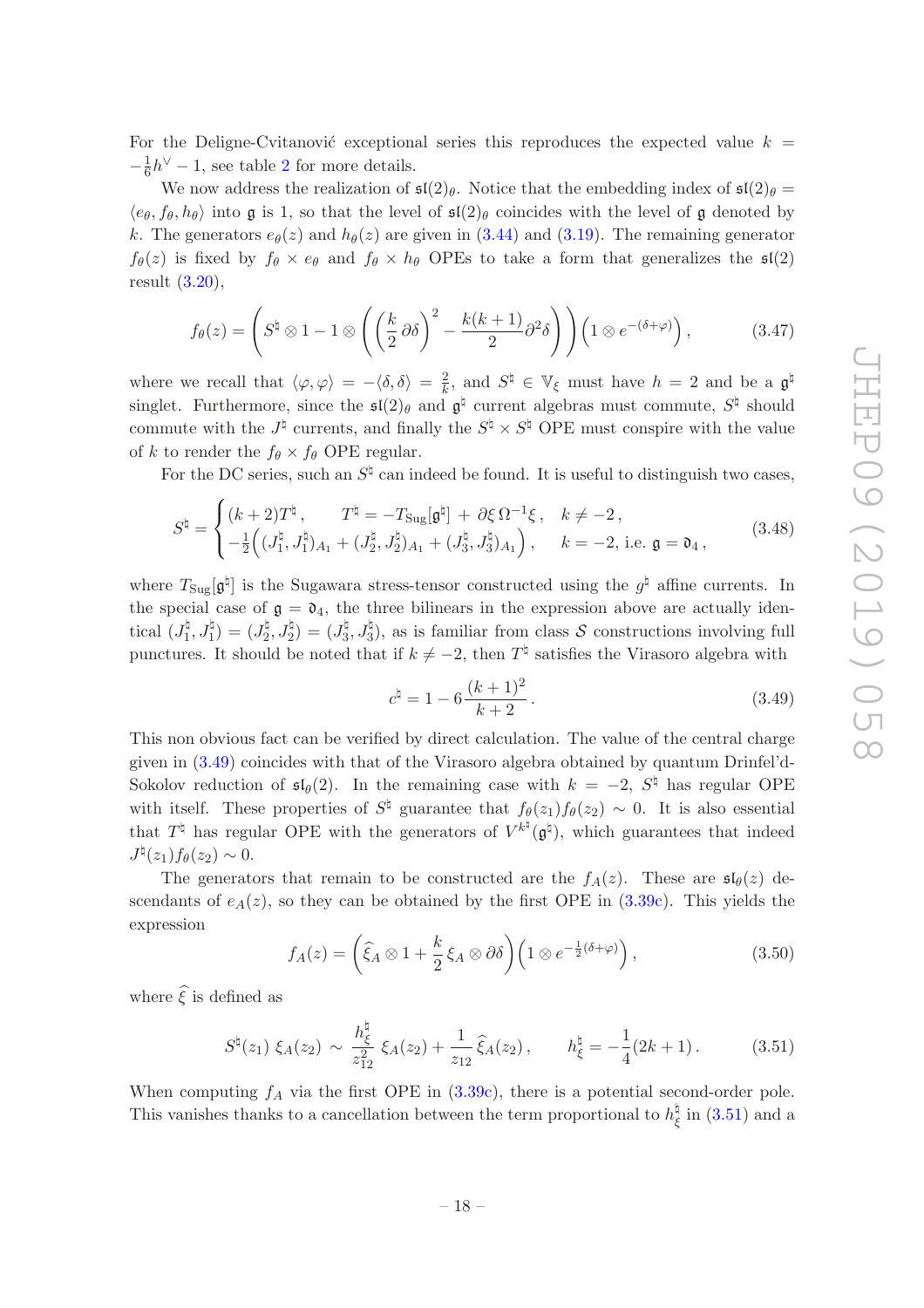For the Deligne-Cvitanović exceptional series this reproduces the expected value  $k =$  $-\frac{1}{6}$  $\frac{1}{6}h^{\vee} - 1$ , see table [2](#page-13-1) for more details.

We now address the realization of  $\mathfrak{sl}(2)_{\theta}$ . Notice that the embedding index of  $\mathfrak{sl}(2)_{\theta}$  =  $\langle e_{\theta}, f_{\theta}, h_{\theta} \rangle$  into g is 1, so that the level of  $\mathfrak{sl}(2)_{\theta}$  coincides with the level of g denoted by k. The generators  $e_{\theta}(z)$  and  $h_{\theta}(z)$  are given in [\(3.44\)](#page-17-1) and [\(3.19\)](#page-11-4). The remaining generator  $f_{\theta}(z)$  is fixed by  $f_{\theta} \times e_{\theta}$  and  $f_{\theta} \times h_{\theta}$  OPEs to take a form that generalizes the  $\mathfrak{sl}(2)$ result [\(3.20\)](#page-12-2),

<span id="page-18-0"></span>
$$
f_{\theta}(z) = \left( S^{\natural} \otimes 1 - 1 \otimes \left( \left( \frac{k}{2} \partial \delta \right)^2 - \frac{k(k+1)}{2} \partial^2 \delta \right) \right) \left( 1 \otimes e^{-(\delta + \varphi)} \right), \tag{3.47}
$$

where we recall that  $\langle \varphi, \varphi \rangle = -\langle \delta, \delta \rangle = \frac{2}{k}$ , and  $S^{\natural} \in \mathbb{V}_{\xi}$  must have  $h = 2$  and be a  $\mathfrak{g}^{\natural}$ singlet. Furthermore, since the  $\mathfrak{sl}(2)$ <sub>θ</sub> and  $\mathfrak{g}^{\natural}$  current algebras must commute,  $S^{\natural}$  should commute with the  $J^{\natural}$  currents, and finally the  $S^{\natural} \times S^{\natural}$  OPE must conspire with the value of k to render the  $f_{\theta} \times f_{\theta}$  OPE regular.

For the DC series, such an  $S^{\natural}$  can indeed be found. It is useful to distinguish two cases,

<span id="page-18-4"></span>
$$
S^{\natural} = \begin{cases} (k+2)T^{\natural}, & T^{\natural} = -T_{\text{Sug}}[\mathfrak{g}^{\natural}] + \partial \xi \Omega^{-1} \xi, & k \neq -2, \\ -\frac{1}{2} \Big( (J_1^{\natural}, J_1^{\natural})_{A_1} + (J_2^{\natural}, J_2^{\natural})_{A_1} + (J_3^{\natural}, J_3^{\natural})_{A_1} \Big), & k = -2, \text{ i.e. } \mathfrak{g} = \mathfrak{d}_4, \end{cases}
$$
(3.48)

where  $T_{\text{Sug}}[\mathfrak{g}^{\natural}]$  is the Sugawara stress-tensor constructed using the  $g^{\natural}$  affine currents. In the special case of  $\mathfrak{g} = \mathfrak{d}_4$ , the three bilinears in the expression above are actually identical  $(J_1^{\natural}$  $\binom{\natural}{1},J_{1}^{\natural}=(J_{2}^{\natural}% ,J_{1}^{\natural})$  $\binom{1}{2},J_{2}^{\natural}=\bigl(J_{3}^{\natural}% ,J_{4}^{\natural}\bigr)=\bigl(J_{4}^{\natural}% ,J_{4}^{\natural}\bigr)=\bigl(J_{4}^{\natural}% ,J_{4}^{\natural}\bigr)=\bigl(J_{4}^{\natural}% ,J_{4}^{\natural}\bigr)=\bigl(J_{4}^{\natural}% ,J_{4}^{\natural}\bigr)$  $\mathcal{J}_3^{\natural}, \mathcal{J}_3^{\natural}$ ), as is familiar from class  $\mathcal S$  constructions involving full punctures. It should be noted that if  $k \neq -2$ , then  $T^{\natural}$  satisfies the Virasoro algebra with

<span id="page-18-2"></span>
$$
c^{\natural} = 1 - 6 \frac{(k+1)^2}{k+2}.
$$
 (3.49)

This non obvious fact can be verified by direct calculation. The value of the central charge given in [\(3.49\)](#page-18-2) coincides with that of the Virasoro algebra obtained by quantum Drinfel'd-Sokolov reduction of  $\mathfrak{sl}_{\theta}(2)$ . In the remaining case with  $k = -2$ ,  $S^{\natural}$  has regular OPE with itself. These properties of  $S^{\natural}$  guarantee that  $f_{\theta}(z_1)f_{\theta}(z_2) \sim 0$ . It is also essential that  $T^{\natural}$  has regular OPE with the generators of  $V^{k^{\natural}}(\mathfrak{g}^{\natural})$ , which guarantees that indeed  $J^{\natural}(z_1) f_{\theta}(z_2) \sim 0.$ 

The generators that remain to be constructed are the  $f_A(z)$ . These are  $\mathfrak{sl}_{\theta}(z)$  descendants of  $e_A(z)$ , so they can be obtained by the first OPE in  $(3.39c)$ . This yields the expression

<span id="page-18-1"></span>
$$
f_A(z) = \left(\widehat{\xi}_A \otimes 1 + \frac{k}{2} \xi_A \otimes \partial \delta\right) \left(1 \otimes e^{-\frac{1}{2}(\delta + \varphi)}\right),\tag{3.50}
$$

where  $\hat{\epsilon}$  is defined as

<span id="page-18-3"></span>
$$
S^{\natural}(z_1) \xi_A(z_2) \sim \frac{h_{\xi}^{\natural}}{z_{12}^2} \xi_A(z_2) + \frac{1}{z_{12}} \widehat{\xi}_A(z_2), \qquad h_{\xi}^{\natural} = -\frac{1}{4} (2k+1). \tag{3.51}
$$

When computing  $f_A$  via the first OPE in  $(3.39c)$ , there is a potential second-order pole. This vanishes thanks to a cancellation between the term proportional to  $h_{\beta}^{\natural}$  $\frac{q}{\xi}$  in  $(3.51)$  and a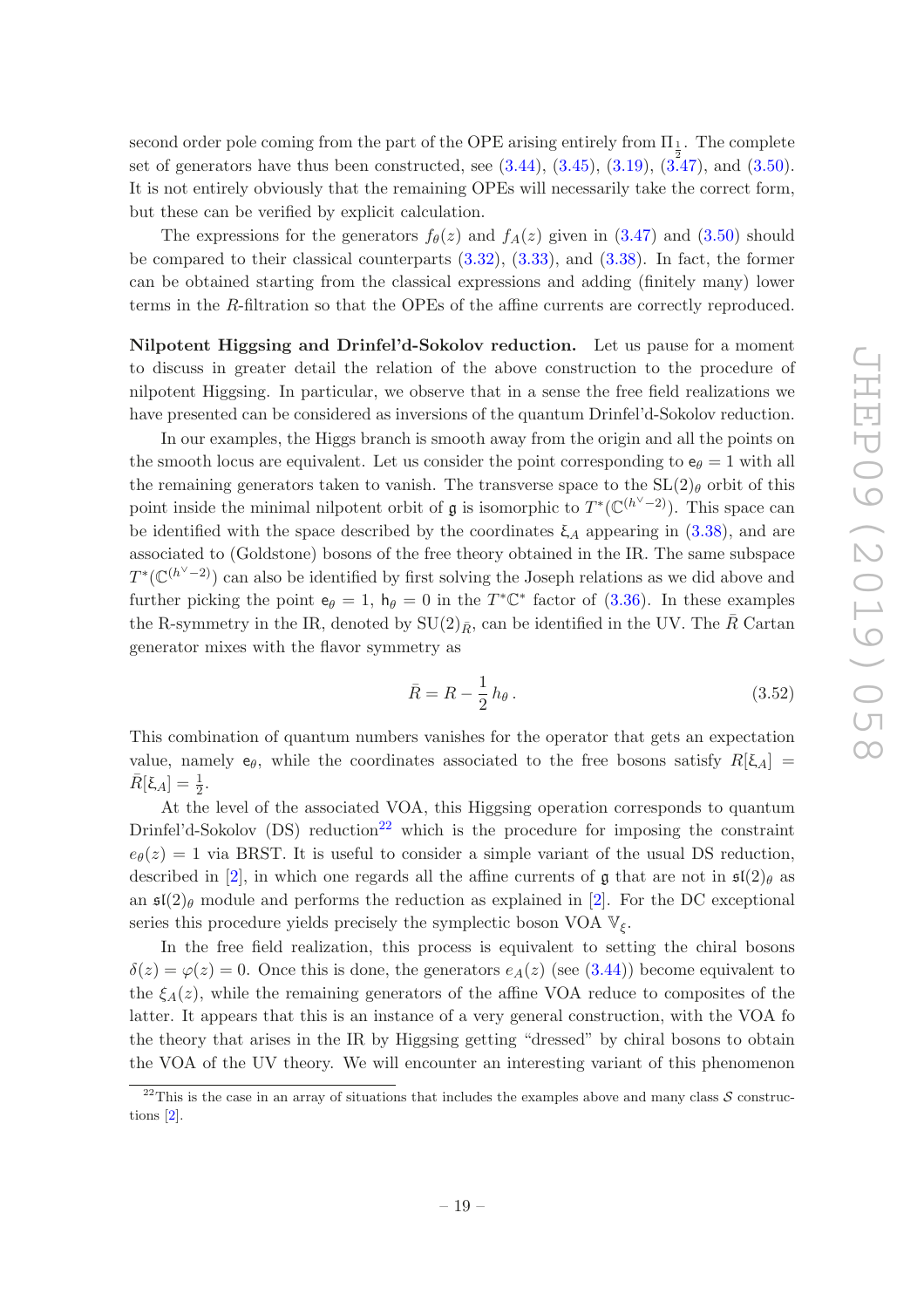second order pole coming from the part of the OPE arising entirely from  $\Pi_{\frac{1}{2}}$ . The complete set of generators have thus been constructed, see  $(3.44)$ ,  $(3.45)$ ,  $(3.19)$ ,  $(3.47)$ , and  $(3.50)$ . It is not entirely obviously that the remaining OPEs will necessarily take the correct form, but these can be verified by explicit calculation.

The expressions for the generators  $f_{\theta}(z)$  and  $f_{A}(z)$  given in [\(3.47\)](#page-18-0) and [\(3.50\)](#page-18-1) should be compared to their classical counterparts [\(3.32\)](#page-15-4), [\(3.33\)](#page-15-5), and [\(3.38\)](#page-16-2). In fact, the former can be obtained starting from the classical expressions and adding (finitely many) lower terms in the R-filtration so that the OPEs of the affine currents are correctly reproduced.

Nilpotent Higgsing and Drinfel'd-Sokolov reduction. Let us pause for a moment to discuss in greater detail the relation of the above construction to the procedure of nilpotent Higgsing. In particular, we observe that in a sense the free field realizations we have presented can be considered as inversions of the quantum Drinfel'd-Sokolov reduction.

In our examples, the Higgs branch is smooth away from the origin and all the points on the smooth locus are equivalent. Let us consider the point corresponding to  $e_{\theta} = 1$  with all the remaining generators taken to vanish. The transverse space to the  $SL(2)_{\theta}$  orbit of this point inside the minimal nilpotent orbit of  $\mathfrak g$  is isomorphic to  $T^* (\mathbb{C}^{(h^{\vee}-2)})$ . This space can be identified with the space described by the coordinates  $\xi_A$  appearing in [\(3.38\)](#page-16-2), and are associated to (Goldstone) bosons of the free theory obtained in the IR. The same subspace  $T^*(\mathbb{C}^{(h^{\vee}-2)})$  can also be identified by first solving the Joseph relations as we did above and further picking the point  $e_{\theta} = 1$ ,  $h_{\theta} = 0$  in the  $T^* \mathbb{C}^*$  factor of [\(3.36\)](#page-16-0). In these examples the R-symmetry in the IR, denoted by  $SU(2)_{\bar{R}}$ , can be identified in the UV. The  $\bar{R}$  Cartan generator mixes with the flavor symmetry as

$$
\bar{R} = R - \frac{1}{2} h_{\theta} \,. \tag{3.52}
$$

This combination of quantum numbers vanishes for the operator that gets an expectation value, namely  $e_{\theta}$ , while the coordinates associated to the free bosons satisfy  $R[\xi_A] =$  $\bar{R}[\xi_A] = \frac{1}{2}.$ 

At the level of the associated VOA, this Higgsing operation corresponds to quantum Drinfel'd-Sokolov  $(DS)$  reduction<sup>[22](#page-19-0)</sup> which is the procedure for imposing the constraint  $e_{\theta}(z) = 1$  via BRST. It is useful to consider a simple variant of the usual DS reduction, described in [\[2\]](#page-35-1), in which one regards all the affine currents of g that are not in  $\mathfrak{sl}(2)_{\theta}$  as an  $\mathfrak{sl}(2)$  module and performs the reduction as explained in [\[2](#page-35-1)]. For the DC exceptional series this procedure yields precisely the symplectic boson VOA  $\mathbb{V}_{\xi}$ .

In the free field realization, this process is equivalent to setting the chiral bosons  $\delta(z) = \varphi(z) = 0$ . Once this is done, the generators  $e_A(z)$  (see [\(3.44\)](#page-17-1)) become equivalent to the  $\xi_A(z)$ , while the remaining generators of the affine VOA reduce to composites of the latter. It appears that this is an instance of a very general construction, with the VOA fo the theory that arises in the IR by Higgsing getting "dressed" by chiral bosons to obtain the VOA of the UV theory. We will encounter an interesting variant of this phenomenon

<span id="page-19-0"></span><sup>&</sup>lt;sup>22</sup>This is the case in an array of situations that includes the examples above and many class  $S$  constructions [\[2](#page-35-1)].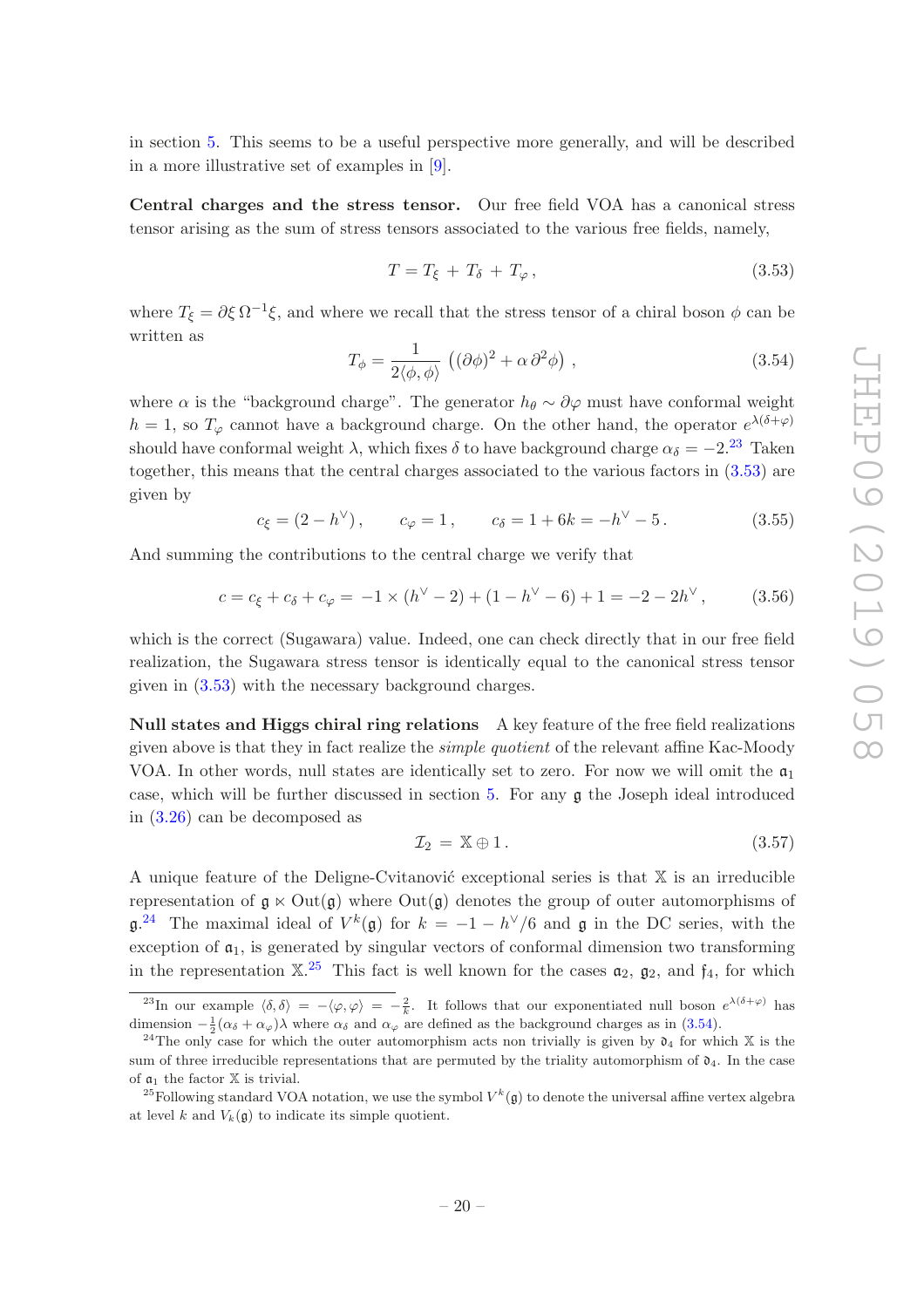in section [5.](#page-27-0) This seems to be a useful perspective more generally, and will be described in a more illustrative set of examples in [\[9\]](#page-35-7).

Central charges and the stress tensor. Our free field VOA has a canonical stress tensor arising as the sum of stress tensors associated to the various free fields, namely,

<span id="page-20-1"></span>
$$
T = T_{\xi} + T_{\delta} + T_{\varphi}, \qquad (3.53)
$$

where  $T_{\xi} = \partial \xi \Omega^{-1} \xi$ , and where we recall that the stress tensor of a chiral boson  $\phi$  can be written as

<span id="page-20-4"></span>
$$
T_{\phi} = \frac{1}{2\langle \phi, \phi \rangle} \left( (\partial \phi)^2 + \alpha \partial^2 \phi \right), \qquad (3.54)
$$

where  $\alpha$  is the "background charge". The generator  $h_{\theta} \sim \partial \varphi$  must have conformal weight  $h = 1$ , so  $T_{\varphi}$  cannot have a background charge. On the other hand, the operator  $e^{\lambda(\delta+\varphi)}$ should have conformal weight  $\lambda$ , which fixes  $\delta$  to have background charge  $\alpha_{\delta} = -2^{23}$  $\alpha_{\delta} = -2^{23}$  $\alpha_{\delta} = -2^{23}$  Taken together, this means that the central charges associated to the various factors in [\(3.53\)](#page-20-1) are given by

$$
c_{\xi} = (2 - h^{\vee}),
$$
  $c_{\varphi} = 1,$   $c_{\delta} = 1 + 6k = -h^{\vee} - 5.$  (3.55)

And summing the contributions to the central charge we verify that

<span id="page-20-5"></span>
$$
c = c_{\xi} + c_{\delta} + c_{\varphi} = -1 \times (h^{\vee} - 2) + (1 - h^{\vee} - 6) + 1 = -2 - 2h^{\vee},
$$
 (3.56)

which is the correct (Sugawara) value. Indeed, one can check directly that in our free field realization, the Sugawara stress tensor is identically equal to the canonical stress tensor given in [\(3.53\)](#page-20-1) with the necessary background charges.

Null states and Higgs chiral ring relations A key feature of the free field realizations given above is that they in fact realize the simple quotient of the relevant affine Kac-Moody VOA. In other words, null states are identically set to zero. For now we will omit the  $\mathfrak{a}_1$ case, which will be further discussed in section [5.](#page-27-0) For any g the Joseph ideal introduced in [\(3.26\)](#page-14-3) can be decomposed as

$$
\mathcal{I}_2 = \mathbb{X} \oplus 1. \tag{3.57}
$$

A unique feature of the Deligne-Cvitanović exceptional series is that  $X$  is an irreducible representation of  $g \ltimes Out(g)$  where  $Out(g)$  denotes the group of outer automorphisms of  $\mathfrak{g}.^{24}$  $\mathfrak{g}.^{24}$  $\mathfrak{g}.^{24}$  The maximal ideal of  $V^k(\mathfrak{g})$  for  $k = -1 - h^{\vee}/6$  and  $\mathfrak{g}$  in the DC series, with the exception of  $a_1$ , is generated by singular vectors of conformal dimension two transforming in the representation  $\mathbb{X}^{25}$  $\mathbb{X}^{25}$  $\mathbb{X}^{25}$  This fact is well known for the cases  $\mathfrak{a}_2$ ,  $\mathfrak{g}_2$ , and  $\mathfrak{f}_4$ , for which

<span id="page-20-0"></span><sup>&</sup>lt;sup>23</sup>In our example  $\langle \delta, \delta \rangle = -\langle \varphi, \varphi \rangle = -\frac{2}{k}$ . It follows that our exponentiated null boson  $e^{\lambda(\delta + \varphi)}$  has dimension  $-\frac{1}{2}(\alpha_{\delta} + \alpha_{\varphi})\lambda$  where  $\alpha_{\delta}$  and  $\alpha_{\varphi}$  are defined as the background charges as in [\(3.54\)](#page-20-4).

<span id="page-20-2"></span><sup>&</sup>lt;sup>24</sup>The only case for which the outer automorphism acts non trivially is given by  $\mathfrak{d}_4$  for which X is the sum of three irreducible representations that are permuted by the triality automorphism of  $\mathfrak{d}_4$ . In the case of  $a_1$  the factor  $X$  is trivial.

<span id="page-20-3"></span><sup>&</sup>lt;sup>25</sup>Following standard VOA notation, we use the symbol  $V^k(\mathfrak{g})$  to denote the universal affine vertex algebra at level k and  $V_k(\mathfrak{g})$  to indicate its simple quotient.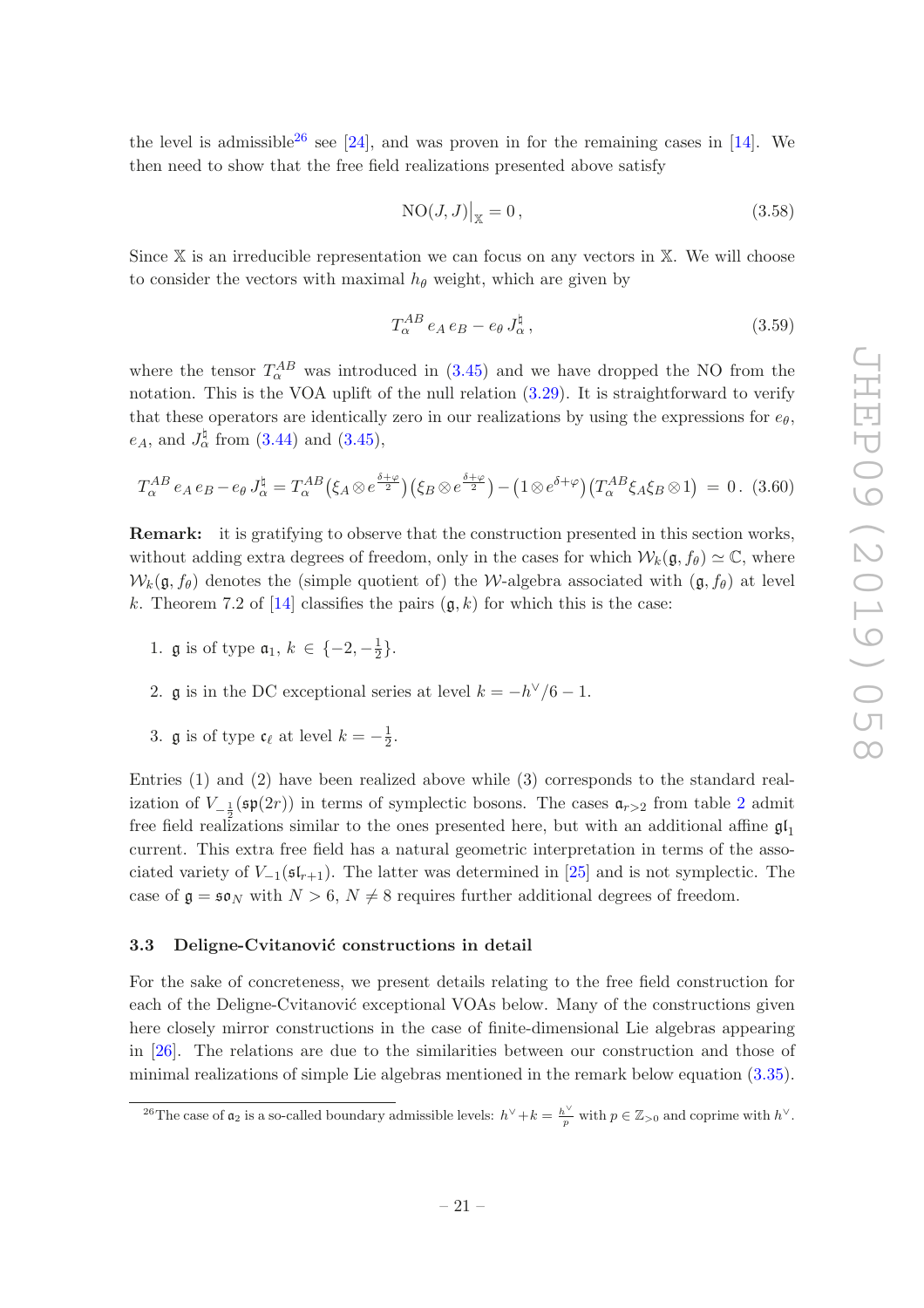the level is admissible<sup>[26](#page-21-1)</sup> see [\[24](#page-36-8)], and was proven in for the remaining cases in [\[14\]](#page-35-12). We then need to show that the free field realizations presented above satisfy

$$
NO(J,J)|_{\mathbb{X}} = 0, \qquad (3.58)
$$

Since  $X$  is an irreducible representation we can focus on any vectors in  $X$ . We will choose to consider the vectors with maximal  $h_{\theta}$  weight, which are given by

$$
T_{\alpha}^{AB} e_A e_B - e_{\theta} J_{\alpha}^{\sharp} , \qquad (3.59)
$$

where the tensor  $T_{\alpha}^{AB}$  was introduced in [\(3.45\)](#page-17-2) and we have dropped the NO from the notation. This is the VOA uplift of the null relation  $(3.29)$ . It is straightforward to verify that these operators are identically zero in our realizations by using the expressions for  $e_{\theta}$ ,  $e_A$ , and  $J_{\alpha}^{\natural}$  from [\(3.44\)](#page-17-1) and [\(3.45\)](#page-17-2),

$$
T_{\alpha}^{AB} e_A e_B - e_{\theta} J_{\alpha}^{\sharp} = T_{\alpha}^{AB} (\xi_A \otimes e^{\frac{\delta + \varphi}{2}}) (\xi_B \otimes e^{\frac{\delta + \varphi}{2}}) - (1 \otimes e^{\delta + \varphi}) (T_{\alpha}^{AB} \xi_A \xi_B \otimes 1) = 0. \tag{3.60}
$$

Remark: it is gratifying to observe that the construction presented in this section works, without adding extra degrees of freedom, only in the cases for which  $W_k(\mathfrak{g}, f_{\theta}) \simeq \mathbb{C}$ , where  $W_k(\mathfrak{g}, f_\theta)$  denotes the (simple quotient of) the W-algebra associated with  $(\mathfrak{g}, f_\theta)$  at level k. Theorem 7.2 of [\[14](#page-35-12)] classifies the pairs  $(\mathfrak{g}, k)$  for which this is the case:

- 1. **g** is of type  $a_1, k \in \{-2, -\frac{1}{2}\}$  $\frac{1}{2}$ .
- 2. **g** is in the DC exceptional series at level  $k = -h^{\vee}/6 1$ .
- 3. **g** is of type  $\mathfrak{c}_{\ell}$  at level  $k = -\frac{1}{2}$  $rac{1}{2}$ .

Entries (1) and (2) have been realized above while (3) corresponds to the standard realization of  $V_{-\frac{1}{2}}(\mathfrak{sp}(2r))$  $V_{-\frac{1}{2}}(\mathfrak{sp}(2r))$  $V_{-\frac{1}{2}}(\mathfrak{sp}(2r))$  in terms of symplectic bosons. The cases  $\mathfrak{a}_{r>2}$  from table 2 admit free field realizations similar to the ones presented here, but with an additional affine  $\mathfrak{gl}_1$ current. This extra free field has a natural geometric interpretation in terms of the associated variety of  $V_{-1}(\mathfrak{sl}_{r+1})$ . The latter was determined in [\[25](#page-36-9)] and is not symplectic. The case of  $\mathfrak{g} = \mathfrak{so}_N$  with  $N > 6$ ,  $N \neq 8$  requires further additional degrees of freedom.

#### <span id="page-21-0"></span>3.3 Deligne-Cvitanović constructions in detail

For the sake of concreteness, we present details relating to the free field construction for each of the Deligne-Cvitanovic exceptional VOAs below. Many of the constructions given here closely mirror constructions in the case of finite-dimensional Lie algebras appearing in [\[26\]](#page-36-10). The relations are due to the similarities between our construction and those of minimal realizations of simple Lie algebras mentioned in the remark below equation [\(3.35\)](#page-15-6).

<span id="page-21-1"></span><sup>&</sup>lt;sup>26</sup>The case of  $\mathfrak{a}_2$  is a so-called boundary admissible levels:  $h^{\vee} + k = \frac{h^{\vee}}{p}$  with  $p \in \mathbb{Z}_{>0}$  and coprime with  $h^{\vee}$ .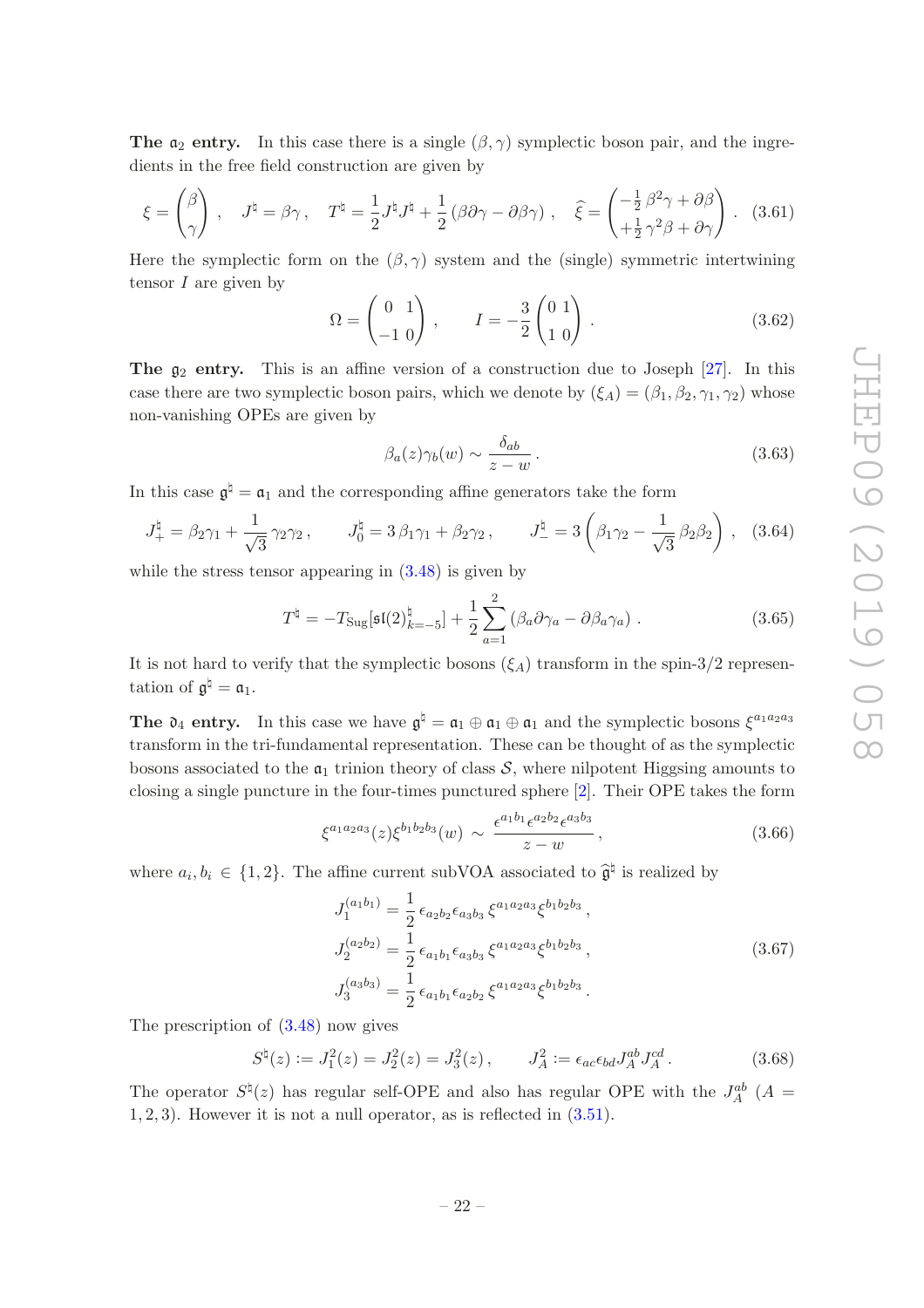The  $a_2$  entry. In this case there is a single  $(\beta, \gamma)$  symplectic boson pair, and the ingredients in the free field construction are given by

$$
\xi = \begin{pmatrix} \beta \\ \gamma \end{pmatrix} , \quad J^{\natural} = \beta \gamma , \quad T^{\natural} = \frac{1}{2} J^{\natural} J^{\natural} + \frac{1}{2} (\beta \partial \gamma - \partial \beta \gamma) , \quad \hat{\xi} = \begin{pmatrix} -\frac{1}{2} \beta^{2} \gamma + \partial \beta \\ +\frac{1}{2} \gamma^{2} \beta + \partial \gamma \end{pmatrix} .
$$
 (3.61)

Here the symplectic form on the  $(\beta, \gamma)$  system and the (single) symmetric intertwining tensor  $I$  are given by

$$
\Omega = \begin{pmatrix} 0 & 1 \\ -1 & 0 \end{pmatrix}, \qquad I = -\frac{3}{2} \begin{pmatrix} 0 & 1 \\ 1 & 0 \end{pmatrix}.
$$
 (3.62)

The  $g_2$  entry. This is an affine version of a construction due to Joseph [\[27](#page-36-11)]. In this case there are two symplectic boson pairs, which we denote by  $(\xi_A) = (\beta_1, \beta_2, \gamma_1, \gamma_2)$  whose non-vanishing OPEs are given by

$$
\beta_a(z)\gamma_b(w) \sim \frac{\delta_{ab}}{z-w} \,. \tag{3.63}
$$

In this case  $\mathfrak{g}^{\natural} = \mathfrak{a}_1$  and the corresponding affine generators take the form

$$
J_+^{\natural} = \beta_2 \gamma_1 + \frac{1}{\sqrt{3}} \gamma_2 \gamma_2, \qquad J_0^{\natural} = 3 \beta_1 \gamma_1 + \beta_2 \gamma_2, \qquad J_-^{\natural} = 3 \left( \beta_1 \gamma_2 - \frac{1}{\sqrt{3}} \beta_2 \beta_2 \right), \quad (3.64)
$$

while the stress tensor appearing in  $(3.48)$  is given by

$$
T^{\natural} = -T_{\mathrm{Sug}}[\mathfrak{sl}(2)_{k=-5}^{\natural}] + \frac{1}{2} \sum_{a=1}^{2} (\beta_a \partial \gamma_a - \partial \beta_a \gamma_a) . \qquad (3.65)
$$

It is not hard to verify that the symplectic bosons  $(\xi_A)$  transform in the spin-3/2 representation of  $\mathfrak{g}^{\natural} = \mathfrak{a}_1$ .

**The**  $\mathfrak{d}_4$  **entry.** In this case we have  $\mathfrak{g}^{\natural} = \mathfrak{a}_1 \oplus \mathfrak{a}_1 \oplus \mathfrak{a}_1$  and the symplectic bosons  $\xi^{a_1 a_2 a_3}$ transform in the tri-fundamental representation. These can be thought of as the symplectic bosons associated to the  $a_1$  trinion theory of class  $S$ , where nilpotent Higgsing amounts to closing a single puncture in the four-times punctured sphere [\[2\]](#page-35-1). Their OPE takes the form

$$
\xi^{a_1 a_2 a_3}(z) \xi^{b_1 b_2 b_3}(w) \sim \frac{\epsilon^{a_1 b_1} \epsilon^{a_2 b_2} \epsilon^{a_3 b_3}}{z - w}, \qquad (3.66)
$$

where  $a_i, b_i \in \{1, 2\}$ . The affine current subVOA associated to  $\hat{\mathfrak{g}}^{\natural}$  is realized by

$$
J_1^{(a_1b_1)} = \frac{1}{2} \epsilon_{a_2b_2} \epsilon_{a_3b_3} \xi^{a_1a_2a_3} \xi^{b_1b_2b_3},
$$
  
\n
$$
J_2^{(a_2b_2)} = \frac{1}{2} \epsilon_{a_1b_1} \epsilon_{a_3b_3} \xi^{a_1a_2a_3} \xi^{b_1b_2b_3},
$$
  
\n
$$
J_3^{(a_3b_3)} = \frac{1}{2} \epsilon_{a_1b_1} \epsilon_{a_2b_2} \xi^{a_1a_2a_3} \xi^{b_1b_2b_3}.
$$
\n(3.67)

The prescription of [\(3.48\)](#page-18-4) now gives

$$
S^{\natural}(z) := J_1^2(z) = J_2^2(z) = J_3^2(z), \qquad J_A^2 := \epsilon_{ac}\epsilon_{bd}J_A^{ab}J_A^{cd}.
$$
 (3.68)

The operator  $S^{\natural}(z)$  has regular self-OPE and also has regular OPE with the  $J_A^{ab}$  (A = 1, 2, 3). However it is not a null operator, as is reflected in [\(3.51\)](#page-18-3).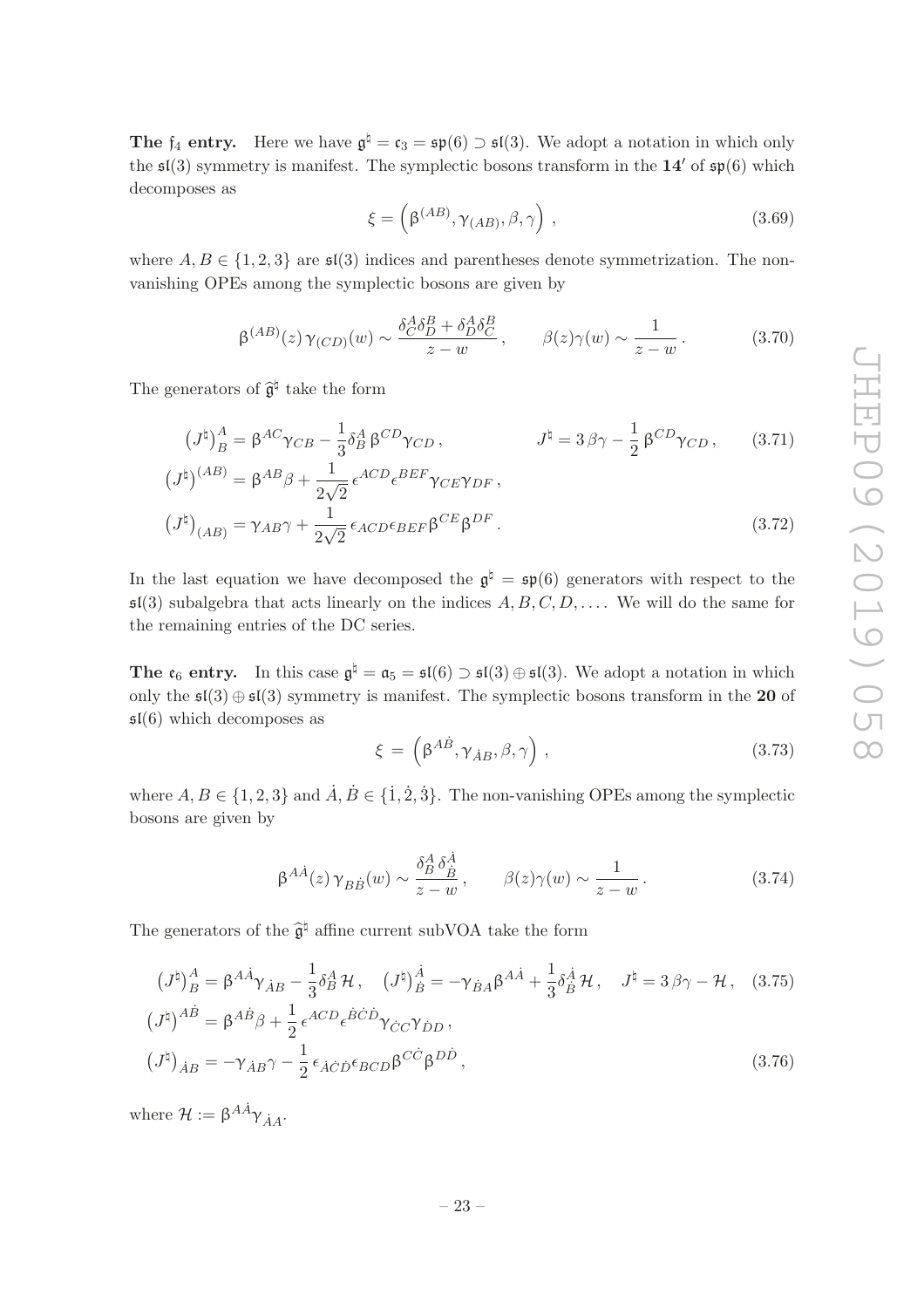**The**  $f_4$  entry. Here we have  $\mathfrak{g}^{\natural} = \mathfrak{c}_3 = \mathfrak{sp}(6) \supset \mathfrak{sl}(3)$ . We adopt a notation in which only the  $\mathfrak{sl}(3)$  symmetry is manifest. The symplectic bosons transform in the 14' of  $\mathfrak{sp}(6)$  which decomposes as

$$
\xi = \left(\beta^{(AB)}, \gamma_{(AB)}, \beta, \gamma\right),\tag{3.69}
$$

where  $A, B \in \{1, 2, 3\}$  are  $\mathfrak{sl}(3)$  indices and parentheses denote symmetrization. The nonvanishing OPEs among the symplectic bosons are given by

$$
\beta^{(AB)}(z)\gamma_{(CD)}(w) \sim \frac{\delta_C^A \delta_D^B + \delta_D^A \delta_C^B}{z - w}, \qquad \beta(z)\gamma(w) \sim \frac{1}{z - w}.
$$
\n(3.70)

The generators of  $\hat{\mathfrak{g}}^{\natural}$  take the form

$$
(J^{\natural})^A_B = \beta^{AC} \gamma_{CB} - \frac{1}{3} \delta^A_B \beta^{CD} \gamma_{CD}, \qquad J^{\natural} = 3 \beta \gamma - \frac{1}{2} \beta^{CD} \gamma_{CD}, \qquad (3.71)
$$

$$
(J^{\natural})^{(AB)} = \beta^{AB} \beta + \frac{1}{2\sqrt{2}} \epsilon^{ACD} \epsilon^{BEF} \gamma_{CE} \gamma_{DF},
$$

$$
\left(J^{\natural}\right)_{(AB)} = \gamma_{AB}\gamma + \frac{1}{2\sqrt{2}}\epsilon_{ACD}\epsilon_{BEF}\beta^{CE}\beta^{DF}.
$$
\n(3.72)

In the last equation we have decomposed the  $\mathfrak{g}^{\natural} = \mathfrak{sp}(6)$  generators with respect to the  $\mathfrak{sl}(3)$  subalgebra that acts linearly on the indices  $A, B, C, D, \ldots$ . We will do the same for the remaining entries of the DC series.

The  $\mathfrak{e}_6$  entry. In this case  $\mathfrak{g}^\natural = \mathfrak{a}_5 = \mathfrak{sl}(6) \supset \mathfrak{sl}(3) \oplus \mathfrak{sl}(3)$ . We adopt a notation in which only the  $\mathfrak{sl}(3) \oplus \mathfrak{sl}(3)$  symmetry is manifest. The symplectic bosons transform in the 20 of  $\mathfrak{sl}(6)$  which decomposes as

$$
\xi = \left(\beta^{A\dot{B}}, \gamma_{\dot{A}B}, \beta, \gamma\right),\tag{3.73}
$$

where  $A, B \in \{1, 2, 3\}$  and  $\dot{A}, \dot{B} \in \{\dot{1}, \dot{2}, \dot{3}\}.$  The non-vanishing OPEs among the symplectic bosons are given by

$$
\beta^{A\dot{A}}(z)\gamma_{B\dot{B}}(w) \sim \frac{\delta^A_B \delta^{\dot{A}}_{\dot{B}}}{z-w}, \qquad \beta(z)\gamma(w) \sim \frac{1}{z-w}.
$$
\n(3.74)

The generators of the  $\widehat{\mathfrak{g}}^{\natural}$  affine current subVOA take the form

$$
(J^{\natural})^A_B = \beta^{A\dot{A}} \gamma_{\dot{A}B} - \frac{1}{3} \delta^A_B \mathcal{H}, \quad (J^{\natural})^{\dot{A}}_B = -\gamma_{\dot{B}A} \beta^{A\dot{A}} + \frac{1}{3} \delta^{\dot{A}}_B \mathcal{H}, \quad J^{\natural} = 3 \beta \gamma - \mathcal{H}, \quad (3.75)
$$
  
\n
$$
(J^{\natural})^{A\dot{B}} = \beta^{A\dot{B}} \beta + \frac{1}{2} \epsilon^{ACD} \epsilon^{\dot{B}\dot{C}\dot{D}} \gamma_{\dot{C}C} \gamma_{\dot{D}D},
$$
  
\n
$$
(J^{\natural})_{\dot{A}B} = -\gamma_{\dot{A}B} \gamma - \frac{1}{2} \epsilon_{\dot{A}\dot{C}\dot{D}} \epsilon_{BCD} \beta^{C\dot{C}} \beta^{D\dot{D}}, \quad (3.76)
$$

where  $\mathcal{H} := \beta^{A\dot{A}} \gamma_{\dot{A}A}$ .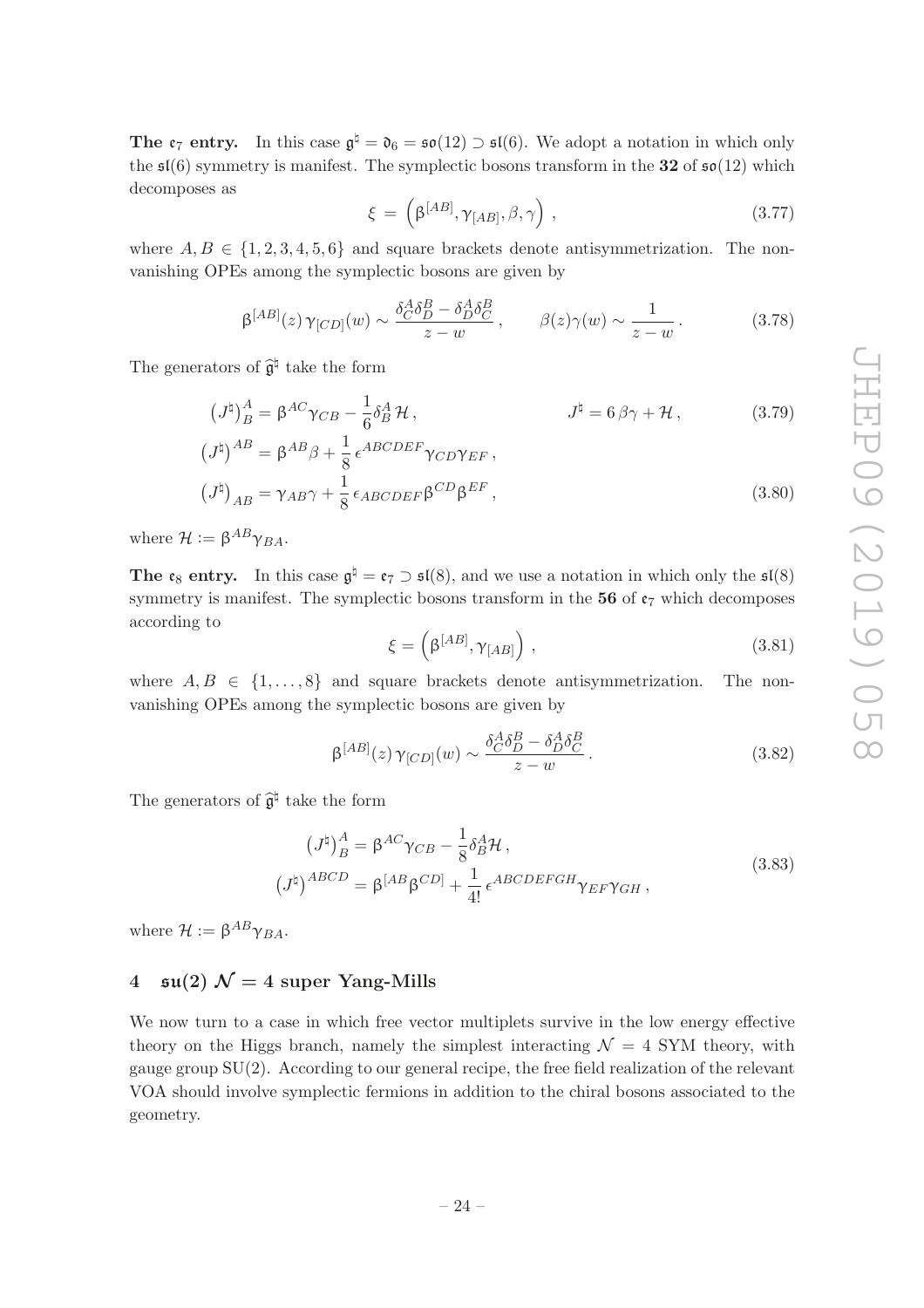The  $\mathfrak{e}_7$  entry. In this case  $\mathfrak{g}^{\natural} = \mathfrak{d}_6 = \mathfrak{so}(12) \supset \mathfrak{sl}(6)$ . We adopt a notation in which only the  $\mathfrak{sl}(6)$  symmetry is manifest. The symplectic bosons transform in the 32 of  $\mathfrak{so}(12)$  which decomposes as

$$
\xi = \left(\beta^{[AB]}, \gamma_{[AB]}, \beta, \gamma\right),\tag{3.77}
$$

where  $A, B \in \{1, 2, 3, 4, 5, 6\}$  and square brackets denote antisymmetrization. The nonvanishing OPEs among the symplectic bosons are given by

$$
\beta^{[AB]}(z)\gamma_{[CD]}(w) \sim \frac{\delta_C^A \delta_D^B - \delta_D^A \delta_C^B}{z - w}, \qquad \beta(z)\gamma(w) \sim \frac{1}{z - w}.
$$
\n(3.78)

The generators of  $\hat{\mathfrak{g}}^{\natural}$  take the form

$$
(J^{\natural})^A_B = \beta^{AC} \gamma_{CB} - \frac{1}{6} \delta^A_B \mathcal{H}, \qquad J^{\natural} = 6 \beta \gamma + \mathcal{H}, \qquad (3.79)
$$

$$
(J^{\natural})^{AB} = \beta^{AB} \beta + \frac{1}{8} \epsilon^{ABCDEF} \gamma_{CD} \gamma_{EF},
$$

$$
(J^{\natural})_{AB} = \gamma_{AB}\gamma + \frac{1}{8}\epsilon_{ABCDEF}\beta^{CD}\beta^{EF},\qquad(3.80)
$$

where  $\mathcal{H} := \beta^{AB} \gamma_{BA}$ .

**The**  $\mathfrak{e}_8$  **entry.** In this case  $\mathfrak{g}^{\natural} = \mathfrak{e}_7 \supset \mathfrak{sl}(8)$ , and we use a notation in which only the  $\mathfrak{sl}(8)$ symmetry is manifest. The symplectic bosons transform in the 56 of  $\mathfrak{e}_7$  which decomposes according to

$$
\xi = \left(\beta^{[AB]}, \gamma_{[AB]}\right),\tag{3.81}
$$

where  $A, B \in \{1, \ldots, 8\}$  and square brackets denote antisymmetrization. The nonvanishing OPEs among the symplectic bosons are given by

$$
\beta^{[AB]}(z)\gamma_{[CD]}(w) \sim \frac{\delta_C^A \delta_D^B - \delta_D^A \delta_C^B}{z - w}.
$$
\n(3.82)

The generators of  $\hat{\mathfrak{g}}^{\natural}$  take the form

$$
(J^{\natural})^A_B = \beta^{AC} \gamma_{CB} - \frac{1}{8} \delta^A_B \mathcal{H},
$$
  

$$
(J^{\natural})^{ABCD} = \beta^{[AB} \beta^{CD]} + \frac{1}{4!} \epsilon^{ABCDEFGH} \gamma_{EF} \gamma_{GH},
$$
 (3.83)

where  $\mathcal{H} := \beta^{AB} \gamma_{BA}$ .

# <span id="page-24-0"></span>4  $\mathfrak{su}(2)$   $\mathcal{N}=4$  super Yang-Mills

We now turn to a case in which free vector multiplets survive in the low energy effective theory on the Higgs branch, namely the simplest interacting  $\mathcal{N} = 4$  SYM theory, with gauge group  $SU(2)$ . According to our general recipe, the free field realization of the relevant VOA should involve symplectic fermions in addition to the chiral bosons associated to the geometry.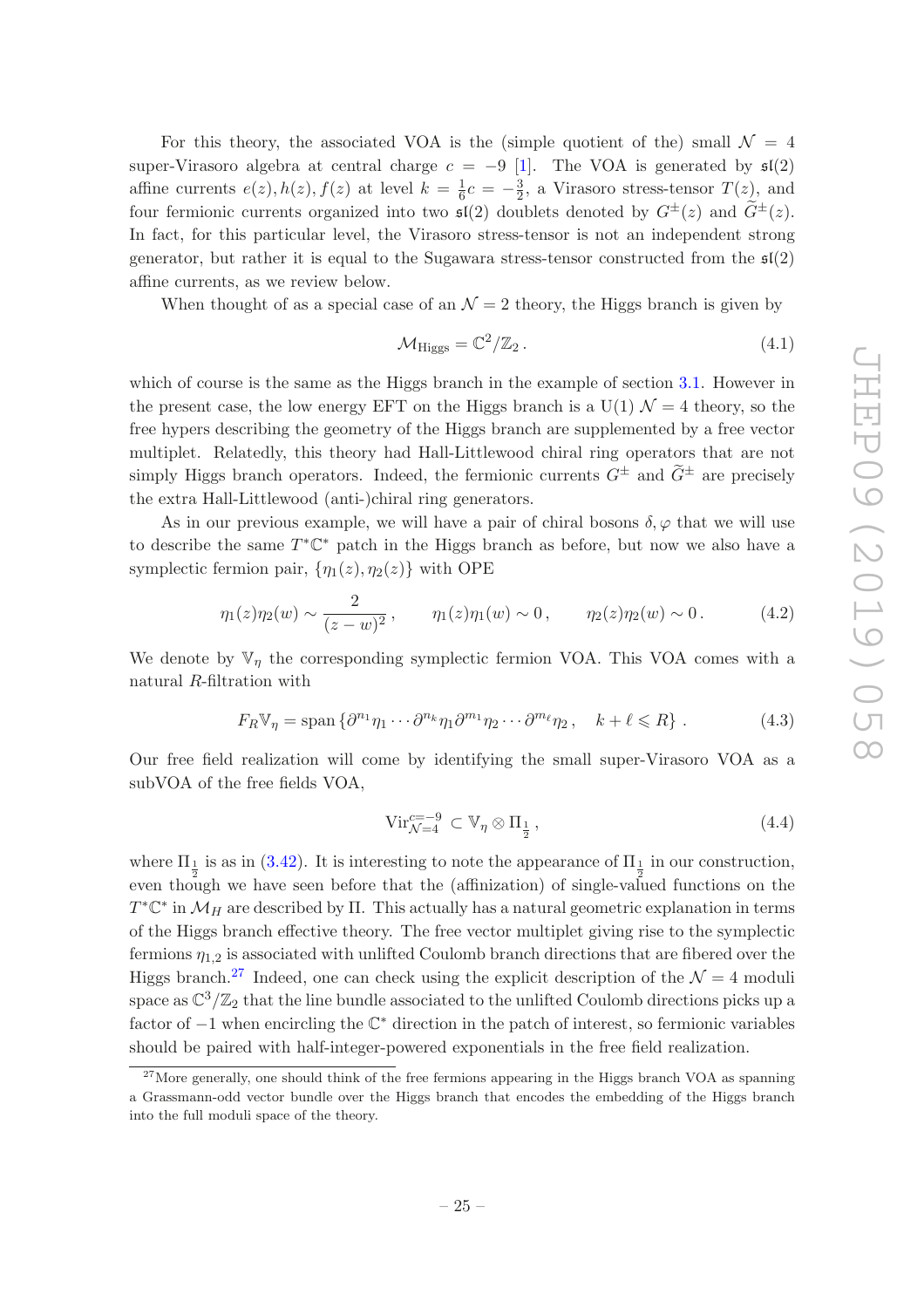For this theory, the associated VOA is the (simple quotient of the) small  $\mathcal{N} = 4$ super-Virasoro algebra at central charge  $c = -9$  [\[1\]](#page-35-0). The VOA is generated by  $\mathfrak{sl}(2)$ affine currents  $e(z)$ ,  $h(z)$ ,  $f(z)$  at level  $k = \frac{1}{6}$  $\frac{1}{6}c = -\frac{3}{2}$  $\frac{3}{2}$ , a Virasoro stress-tensor  $T(z)$ , and four fermionic currents organized into two  $\mathfrak{sl}(2)$  doublets denoted by  $G^{\pm}(z)$  and  $G^{\pm}(z)$ . In fact, for this particular level, the Virasoro stress-tensor is not an independent strong generator, but rather it is equal to the Sugawara stress-tensor constructed from the  $\mathfrak{sl}(2)$ affine currents, as we review below.

When thought of as a special case of an  $\mathcal{N}=2$  theory, the Higgs branch is given by

$$
\mathcal{M}_{\text{Higgs}} = \mathbb{C}^2 / \mathbb{Z}_2 \,. \tag{4.1}
$$

which of course is the same as the Higgs branch in the example of section [3.1.](#page-8-0) However in the present case, the low energy EFT on the Higgs branch is a  $U(1) \mathcal{N} = 4$  theory, so the free hypers describing the geometry of the Higgs branch are supplemented by a free vector multiplet. Relatedly, this theory had Hall-Littlewood chiral ring operators that are not simply Higgs branch operators. Indeed, the fermionic currents  $G^{\pm}$  and  $\tilde{G}^{\pm}$  are precisely the extra Hall-Littlewood (anti-)chiral ring generators.

As in our previous example, we will have a pair of chiral bosons  $\delta, \varphi$  that we will use to describe the same  $T^*\mathbb{C}^*$  patch in the Higgs branch as before, but now we also have a symplectic fermion pair,  $\{\eta_1(z), \eta_2(z)\}\$  with OPE

$$
\eta_1(z)\eta_2(w) \sim \frac{2}{(z-w)^2}, \qquad \eta_1(z)\eta_1(w) \sim 0, \qquad \eta_2(z)\eta_2(w) \sim 0.
$$
 (4.2)

We denote by  $\mathbb{V}_\eta$  the corresponding symplectic fermion VOA. This VOA comes with a natural R-filtration with

$$
F_R \mathbb{V}_\eta = \text{span}\left\{\partial^{n_1}\eta_1 \cdots \partial^{n_k}\eta_1 \partial^{m_1}\eta_2 \cdots \partial^{m_\ell}\eta_2, \quad k + \ell \leq R\right\}.
$$
 (4.3)

Our free field realization will come by identifying the small super-Virasoro VOA as a subVOA of the free fields VOA,

$$
\text{Vir}_{\mathcal{N}=4}^{c=-9} \subset \mathbb{V}_{\eta} \otimes \Pi_{\frac{1}{2}},\tag{4.4}
$$

where  $\Pi_1$  is as in [\(3.42\)](#page-17-4). It is interesting to note the appearance of  $\Pi_1$  in our construction, even though we have seen before that the (affinization) of single-valued functions on the  $T^*\mathbb{C}^*$  in  $\mathcal{M}_H$  are described by  $\Pi$ . This actually has a natural geometric explanation in terms of the Higgs branch effective theory. The free vector multiplet giving rise to the symplectic fermions  $\eta_{1,2}$  is associated with unlifted Coulomb branch directions that are fibered over the Higgs branch.<sup>[27](#page-25-0)</sup> Indeed, one can check using the explicit description of the  $\mathcal{N} = 4$  moduli space as  $\mathbb{C}^3/\mathbb{Z}_2$  that the line bundle associated to the unlifted Coulomb directions picks up a factor of <sup>−</sup>1 when encircling the <sup>C</sup> <sup>∗</sup> direction in the patch of interest, so fermionic variables should be paired with half-integer-powered exponentials in the free field realization.

<span id="page-25-0"></span> $27$ More generally, one should think of the free fermions appearing in the Higgs branch VOA as spanning a Grassmann-odd vector bundle over the Higgs branch that encodes the embedding of the Higgs branch into the full moduli space of the theory.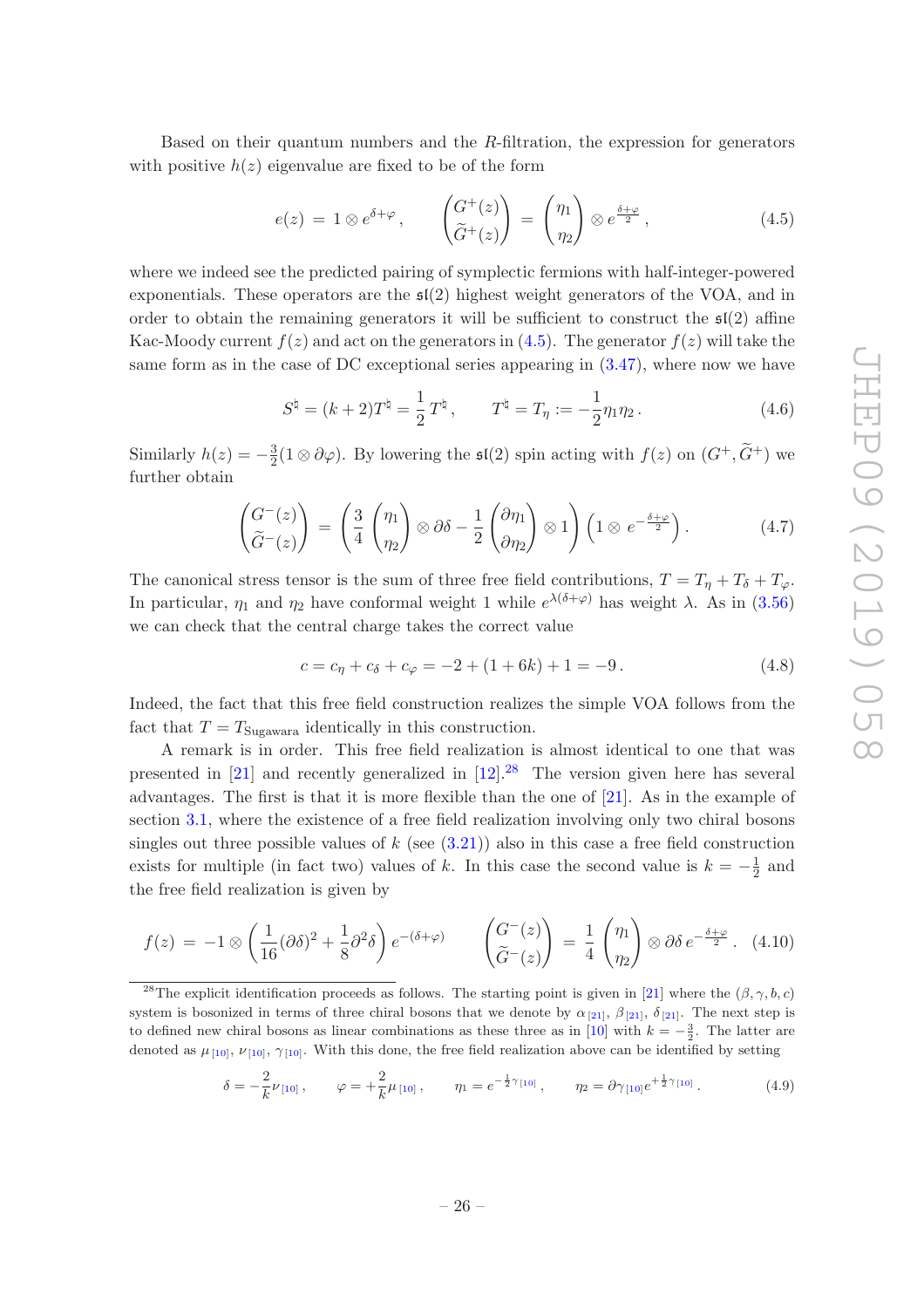Based on their quantum numbers and the R-filtration, the expression for generators with positive  $h(z)$  eigenvalue are fixed to be of the form

<span id="page-26-0"></span>
$$
e(z) = 1 \otimes e^{\delta + \varphi}, \qquad \begin{pmatrix} G^+(z) \\ \tilde{G}^+(z) \end{pmatrix} = \begin{pmatrix} \eta_1 \\ \eta_2 \end{pmatrix} \otimes e^{\frac{\delta + \varphi}{2}}, \qquad (4.5)
$$

where we indeed see the predicted pairing of symplectic fermions with half-integer-powered exponentials. These operators are the  $\mathfrak{sl}(2)$  highest weight generators of the VOA, and in order to obtain the remaining generators it will be sufficient to construct the  $\mathfrak{sl}(2)$  affine Kac-Moody current  $f(z)$  and act on the generators in [\(4.5\)](#page-26-0). The generator  $f(z)$  will take the same form as in the case of DC exceptional series appearing in [\(3.47\)](#page-18-0), where now we have

<span id="page-26-2"></span>
$$
S^{\natural} = (k+2)T^{\natural} = \frac{1}{2}T^{\natural}, \qquad T^{\natural} = T_{\eta} := -\frac{1}{2}\eta_1\eta_2.
$$
 (4.6)

Similarly  $h(z) = -\frac{3}{2}$  $\frac{3}{2}(1\otimes \partial\varphi)$ . By lowering the  $\mathfrak{sl}(2)$  spin acting with  $f(z)$  on  $(G^+, \tilde{G}^+)$  we further obtain

$$
\begin{pmatrix} G^{-}(z) \\ \tilde{G}^{-}(z) \end{pmatrix} = \begin{pmatrix} 3 \\ 4 \end{pmatrix} \begin{pmatrix} \eta_1 \\ \eta_2 \end{pmatrix} \otimes \partial \delta - \frac{1}{2} \begin{pmatrix} \partial \eta_1 \\ \partial \eta_2 \end{pmatrix} \otimes 1 \begin{pmatrix} 1 \otimes e^{-\frac{\delta + \varphi}{2}} \end{pmatrix}.
$$
 (4.7)

The canonical stress tensor is the sum of three free field contributions,  $T = T_{\eta} + T_{\delta} + T_{\varphi}$ . In particular,  $\eta_1$  and  $\eta_2$  have conformal weight 1 while  $e^{\lambda(\delta+\varphi)}$  has weight  $\lambda$ . As in [\(3.56\)](#page-20-5) we can check that the central charge takes the correct value

$$
c = c_{\eta} + c_{\delta} + c_{\varphi} = -2 + (1 + 6k) + 1 = -9.
$$
 (4.8)

Indeed, the fact that this free field construction realizes the simple VOA follows from the fact that  $T = T_{\text{Sugawara}}$  identically in this construction.

A remark is in order. This free field realization is almost identical to one that was presented in [\[21](#page-36-6)] and recently generalized in  $[12]$ <sup>[28](#page-26-1)</sup>. The version given here has several advantages. The first is that it is more flexible than the one of [\[21](#page-36-6)]. As in the example of section [3.1,](#page-8-0) where the existence of a free field realization involving only two chiral bosons singles out three possible values of  $k$  (see  $(3.21)$ ) also in this case a free field construction exists for multiple (in fact two) values of k. In this case the second value is  $k = -\frac{1}{2}$  $\frac{1}{2}$  and the free field realization is given by

$$
f(z) = -1 \otimes \left(\frac{1}{16}(\partial \delta)^2 + \frac{1}{8}\partial^2 \delta\right) e^{-(\delta + \varphi)} \qquad \left(\begin{matrix} G^-(z) \\ \widetilde{G}^-(z) \end{matrix}\right) = \frac{1}{4} \left(\begin{matrix} \eta_1 \\ \eta_2 \end{matrix}\right) \otimes \partial \delta e^{-\frac{\delta + \varphi}{2}}.
$$
 (4.10)

$$
\delta = -\frac{2}{k}\nu_{[10]}, \qquad \varphi = +\frac{2}{k}\mu_{[10]}, \qquad \eta_1 = e^{-\frac{1}{2}\gamma_{[10]}}, \qquad \eta_2 = \partial \gamma_{[10]}e^{+\frac{1}{2}\gamma_{[10]}}.
$$
 (4.9)

<span id="page-26-1"></span><sup>&</sup>lt;sup>28</sup>The explicit identification proceeds as follows. The starting point is given in [\[21](#page-36-6)] where the  $(\beta, \gamma, b, c)$ system is bosonized in terms of three chiral bosons that we denote by  $\alpha_{[21]}, \beta_{[21]}, \delta_{[21]}$  $\alpha_{[21]}, \beta_{[21]}, \delta_{[21]}$  $\alpha_{[21]}, \beta_{[21]}, \delta_{[21]}$  $\alpha_{[21]}, \beta_{[21]}, \delta_{[21]}$  $\alpha_{[21]}, \beta_{[21]}, \delta_{[21]}$ . The next step is to defined new chiral bosons as linear combinations as these three as in [\[10](#page-35-8)] with  $k = -\frac{3}{2}$ . The latter are denoted as  $\mu_{10}, \nu_{10}, \gamma_{10}$ . With this done, the free field realization above can be identified by setting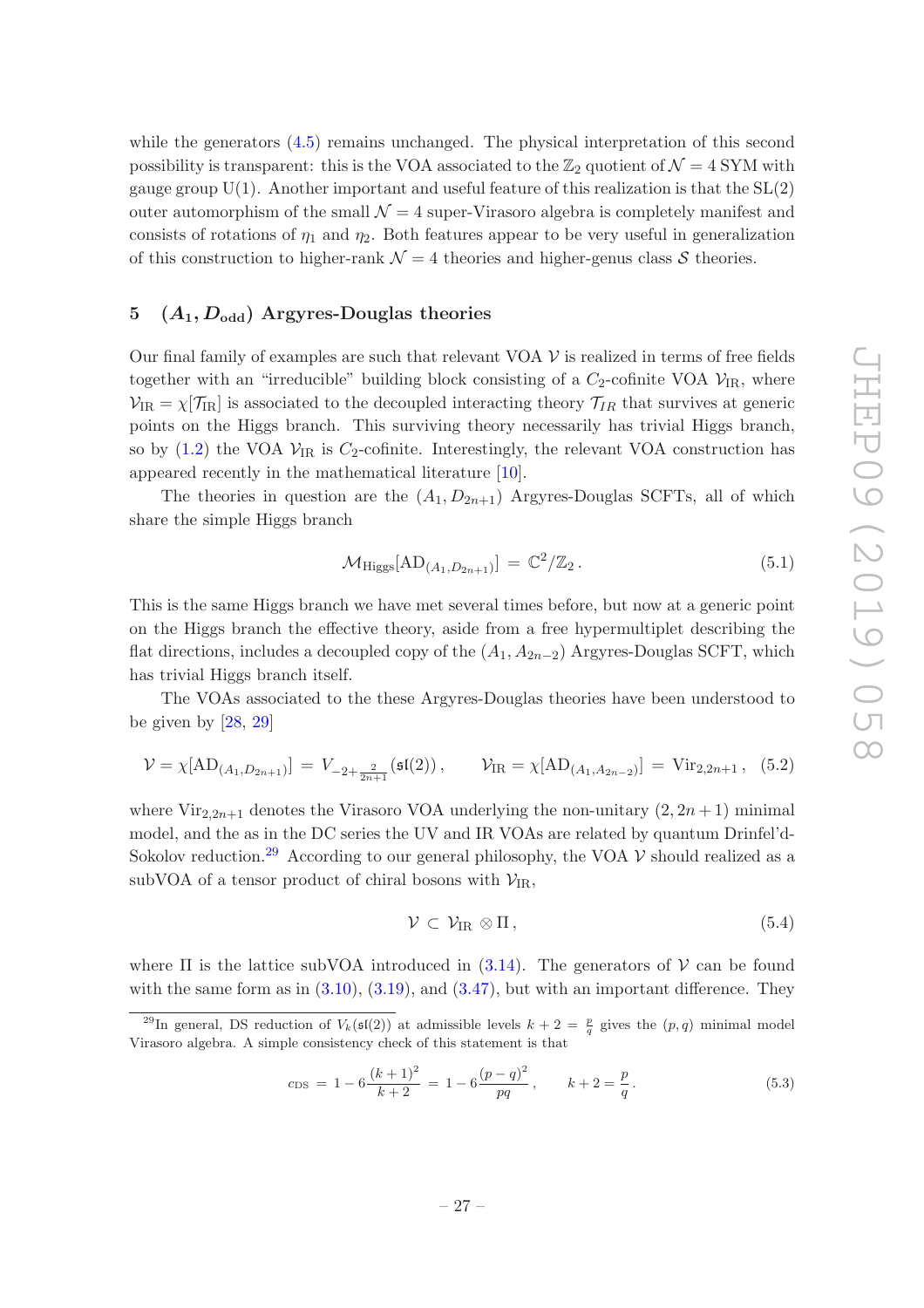while the generators  $(4.5)$  remains unchanged. The physical interpretation of this second possibility is transparent: this is the VOA associated to the  $\mathbb{Z}_2$  quotient of  $\mathcal{N}=4$  SYM with gauge group  $U(1)$ . Another important and useful feature of this realization is that the  $SL(2)$ outer automorphism of the small  $\mathcal{N} = 4$  super-Virasoro algebra is completely manifest and consists of rotations of  $\eta_1$  and  $\eta_2$ . Both features appear to be very useful in generalization of this construction to higher-rank  $\mathcal{N} = 4$  theories and higher-genus class S theories.

# <span id="page-27-0"></span>5  $(A_1, D_{odd})$  Argyres-Douglas theories

Our final family of examples are such that relevant VOA  $\mathcal V$  is realized in terms of free fields together with an "irreducible" building block consisting of a  $C_2$ -cofinite VOA  $\mathcal{V}_{IR}$ , where  $V_{IR} = \chi[\mathcal{T}_{IR}]$  is associated to the decoupled interacting theory  $\mathcal{T}_{IR}$  that survives at generic points on the Higgs branch. This surviving theory necessarily has trivial Higgs branch, so by [\(1.2\)](#page-2-3) the VOA  $\mathcal{V}_{IR}$  is  $C_2$ -cofinite. Interestingly, the relevant VOA construction has appeared recently in the mathematical literature [\[10](#page-35-8)].

The theories in question are the  $(A_1, D_{2n+1})$  Argyres-Douglas SCFTs, all of which share the simple Higgs branch

$$
\mathcal{M}_{\text{Higgs}}[\text{AD}_{(A_1, D_{2n+1})}] = \mathbb{C}^2/\mathbb{Z}_2. \tag{5.1}
$$

This is the same Higgs branch we have met several times before, but now at a generic point on the Higgs branch the effective theory, aside from a free hypermultiplet describing the flat directions, includes a decoupled copy of the  $(A_1, A_{2n-2})$  Argyres-Douglas SCFT, which has trivial Higgs branch itself.

The VOAs associated to the these Argyres-Douglas theories have been understood to be given by  $[28, 29]$  $[28, 29]$  $[28, 29]$ 

<span id="page-27-2"></span>
$$
\mathcal{V} = \chi[\text{AD}_{(A_1, D_{2n+1})}] = V_{-2+\frac{2}{2n+1}}(\mathfrak{sl}(2)), \qquad \mathcal{V}_{\text{IR}} = \chi[\text{AD}_{(A_1, A_{2n-2})}] = \text{Vir}_{2,2n+1}, \tag{5.2}
$$

where Vir<sub>2,2n+1</sub> denotes the Virasoro VOA underlying the non-unitary  $(2, 2n + 1)$  minimal model, and the as in the DC series the UV and IR VOAs are related by quantum Drinfel'd-Sokolov reduction.<sup>[29](#page-27-1)</sup> According to our general philosophy, the VOA  $\mathcal V$  should realized as a subVOA of a tensor product of chiral bosons with  $V_{IR}$ ,

$$
\mathcal{V} \subset \mathcal{V}_{IR} \otimes \Pi, \tag{5.4}
$$

where  $\Pi$  is the lattice subVOA introduced in [\(3.14\)](#page-10-3). The generators of  $\mathcal V$  can be found with the same form as in  $(3.10)$ ,  $(3.19)$ , and  $(3.47)$ , but with an important difference. They

$$
c_{\rm DS} = 1 - 6\frac{(k+1)^2}{k+2} = 1 - 6\frac{(p-q)^2}{pq}, \qquad k+2 = \frac{p}{q}.
$$
 (5.3)

<span id="page-27-1"></span><sup>&</sup>lt;sup>29</sup>In general, DS reduction of  $V_k(\mathfrak{sl}(2))$  at admissible levels  $k+2=\frac{p}{q}$  gives the  $(p,q)$  minimal model Virasoro algebra. A simple consistency check of this statement is that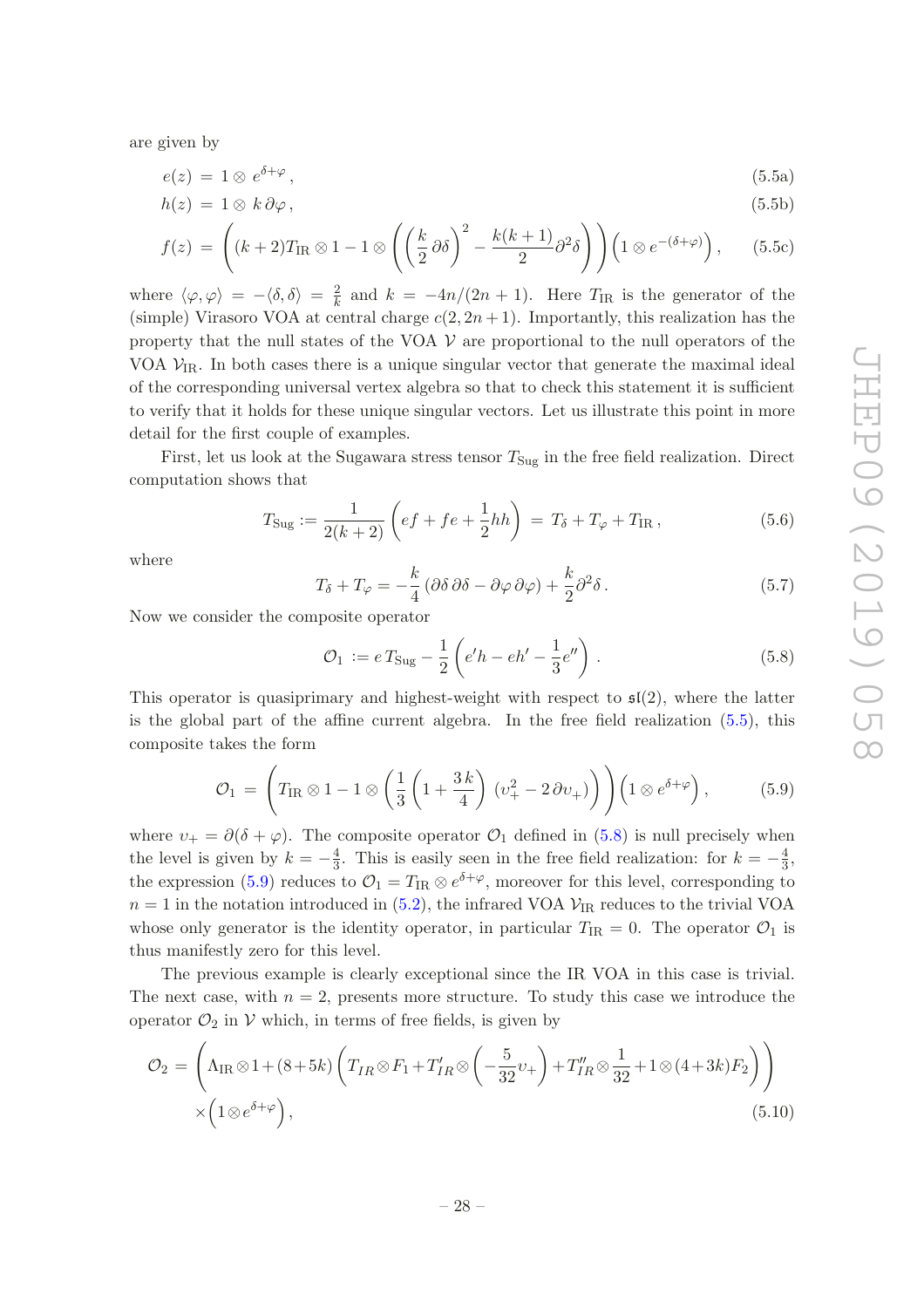are given by

<span id="page-28-0"></span>
$$
e(z) = 1 \otimes e^{\delta + \varphi}, \tag{5.5a}
$$

$$
h(z) = 1 \otimes k \partial \varphi, \tag{5.5b}
$$

$$
f(z) = \left( (k+2)T_{\text{IR}} \otimes 1 - 1 \otimes \left( \left( \frac{k}{2} \partial \delta \right)^2 - \frac{k(k+1)}{2} \partial^2 \delta \right) \right) \left( 1 \otimes e^{-(\delta + \varphi)} \right), \quad (5.5c)
$$

where  $\langle \varphi, \varphi \rangle = -\langle \delta, \delta \rangle = \frac{2}{k}$  and  $k = -4n/(2n + 1)$ . Here  $T_{IR}$  is the generator of the (simple) Virasoro VOA at central charge  $c(2, 2n + 1)$ . Importantly, this realization has the property that the null states of the VOA  $\mathcal V$  are proportional to the null operators of the VOA  $V_{IR}$ . In both cases there is a unique singular vector that generate the maximal ideal of the corresponding universal vertex algebra so that to check this statement it is sufficient to verify that it holds for these unique singular vectors. Let us illustrate this point in more detail for the first couple of examples.

First, let us look at the Sugawara stress tensor  $T_{\text{Sug}}$  in the free field realization. Direct computation shows that

$$
T_{\text{Sug}} := \frac{1}{2(k+2)} \left( e f + f e + \frac{1}{2} h h \right) = T_{\delta} + T_{\varphi} + T_{\text{IR}} , \qquad (5.6)
$$

where

<span id="page-28-4"></span>
$$
T_{\delta} + T_{\varphi} = -\frac{k}{4} \left( \partial \delta \, \partial \delta - \partial \varphi \, \partial \varphi \right) + \frac{k}{2} \partial^2 \delta \,. \tag{5.7}
$$

Now we consider the composite operator

<span id="page-28-1"></span>
$$
\mathcal{O}_1 := e \, T_{\text{Sug}} - \frac{1}{2} \left( e'h - eh' - \frac{1}{3} e'' \right) \,. \tag{5.8}
$$

This operator is quasiprimary and highest-weight with respect to  $\mathfrak{sl}(2)$ , where the latter is the global part of the affine current algebra. In the free field realization [\(5.5\)](#page-28-0), this composite takes the form

<span id="page-28-2"></span>
$$
\mathcal{O}_1 = \left( T_{\rm IR} \otimes 1 - 1 \otimes \left( \frac{1}{3} \left( 1 + \frac{3 k}{4} \right) (v_+^2 - 2 \partial v_+) \right) \right) \left( 1 \otimes e^{\delta + \varphi} \right), \tag{5.9}
$$

where  $v_+ = \partial(\delta + \varphi)$ . The composite operator  $\mathcal{O}_1$  defined in [\(5.8\)](#page-28-1) is null precisely when the level is given by  $k = -\frac{4}{3}$  $\frac{4}{3}$ . This is easily seen in the free field realization: for  $k = -\frac{4}{3}$  $\frac{4}{3}$ , the expression [\(5.9\)](#page-28-2) reduces to  $\mathcal{O}_1 = T_{IR} \otimes e^{\delta + \varphi}$ , moreover for this level, corresponding to  $n = 1$  in the notation introduced in [\(5.2\)](#page-27-2), the infrared VOA  $V_{IR}$  reduces to the trivial VOA whose only generator is the identity operator, in particular  $T_{IR} = 0$ . The operator  $\mathcal{O}_1$  is thus manifestly zero for this level.

The previous example is clearly exceptional since the IR VOA in this case is trivial. The next case, with  $n = 2$ , presents more structure. To study this case we introduce the operator  $\mathcal{O}_2$  in  $\mathcal V$  which, in terms of free fields, is given by

<span id="page-28-3"></span>
$$
\mathcal{O}_2 = \left(\Lambda_{IR} \otimes 1 + (8+5k) \left(T_{IR} \otimes F_1 + T'_{IR} \otimes \left(-\frac{5}{32} \nu_+\right) + T''_{IR} \otimes \frac{1}{32} + 1 \otimes (4+3k) F_2\right)\right) \times \left(1 \otimes e^{\delta + \varphi}\right),\tag{5.10}
$$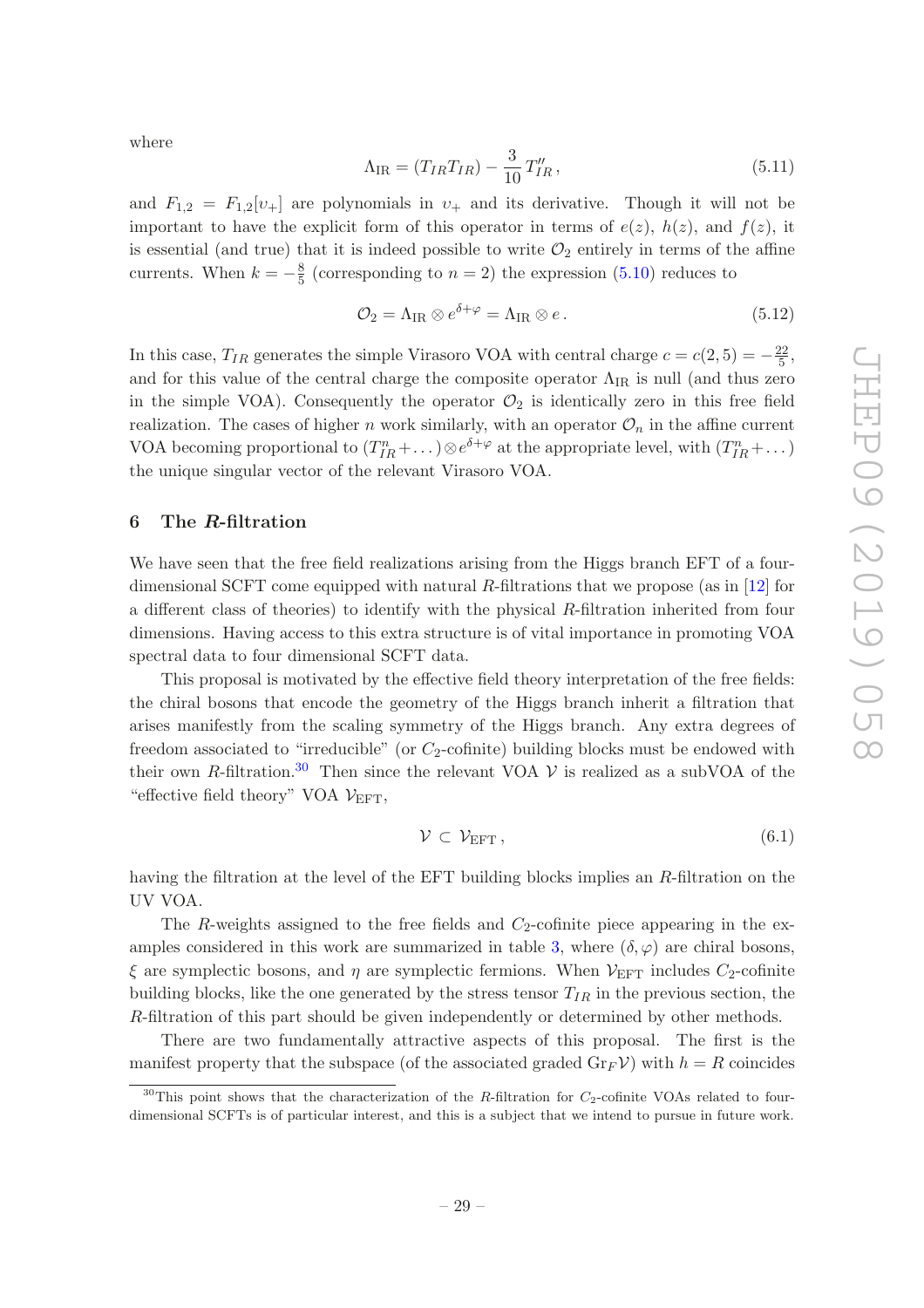where

$$
\Lambda_{\rm IR} = (T_{IR}T_{IR}) - \frac{3}{10}T_{IR}''\,,\tag{5.11}
$$

and  $F_{1,2} = F_{1,2}[v_+]$  are polynomials in  $v_+$  and its derivative. Though it will not be important to have the explicit form of this operator in terms of  $e(z)$ ,  $h(z)$ , and  $f(z)$ , it is essential (and true) that it is indeed possible to write  $\mathcal{O}_2$  entirely in terms of the affine currents. When  $k = -\frac{8}{5}$  $\frac{8}{5}$  (corresponding to  $n = 2$ ) the expression [\(5.10\)](#page-28-3) reduces to

$$
\mathcal{O}_2 = \Lambda_{\rm IR} \otimes e^{\delta + \varphi} = \Lambda_{\rm IR} \otimes e \,. \tag{5.12}
$$

In this case,  $T_{IR}$  generates the simple Virasoro VOA with central charge  $c = c(2, 5) = -\frac{22}{5}$  $\frac{22}{5}$ , and for this value of the central charge the composite operator  $\Lambda_{IR}$  is null (and thus zero in the simple VOA). Consequently the operator  $\mathcal{O}_2$  is identically zero in this free field realization. The cases of higher n work similarly, with an operator  $\mathcal{O}_n$  in the affine current VOA becoming proportional to  $(T_{IR}^n + ...) \otimes e^{\delta + \varphi}$  at the appropriate level, with  $(T_{IR}^n + ...)$ the unique singular vector of the relevant Virasoro VOA.

#### <span id="page-29-0"></span>6 The R-filtration

We have seen that the free field realizations arising from the Higgs branch EFT of a fourdimensional SCFT come equipped with natural R-filtrations that we propose (as in [\[12\]](#page-35-10) for a different class of theories) to identify with the physical R-filtration inherited from four dimensions. Having access to this extra structure is of vital importance in promoting VOA spectral data to four dimensional SCFT data.

This proposal is motivated by the effective field theory interpretation of the free fields: the chiral bosons that encode the geometry of the Higgs branch inherit a filtration that arises manifestly from the scaling symmetry of the Higgs branch. Any extra degrees of freedom associated to "irreducible" (or  $C_2$ -cofinite) building blocks must be endowed with their own R-filtration.<sup>[30](#page-29-1)</sup> Then since the relevant VOA  $\mathcal V$  is realized as a subVOA of the "effective field theory" VOA  $\mathcal{V}_{\text{EFT}}$ ,

$$
\mathcal{V} \subset \mathcal{V}_{\text{EFT}}\,,\tag{6.1}
$$

having the filtration at the level of the EFT building blocks implies an R-filtration on the UV VOA.

The R-weights assigned to the free fields and  $C_2$ -cofinite piece appearing in the ex-amples considered in this work are summarized in table [3,](#page-30-0) where  $(\delta, \varphi)$  are chiral bosons,  $\xi$  are symplectic bosons, and  $\eta$  are symplectic fermions. When  $\mathcal{V}_{\text{EFT}}$  includes  $C_2$ -cofinite building blocks, like the one generated by the stress tensor  $T_{IR}$  in the previous section, the R-filtration of this part should be given independently or determined by other methods.

There are two fundamentally attractive aspects of this proposal. The first is the manifest property that the subspace (of the associated graded  $\text{Gr}_F V$ ) with  $h = R$  coincides

<span id="page-29-1"></span><sup>&</sup>lt;sup>30</sup>This point shows that the characterization of the R-filtration for  $C_2$ -cofinite VOAs related to fourdimensional SCFTs is of particular interest, and this is a subject that we intend to pursue in future work.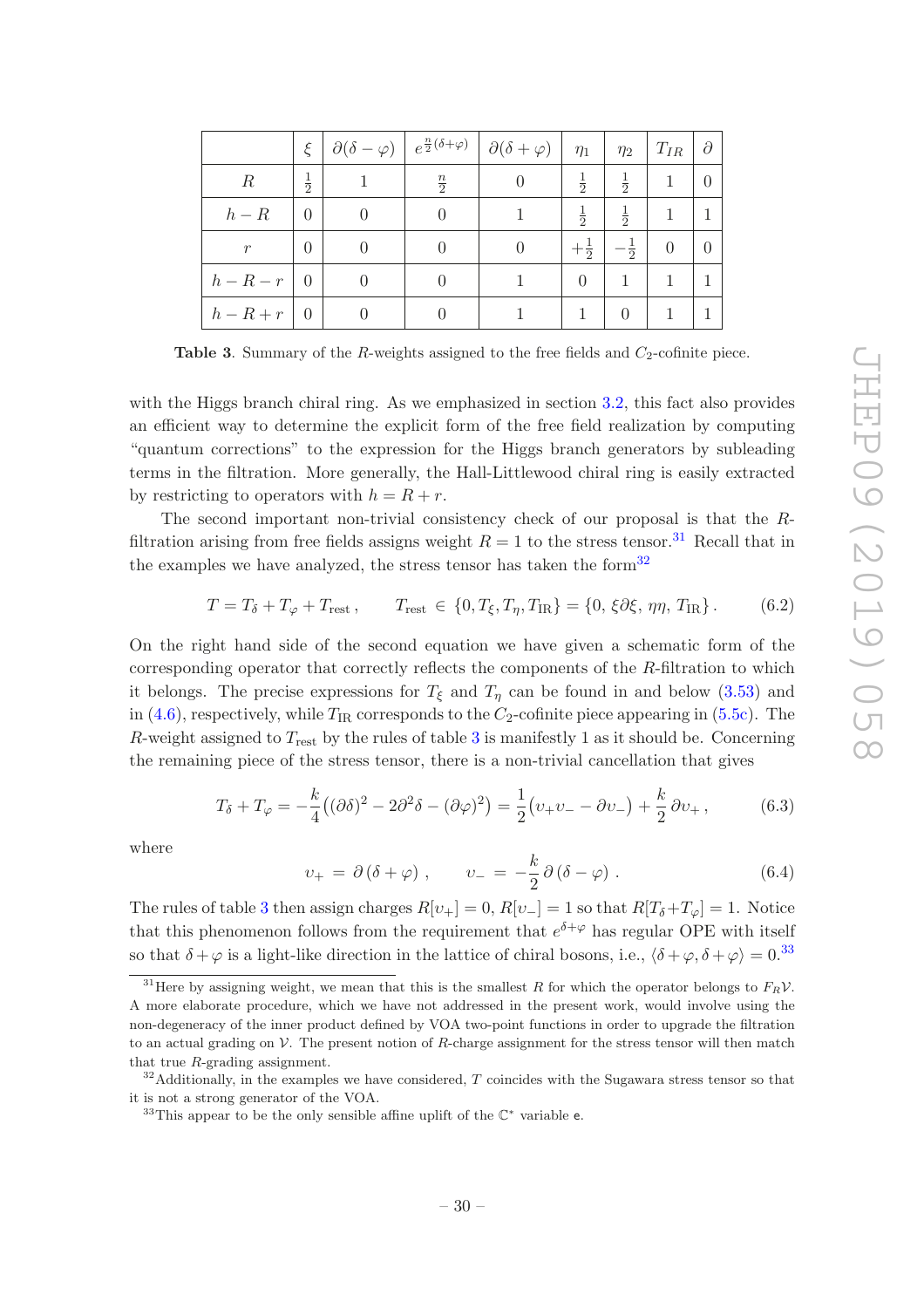|                  | ξ             |                  |                  | $\partial(\delta-\varphi)\left e^{\frac{n}{2}(\delta+\varphi)}\right  \partial(\delta+\varphi)$ | $\eta_1$       | $\eta_2$       | $T_{IR}$       | $\partial$ |
|------------------|---------------|------------------|------------------|-------------------------------------------------------------------------------------------------|----------------|----------------|----------------|------------|
| $\boldsymbol{R}$ | $\frac{1}{2}$ |                  | $\frac{n}{2}$    |                                                                                                 | $\frac{1}{2}$  | $\frac{1}{2}$  | 1              | $\Omega$   |
| $h-R$            | $\theta$      | $\left( \right)$ | $\theta$         |                                                                                                 | $\frac{1}{2}$  | $\frac{1}{2}$  | 1              |            |
| $\mathcal{r}$    | $\Omega$      | $\theta$         | $\theta$         | 0                                                                                               | $+\frac{1}{2}$ | $-\frac{1}{2}$ | $\overline{0}$ | $\Omega$   |
| $h-R-r$          | $\theta$      | $\left( \right)$ | $\theta$         |                                                                                                 | $\Omega$       |                | 1              |            |
| $h-R+r$          | $\theta$      | $\left( \right)$ | $\left( \right)$ |                                                                                                 |                | $\Omega$       |                |            |

<span id="page-30-0"></span>**Table 3.** Summary of the R-weights assigned to the free fields and  $C_2$ -cofinite piece.

with the Higgs branch chiral ring. As we emphasized in section [3.2,](#page-16-5) this fact also provides an efficient way to determine the explicit form of the free field realization by computing "quantum corrections" to the expression for the Higgs branch generators by subleading terms in the filtration. More generally, the Hall-Littlewood chiral ring is easily extracted by restricting to operators with  $h = R + r$ .

The second important non-trivial consistency check of our proposal is that the Rfiltration arising from free fields assigns weight  $R = 1$  to the stress tensor.<sup>[31](#page-30-1)</sup> Recall that in the examples we have analyzed, the stress tensor has taken the form<sup>[32](#page-30-2)</sup>

$$
T = T_{\delta} + T_{\varphi} + T_{\text{rest}} , \qquad T_{\text{rest}} \in \{0, T_{\xi}, T_{\eta}, T_{\text{IR}}\} = \{0, \xi \partial \xi, \eta \eta, T_{\text{IR}}\} . \tag{6.2}
$$

On the right hand side of the second equation we have given a schematic form of the corresponding operator that correctly reflects the components of the R-filtration to which it belongs. The precise expressions for  $T_{\xi}$  and  $T_{\eta}$  can be found in and below [\(3.53\)](#page-20-1) and in [\(4.6\)](#page-26-2), respectively, while  $T_{IR}$  corresponds to the  $C_2$ -cofinite piece appearing in [\(5.5c\)](#page-28-4). The R-weight assigned to  $T_{\text{rest}}$  by the rules of table [3](#page-30-0) is manifestly 1 as it should be. Concerning the remaining piece of the stress tensor, there is a non-trivial cancellation that gives

$$
T_{\delta} + T_{\varphi} = -\frac{k}{4} \left( (\partial \delta)^2 - 2\partial^2 \delta - (\partial \varphi)^2 \right) = \frac{1}{2} \left( v_+ v_- - \partial v_- \right) + \frac{k}{2} \partial v_+ \,, \tag{6.3}
$$

where

<span id="page-30-4"></span>
$$
v_{+} = \partial (\delta + \varphi) , \qquad v_{-} = -\frac{k}{2} \partial (\delta - \varphi) . \qquad (6.4)
$$

The rules of table [3](#page-30-0) then assign charges  $R[v_+] = 0$ ,  $R[v_-] = 1$  so that  $R[T_\delta + T_\varphi] = 1$ . Notice that this phenomenon follows from the requirement that  $e^{\delta+\varphi}$  has regular OPE with itself so that  $\delta + \varphi$  is a light-like direction in the lattice of chiral bosons, i.e.,  $\langle \delta + \varphi, \delta + \varphi \rangle = 0^{33}$  $\langle \delta + \varphi, \delta + \varphi \rangle = 0^{33}$  $\langle \delta + \varphi, \delta + \varphi \rangle = 0^{33}$ 

<span id="page-30-1"></span><sup>&</sup>lt;sup>31</sup>Here by assigning weight, we mean that this is the smallest R for which the operator belongs to  $F_R V$ . A more elaborate procedure, which we have not addressed in the present work, would involve using the non-degeneracy of the inner product defined by VOA two-point functions in order to upgrade the filtration to an actual grading on  $V$ . The present notion of R-charge assignment for the stress tensor will then match that true R-grading assignment.

 $32$ Additionally, in the examples we have considered, T coincides with the Sugawara stress tensor so that it is not a strong generator of the VOA.

<span id="page-30-3"></span><span id="page-30-2"></span> $33$ This appear to be the only sensible affine uplift of the  $\mathbb{C}^*$  variable e.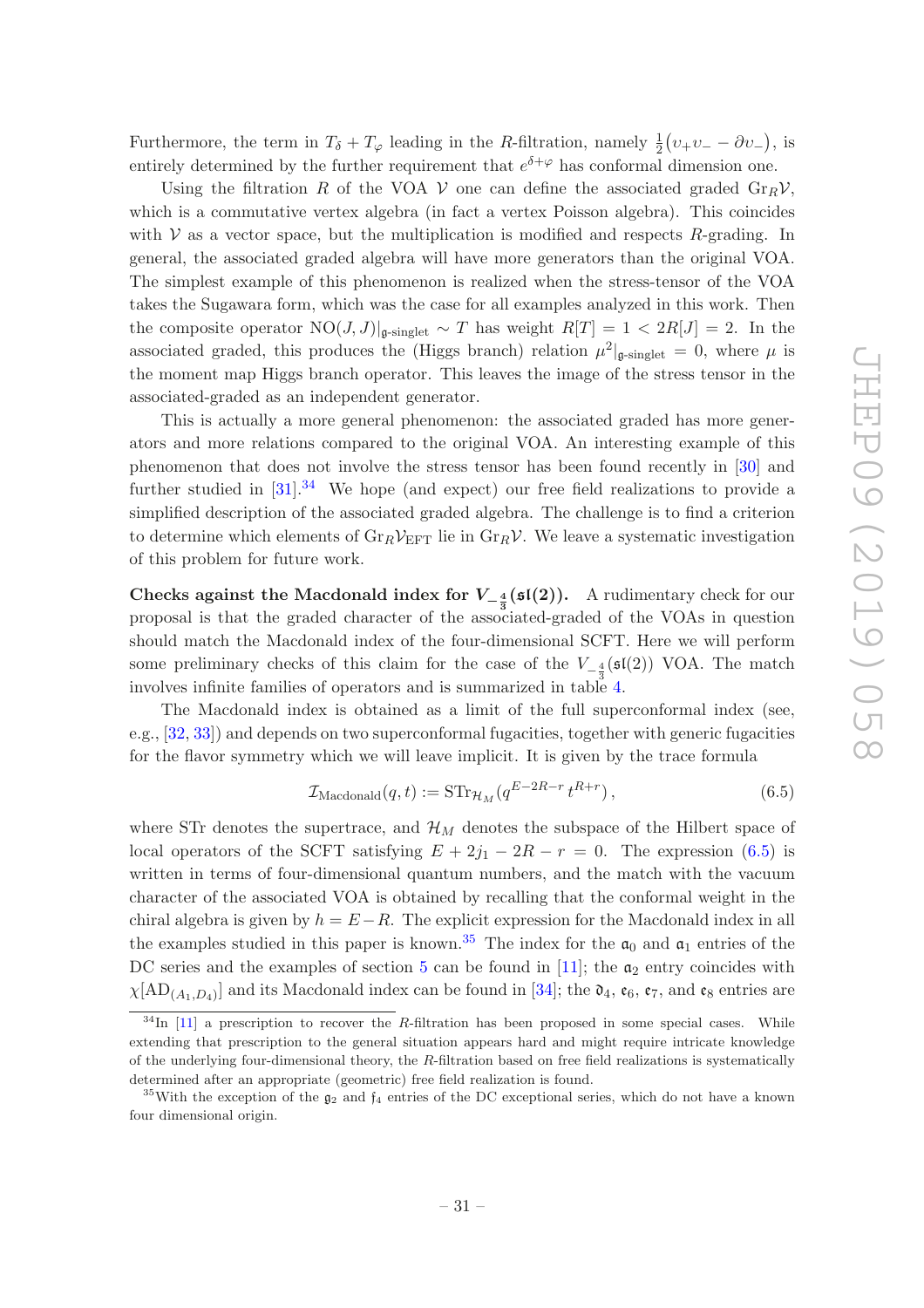Furthermore, the term in  $T_{\delta} + T_{\varphi}$  leading in the R-filtration, namely  $\frac{1}{2}(v_{+}v_{-} - \partial v_{-})$ , is entirely determined by the further requirement that  $e^{\delta+\varphi}$  has conformal dimension one.

Using the filtration R of the VOA V one can define the associated graded  $\text{Gr}_R V$ , which is a commutative vertex algebra (in fact a vertex Poisson algebra). This coincides with  $V$  as a vector space, but the multiplication is modified and respects  $R$ -grading. In general, the associated graded algebra will have more generators than the original VOA. The simplest example of this phenomenon is realized when the stress-tensor of the VOA takes the Sugawara form, which was the case for all examples analyzed in this work. Then the composite operator  $NO(J, J)|_{\mathfrak{g}\text{-singlet}} \sim T$  has weight  $R[T] = 1 < 2R[J] = 2$ . In the associated graded, this produces the (Higgs branch) relation  $\mu^2|_{\mathfrak{g}\text{-singlet}} = 0$ , where  $\mu$  is the moment map Higgs branch operator. This leaves the image of the stress tensor in the associated-graded as an independent generator.

This is actually a more general phenomenon: the associated graded has more generators and more relations compared to the original VOA. An interesting example of this phenomenon that does not involve the stress tensor has been found recently in [\[30\]](#page-36-14) and further studied in  $[31]$ .<sup>[34](#page-31-0)</sup> We hope (and expect) our free field realizations to provide a simplified description of the associated graded algebra. The challenge is to find a criterion to determine which elements of  $\mathrm{Gr}_R\mathcal{V}_{\mathrm{EFT}}$  lie in  $\mathrm{Gr}_R\mathcal{V}$ . We leave a systematic investigation of this problem for future work.

Checks against the Macdonald index for  $V_{-\frac{4}{3}}(\mathfrak{sl}(2))$ . A rudimentary check for our proposal is that the graded character of the associated-graded of the VOAs in question should match the Macdonald index of the four-dimensional SCFT. Here we will perform some preliminary checks of this claim for the case of the  $V_{-\frac{4}{3}}(\mathfrak{sl}(2))$  VOA. The match involves infinite families of operators and is summarized in table [4.](#page-32-0)

The Macdonald index is obtained as a limit of the full superconformal index (see, e.g., [\[32](#page-36-16), [33\]](#page-36-17)) and depends on two superconformal fugacities, together with generic fugacities for the flavor symmetry which we will leave implicit. It is given by the trace formula

<span id="page-31-1"></span>
$$
\mathcal{I}_{\text{Macdonald}}(q, t) := \text{STr}_{\mathcal{H}_M}(q^{E-2R-r} t^{R+r}), \qquad (6.5)
$$

where STr denotes the supertrace, and  $\mathcal{H}_M$  denotes the subspace of the Hilbert space of local operators of the SCFT satisfying  $E + 2j_1 - 2R - r = 0$ . The expression [\(6.5\)](#page-31-1) is written in terms of four-dimensional quantum numbers, and the match with the vacuum character of the associated VOA is obtained by recalling that the conformal weight in the chiral algebra is given by  $h = E - R$ . The explicit expression for the Macdonald index in all the examples studied in this paper is known.<sup>[35](#page-31-2)</sup> The index for the  $\mathfrak{a}_0$  and  $\mathfrak{a}_1$  entries of the DC series and the examples of section [5](#page-27-0) can be found in  $[11]$ ; the  $\mathfrak{a}_2$  entry coincides with  $\chi[\text{AD}_{(A_1, D_4)}]$  and its Macdonald index can be found in [\[34\]](#page-36-18); the  $\mathfrak{d}_4$ ,  $\mathfrak{e}_6$ ,  $\mathfrak{e}_7$ , and  $\mathfrak{e}_8$  entries are

<span id="page-31-0"></span> $34$ In [\[11\]](#page-35-9) a prescription to recover the R-filtration has been proposed in some special cases. While extending that prescription to the general situation appears hard and might require intricate knowledge of the underlying four-dimensional theory, the  $R$ -filtration based on free field realizations is systematically determined after an appropriate (geometric) free field realization is found.

<span id="page-31-2"></span> $35$ With the exception of the  $g_2$  and  $f_4$  entries of the DC exceptional series, which do not have a known four dimensional origin.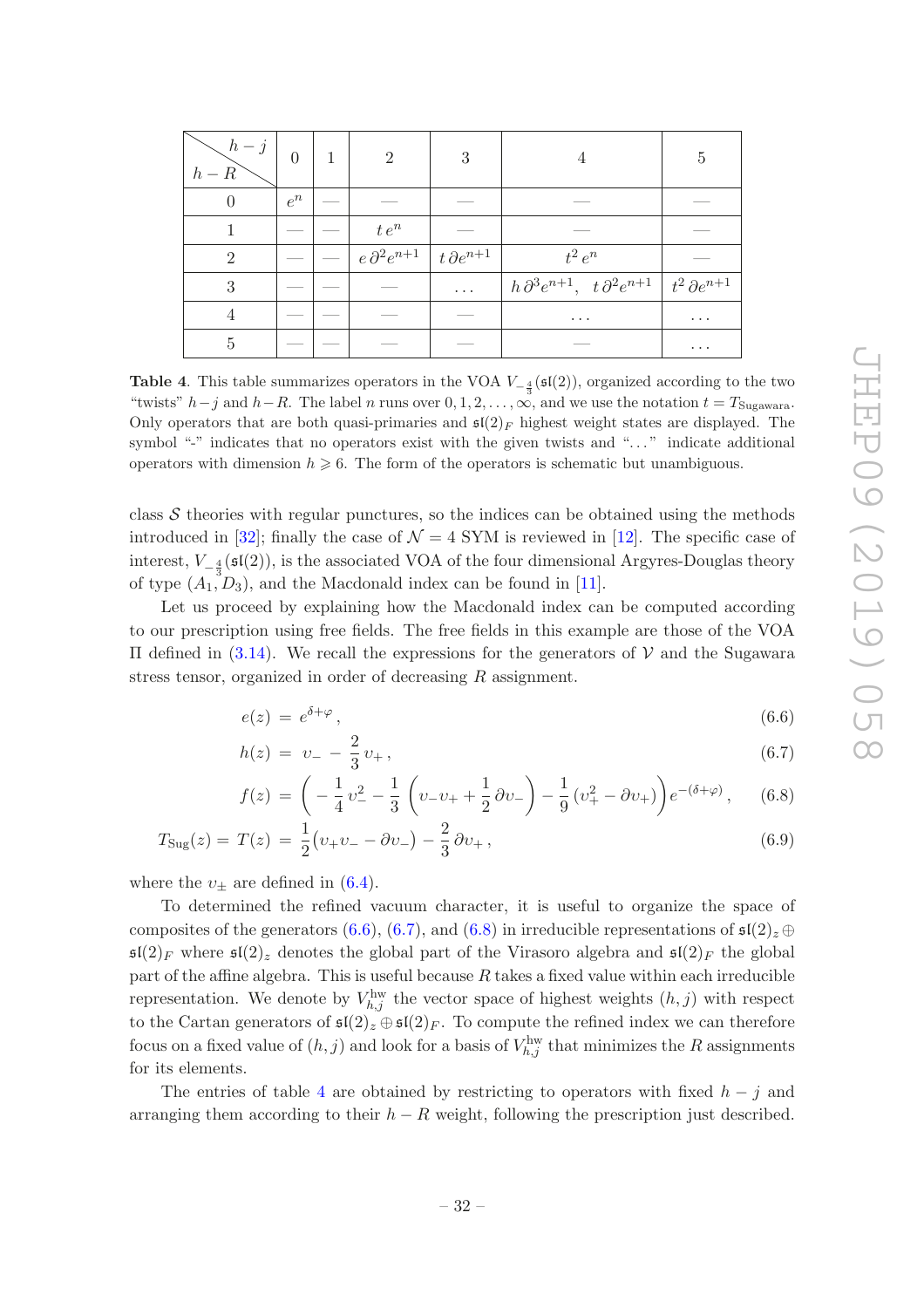| $h-j$<br>$h-R$ | $\overline{0}$ |         | $\mathcal{D}_{\mathcal{L}}$                               | 3                    | $\overline{4}$                                                                     | 5        |
|----------------|----------------|---------|-----------------------------------------------------------|----------------------|------------------------------------------------------------------------------------|----------|
| $\theta$       | $e^n$          |         |                                                           |                      |                                                                                    |          |
|                |                | $t e^n$ |                                                           |                      |                                                                                    |          |
| $\overline{2}$ |                |         | $\int e \, \partial^2 e^{n+1} \int t \, \partial e^{n+1}$ |                      | $t^2 e^n$                                                                          |          |
| 3              |                |         |                                                           | $\sim$ $\sim$ $\sim$ | $h \, \partial^3 e^{n+1}$ , $t \, \partial^2 e^{n+1} \mid t^2 \, \partial e^{n+1}$ |          |
| 4              |                |         |                                                           |                      | $\cdots$                                                                           | $\cdots$ |
| $\overline{5}$ |                |         |                                                           | $\cdots$             |                                                                                    |          |

<span id="page-32-0"></span>**Table 4**. This table summarizes operators in the VOA  $V_{-\frac{4}{3}}(\mathfrak{sl}(2))$ , organized according to the two "twists"  $h-j$  and  $h-R$ . The label n runs over  $0, 1, 2, \ldots, \infty$ , and we use the notation  $t = T_{\text{Sugawara}}$ . Only operators that are both quasi-primaries and  $\mathfrak{sl}(2)_F$  highest weight states are displayed. The symbol "-" indicates that no operators exist with the given twists and "..." indicate additional operators with dimension  $h \geq 6$ . The form of the operators is schematic but unambiguous.

class  $\mathcal S$  theories with regular punctures, so the indices can be obtained using the methods introduced in [\[32\]](#page-36-16); finally the case of  $\mathcal{N} = 4$  SYM is reviewed in [\[12](#page-35-10)]. The specific case of interest,  $V_{-\frac{4}{3}}(\mathfrak{sl}(2))$ , is the associated VOA of the four dimensional Argyres-Douglas theory of type  $(A_1, D_3)$ , and the Macdonald index can be found in [\[11\]](#page-35-9).

Let us proceed by explaining how the Macdonald index can be computed according to our prescription using free fields. The free fields in this example are those of the VOA Π defined in [\(3.14\)](#page-10-3). We recall the expressions for the generators of V and the Sugawara stress tensor, organized in order of decreasing R assignment.

<span id="page-32-2"></span><span id="page-32-1"></span>
$$
e(z) = e^{\delta + \varphi}, \tag{6.6}
$$

$$
h(z) = v_- - \frac{2}{3}v_+ \,, \tag{6.7}
$$

<span id="page-32-3"></span>
$$
f(z) = \left(-\frac{1}{4}v_{-}^{2} - \frac{1}{3}\left(v_{-}v_{+} + \frac{1}{2}\partial v_{-}\right) - \frac{1}{9}\left(v_{+}^{2} - \partial v_{+}\right)\right)e^{-(\delta + \varphi)}, \quad (6.8)
$$

$$
T_{\text{Sug}}(z) = T(z) = \frac{1}{2}(v_{+}v_{-} - \partial v_{-}) - \frac{2}{3}\partial v_{+},
$$
\n(6.9)

where the  $v_{+}$  are defined in [\(6.4\)](#page-30-4).

To determined the refined vacuum character, it is useful to organize the space of composites of the generators [\(6.6\)](#page-32-1), [\(6.7\)](#page-32-2), and [\(6.8\)](#page-32-3) in irreducible representations of  $\mathfrak{sl}(2)_{z} \oplus$  $\mathfrak{sl}(2)_F$  where  $\mathfrak{sl}(2)_z$  denotes the global part of the Virasoro algebra and  $\mathfrak{sl}(2)_F$  the global part of the affine algebra. This is useful because  $R$  takes a fixed value within each irreducible representation. We denote by  $V_{h,j}^{\text{hw}}$  the vector space of highest weights  $(h, j)$  with respect to the Cartan generators of  $\mathfrak{sl}(2)_{z} \oplus \mathfrak{sl}(2)_{F}$ . To compute the refined index we can therefore focus on a fixed value of  $(h, j)$  and look for a basis of  $V_{h,j}^{\text{hw}}$  that minimizes the R assignments for its elements.

The entries of table [4](#page-32-0) are obtained by restricting to operators with fixed  $h - j$  and arranging them according to their  $h - R$  weight, following the prescription just described.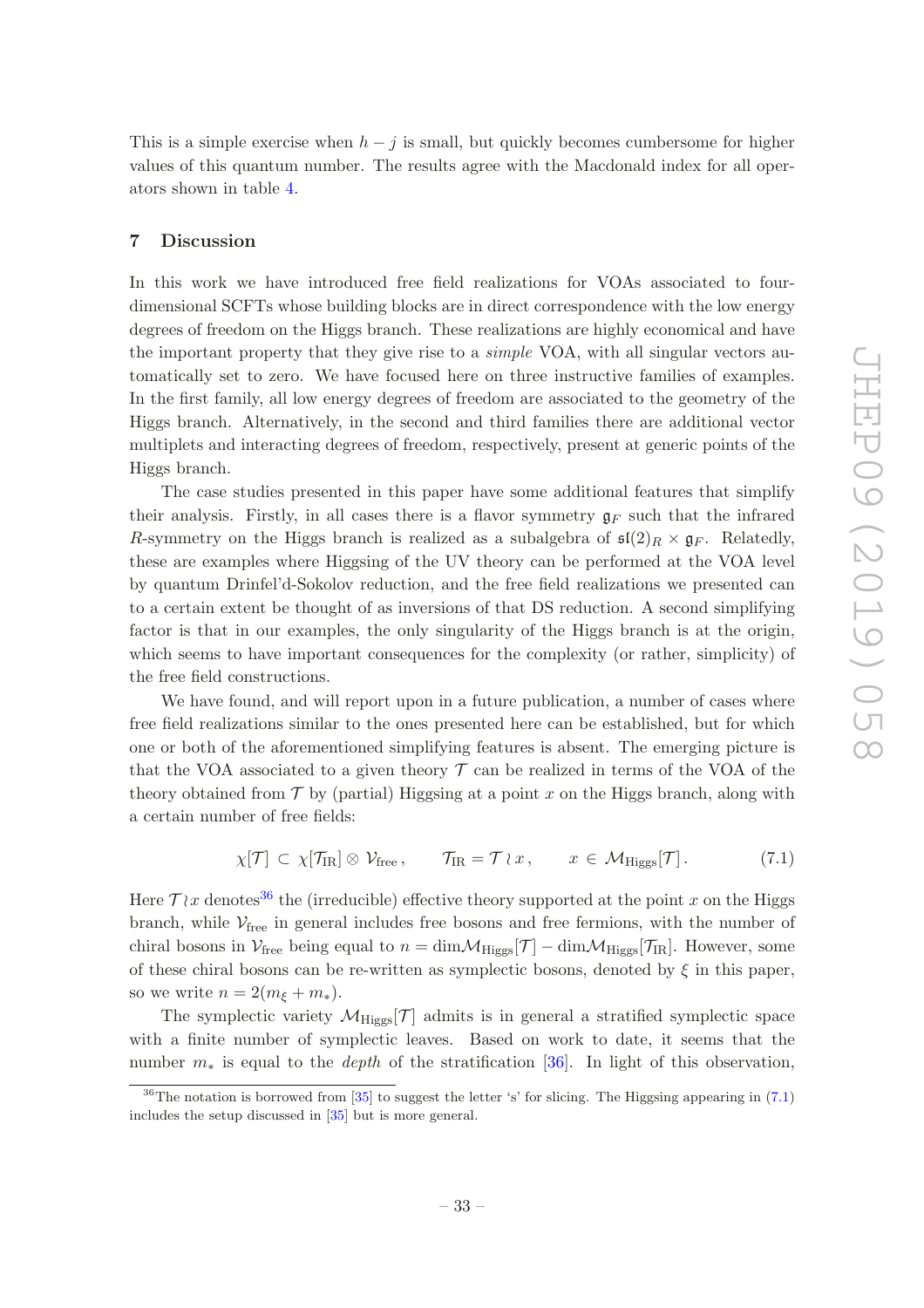This is a simple exercise when  $h - j$  is small, but quickly becomes cumbersome for higher values of this quantum number. The results agree with the Macdonald index for all operators shown in table [4.](#page-32-0)

#### <span id="page-33-0"></span>7 Discussion

In this work we have introduced free field realizations for VOAs associated to fourdimensional SCFTs whose building blocks are in direct correspondence with the low energy degrees of freedom on the Higgs branch. These realizations are highly economical and have the important property that they give rise to a *simple* VOA, with all singular vectors automatically set to zero. We have focused here on three instructive families of examples. In the first family, all low energy degrees of freedom are associated to the geometry of the Higgs branch. Alternatively, in the second and third families there are additional vector multiplets and interacting degrees of freedom, respectively, present at generic points of the Higgs branch.

The case studies presented in this paper have some additional features that simplify their analysis. Firstly, in all cases there is a flavor symmetry  $g_F$  such that the infrared R-symmetry on the Higgs branch is realized as a subalgebra of  $\mathfrak{sl}(2)_R \times \mathfrak{g}_F$ . Relatedly, these are examples where Higgsing of the UV theory can be performed at the VOA level by quantum Drinfel'd-Sokolov reduction, and the free field realizations we presented can to a certain extent be thought of as inversions of that DS reduction. A second simplifying factor is that in our examples, the only singularity of the Higgs branch is at the origin, which seems to have important consequences for the complexity (or rather, simplicity) of the free field constructions.

We have found, and will report upon in a future publication, a number of cases where free field realizations similar to the ones presented here can be established, but for which one or both of the aforementioned simplifying features is absent. The emerging picture is that the VOA associated to a given theory  $\mathcal T$  can be realized in terms of the VOA of the theory obtained from  $\mathcal T$  by (partial) Higgsing at a point x on the Higgs branch, along with a certain number of free fields:

<span id="page-33-2"></span>
$$
\chi[\mathcal{T}] \subset \chi[\mathcal{T}_{IR}] \otimes \mathcal{V}_{free}, \qquad \mathcal{T}_{IR} = \mathcal{T} \wr x, \qquad x \in \mathcal{M}_{Higgs}[\mathcal{T}]. \tag{7.1}
$$

Here  $\mathcal{T}\wr x$  denotes<sup>[36](#page-33-1)</sup> the (irreducible) effective theory supported at the point x on the Higgs branch, while  $V_{\text{free}}$  in general includes free bosons and free fermions, with the number of chiral bosons in  $\mathcal{V}_{\text{free}}$  being equal to  $n = \dim \mathcal{M}_{\text{Higgs}}[\mathcal{T}] - \dim \mathcal{M}_{\text{Higgs}}[\mathcal{T}_{\text{IR}}]$ . However, some of these chiral bosons can be re-written as symplectic bosons, denoted by  $\xi$  in this paper, so we write  $n = 2(m_{\xi} + m_{*}).$ 

The symplectic variety  $\mathcal{M}_{\text{Higgs}}[\mathcal{T}]$  admits is in general a stratified symplectic space with a finite number of symplectic leaves. Based on work to date, it seems that the number  $m_*$  is equal to the *depth* of the stratification [\[36](#page-36-19)]. In light of this observation,

<span id="page-33-1"></span> $36$ The notation is borrowed from [\[35\]](#page-36-20) to suggest the letter 's' for slicing. The Higgsing appearing in [\(7.1\)](#page-33-2) includes the setup discussed in [\[35\]](#page-36-20) but is more general.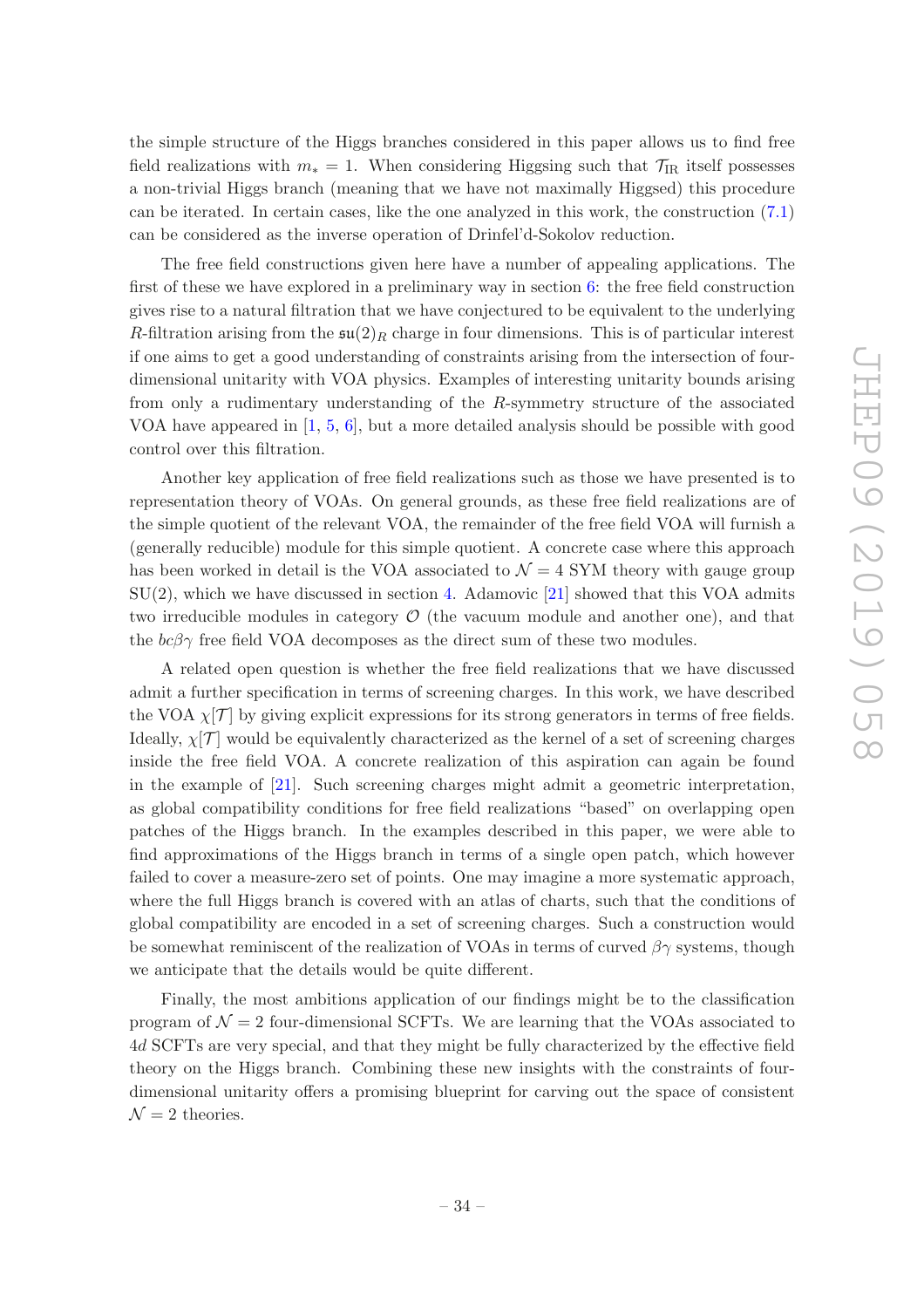the simple structure of the Higgs branches considered in this paper allows us to find free field realizations with  $m_* = 1$ . When considering Higgsing such that  $\mathcal{T}_{IR}$  itself possesses a non-trivial Higgs branch (meaning that we have not maximally Higgsed) this procedure can be iterated. In certain cases, like the one analyzed in this work, the construction [\(7.1\)](#page-33-2) can be considered as the inverse operation of Drinfel'd-Sokolov reduction.

The free field constructions given here have a number of appealing applications. The first of these we have explored in a preliminary way in section [6:](#page-29-0) the free field construction gives rise to a natural filtration that we have conjectured to be equivalent to the underlying R-filtration arising from the  $\mathfrak{su}(2)_R$  charge in four dimensions. This is of particular interest if one aims to get a good understanding of constraints arising from the intersection of fourdimensional unitarity with VOA physics. Examples of interesting unitarity bounds arising from only a rudimentary understanding of the R-symmetry structure of the associated VOA have appeared in  $[1, 5, 6]$  $[1, 5, 6]$  $[1, 5, 6]$  $[1, 5, 6]$  $[1, 5, 6]$ , but a more detailed analysis should be possible with good control over this filtration.

Another key application of free field realizations such as those we have presented is to representation theory of VOAs. On general grounds, as these free field realizations are of the simple quotient of the relevant VOA, the remainder of the free field VOA will furnish a (generally reducible) module for this simple quotient. A concrete case where this approach has been worked in detail is the VOA associated to  $\mathcal{N}=4$  SYM theory with gauge group  $SU(2)$ , which we have discussed in section [4.](#page-24-0) Adamovic [\[21\]](#page-36-6) showed that this VOA admits two irreducible modules in category  $\mathcal O$  (the vacuum module and another one), and that the  $bc\beta\gamma$  free field VOA decomposes as the direct sum of these two modules.

A related open question is whether the free field realizations that we have discussed admit a further specification in terms of screening charges. In this work, we have described the VOA  $\chi$ [T] by giving explicit expressions for its strong generators in terms of free fields. Ideally,  $\chi$ [T] would be equivalently characterized as the kernel of a set of screening charges inside the free field VOA. A concrete realization of this aspiration can again be found in the example of [\[21](#page-36-6)]. Such screening charges might admit a geometric interpretation, as global compatibility conditions for free field realizations "based" on overlapping open patches of the Higgs branch. In the examples described in this paper, we were able to find approximations of the Higgs branch in terms of a single open patch, which however failed to cover a measure-zero set of points. One may imagine a more systematic approach, where the full Higgs branch is covered with an atlas of charts, such that the conditions of global compatibility are encoded in a set of screening charges. Such a construction would be somewhat reminiscent of the realization of VOAs in terms of curved  $\beta\gamma$  systems, though we anticipate that the details would be quite different.

Finally, the most ambitions application of our findings might be to the classification program of  $\mathcal{N} = 2$  four-dimensional SCFTs. We are learning that the VOAs associated to 4d SCFTs are very special, and that they might be fully characterized by the effective field theory on the Higgs branch. Combining these new insights with the constraints of fourdimensional unitarity offers a promising blueprint for carving out the space of consistent  $\mathcal{N}=2$  theories.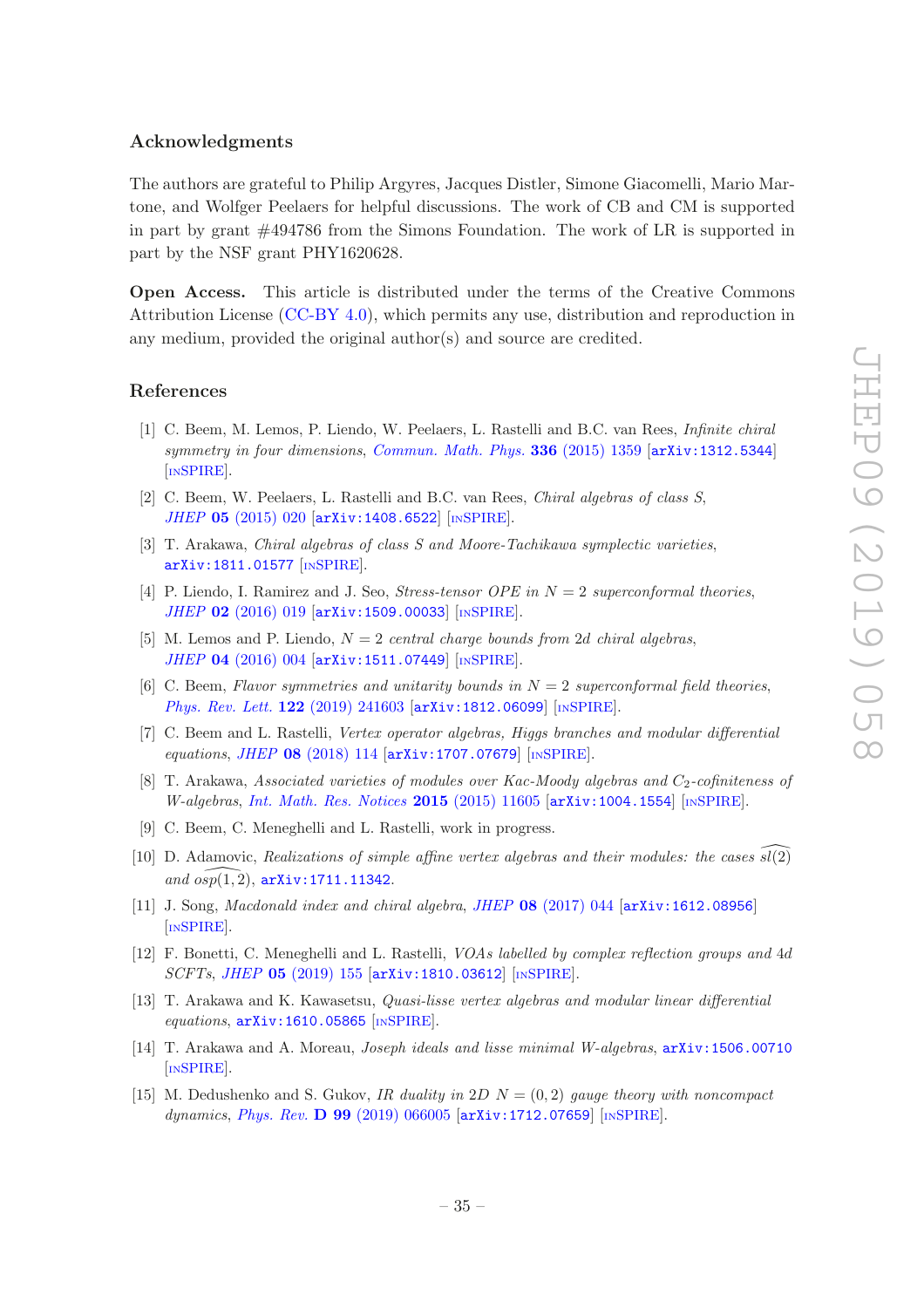#### Acknowledgments

The authors are grateful to Philip Argyres, Jacques Distler, Simone Giacomelli, Mario Martone, and Wolfger Peelaers for helpful discussions. The work of CB and CM is supported in part by grant #494786 from the Simons Foundation. The work of LR is supported in part by the NSF grant PHY1620628.

Open Access. This article is distributed under the terms of the Creative Commons Attribution License [\(CC-BY 4.0\)](https://creativecommons.org/licenses/by/4.0/), which permits any use, distribution and reproduction in any medium, provided the original author(s) and source are credited.

#### References

- <span id="page-35-0"></span>[1] C. Beem, M. Lemos, P. Liendo, W. Peelaers, L. Rastelli and B.C. van Rees, Infinite chiral symmetry in four dimensions, [Commun. Math. Phys.](https://doi.org/10.1007/s00220-014-2272-x) 336 (2015) 1359 [[arXiv:1312.5344](https://arxiv.org/abs/1312.5344)] [IN[SPIRE](https://inspirehep.net/search?p=find+EPRINT+arXiv:1312.5344)].
- <span id="page-35-1"></span>[2] C. Beem, W. Peelaers, L. Rastelli and B.C. van Rees, Chiral algebras of class S, JHEP 05 [\(2015\) 020](https://doi.org/10.1007/JHEP05(2015)020) [[arXiv:1408.6522](https://arxiv.org/abs/1408.6522)] [IN[SPIRE](https://inspirehep.net/search?p=find+EPRINT+arXiv:1408.6522)].
- <span id="page-35-2"></span>[3] T. Arakawa, Chiral algebras of class S and Moore-Tachikawa symplectic varieties, [arXiv:1811.01577](https://arxiv.org/abs/1811.01577) [IN[SPIRE](https://inspirehep.net/search?p=find+EPRINT+arXiv:1811.01577)].
- <span id="page-35-3"></span>[4] P. Liendo, I. Ramirez and J. Seo, *Stress-tensor OPE in*  $N = 2$  *superconformal theories*. JHEP 02 [\(2016\) 019](https://doi.org/10.1007/JHEP02(2016)019) [[arXiv:1509.00033](https://arxiv.org/abs/1509.00033)] [IN[SPIRE](https://inspirehep.net/search?p=find+EPRINT+arXiv:1509.00033)].
- <span id="page-35-14"></span>[5] M. Lemos and P. Liendo,  $N = 2$  central charge bounds from 2d chiral algebras, JHEP 04 [\(2016\) 004](https://doi.org/10.1007/JHEP04(2016)004) [[arXiv:1511.07449](https://arxiv.org/abs/1511.07449)] [IN[SPIRE](https://inspirehep.net/search?p=find+EPRINT+arXiv:1511.07449)].
- <span id="page-35-4"></span>[6] C. Beem, Flavor symmetries and unitarity bounds in  $N = 2$  superconformal field theories, [Phys. Rev. Lett.](https://doi.org/10.1103/PhysRevLett.122.241603) 122 (2019) 241603 [[arXiv:1812.06099](https://arxiv.org/abs/1812.06099)] [IN[SPIRE](https://inspirehep.net/search?p=find+EPRINT+arXiv:1812.06099)].
- <span id="page-35-5"></span>[7] C. Beem and L. Rastelli, Vertex operator algebras, Higgs branches and modular differential equations, JHEP 08 [\(2018\) 114](https://doi.org/10.1007/JHEP08(2018)114) [[arXiv:1707.07679](https://arxiv.org/abs/1707.07679)] [IN[SPIRE](https://inspirehep.net/search?p=find+EPRINT+arXiv:1707.07679)].
- <span id="page-35-6"></span>[8] T. Arakawa, Associated varieties of modules over Kac-Moody algebras and  $C_2$ -cofiniteness of  $W\text{-}algebras, Int. Math. Res. \text{ \textit{Notes}} 2015 (2015) 11605 \text{ [arXiv:1004.1554] } \text{[nsPIRE].}$  $W\text{-}algebras, Int. Math. Res. \text{ \textit{Notes}} 2015 (2015) 11605 \text{ [arXiv:1004.1554] } \text{[nsPIRE].}$  $W\text{-}algebras, Int. Math. Res. \text{ \textit{Notes}} 2015 (2015) 11605 \text{ [arXiv:1004.1554] } \text{[nsPIRE].}$
- <span id="page-35-7"></span>[9] C. Beem, C. Meneghelli and L. Rastelli, work in progress.
- <span id="page-35-8"></span>[10] D. Adamovic, Realizations of simple affine vertex algebras and their modules: the cases  $sl(2)$ and  $osp(1, 2)$ ,  $arXiv:1711.11342$ .
- <span id="page-35-9"></span>[11] J. Song, *Macdonald index and chiral algebra, JHEP* 08 [\(2017\) 044](https://doi.org/10.1007/JHEP08(2017)044) [[arXiv:1612.08956](https://arxiv.org/abs/1612.08956)] [IN[SPIRE](https://inspirehep.net/search?p=find+EPRINT+arXiv:1612.08956)].
- <span id="page-35-10"></span>[12] F. Bonetti, C. Meneghelli and L. Rastelli, VOAs labelled by complex reflection groups and 4d SCFTs, JHEP 05 [\(2019\) 155](https://doi.org/10.1007/JHEP05(2019)155) [[arXiv:1810.03612](https://arxiv.org/abs/1810.03612)] [IN[SPIRE](https://inspirehep.net/search?p=find+EPRINT+arXiv:1810.03612)].
- <span id="page-35-11"></span>[13] T. Arakawa and K. Kawasetsu, Quasi-lisse vertex algebras and modular linear differential equations, [arXiv:1610.05865](https://arxiv.org/abs/1610.05865) [IN[SPIRE](https://inspirehep.net/search?p=find+EPRINT+arXiv:1610.05865)].
- <span id="page-35-12"></span>[14] T. Arakawa and A. Moreau, Joseph ideals and lisse minimal W-algebras, [arXiv:1506.00710](https://arxiv.org/abs/1506.00710) [IN[SPIRE](https://inspirehep.net/search?p=find+EPRINT+arXiv:1506.00710)].
- <span id="page-35-13"></span>[15] M. Dedushenko and S. Gukov, IR duality in  $2D N = (0, 2)$  gauge theory with noncompact dynamics, Phys. Rev. D 99 [\(2019\) 066005](https://doi.org/10.1103/PhysRevD.99.066005) [[arXiv:1712.07659](https://arxiv.org/abs/1712.07659)] [IN[SPIRE](https://inspirehep.net/search?p=find+EPRINT+arXiv:1712.07659)].